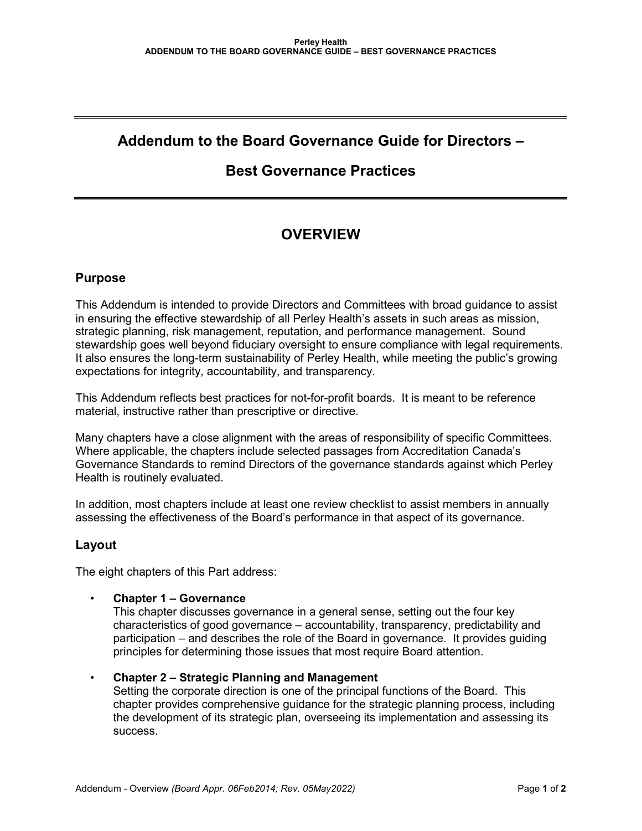# **Addendum to the Board Governance Guide for Directors –**

# **Best Governance Practices**

# **OVERVIEW**

# **Purpose**

This Addendum is intended to provide Directors and Committees with broad guidance to assist in ensuring the effective stewardship of all Perley Health's assets in such areas as mission, strategic planning, risk management, reputation, and performance management. Sound stewardship goes well beyond fiduciary oversight to ensure compliance with legal requirements. It also ensures the long-term sustainability of Perley Health, while meeting the public's growing expectations for integrity, accountability, and transparency.

This Addendum reflects best practices for not-for-profit boards. It is meant to be reference material, instructive rather than prescriptive or directive.

Many chapters have a close alignment with the areas of responsibility of specific Committees. Where applicable, the chapters include selected passages from Accreditation Canada's Governance Standards to remind Directors of the governance standards against which Perley Health is routinely evaluated.

In addition, most chapters include at least one review checklist to assist members in annually assessing the effectiveness of the Board's performance in that aspect of its governance.

# **Layout**

The eight chapters of this Part address:

• **Chapter 1 – Governance** 

This chapter discusses governance in a general sense, setting out the four key characteristics of good governance – accountability, transparency, predictability and participation – and describes the role of the Board in governance. It provides guiding principles for determining those issues that most require Board attention.

• **Chapter 2 – Strategic Planning and Management**

Setting the corporate direction is one of the principal functions of the Board. This chapter provides comprehensive guidance for the strategic planning process, including the development of its strategic plan, overseeing its implementation and assessing its success.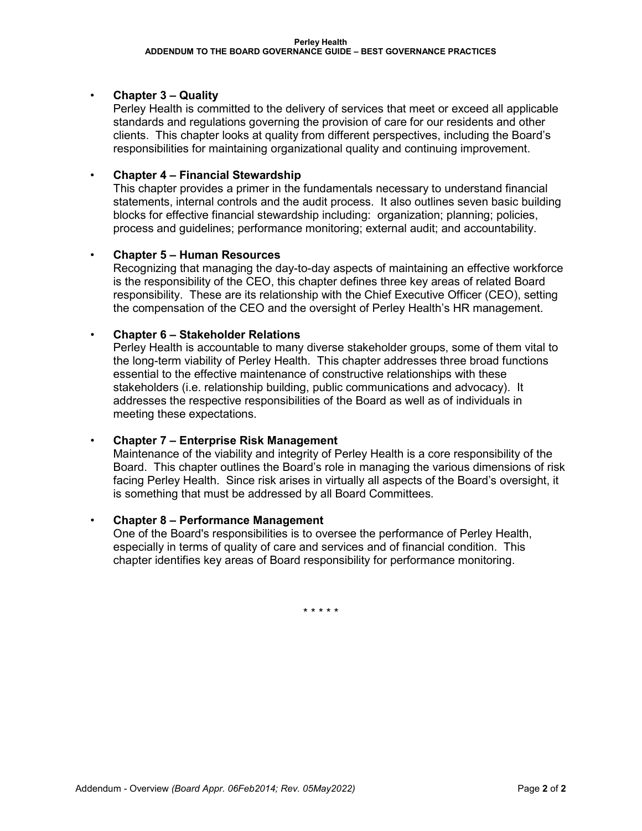#### • **Chapter 3 – Quality**

Perley Health is committed to the delivery of services that meet or exceed all applicable standards and regulations governing the provision of care for our residents and other clients. This chapter looks at quality from different perspectives, including the Board's responsibilities for maintaining organizational quality and continuing improvement.

### • **Chapter 4 – Financial Stewardship**

This chapter provides a primer in the fundamentals necessary to understand financial statements, internal controls and the audit process. It also outlines seven basic building blocks for effective financial stewardship including: organization; planning; policies, process and guidelines; performance monitoring; external audit; and accountability.

### • **Chapter 5 – Human Resources**

Recognizing that managing the day-to-day aspects of maintaining an effective workforce is the responsibility of the CEO, this chapter defines three key areas of related Board responsibility. These are its relationship with the Chief Executive Officer (CEO), setting the compensation of the CEO and the oversight of Perley Health's HR management.

### • **Chapter 6 – Stakeholder Relations**

Perley Health is accountable to many diverse stakeholder groups, some of them vital to the long-term viability of Perley Health. This chapter addresses three broad functions essential to the effective maintenance of constructive relationships with these stakeholders (i.e. relationship building, public communications and advocacy). It addresses the respective responsibilities of the Board as well as of individuals in meeting these expectations.

# • **Chapter 7 – Enterprise Risk Management**

Maintenance of the viability and integrity of Perley Health is a core responsibility of the Board. This chapter outlines the Board's role in managing the various dimensions of risk facing Perley Health. Since risk arises in virtually all aspects of the Board's oversight, it is something that must be addressed by all Board Committees.

#### • **Chapter 8 – Performance Management**

One of the Board's responsibilities is to oversee the performance of Perley Health, especially in terms of quality of care and services and of financial condition. This chapter identifies key areas of Board responsibility for performance monitoring.

\* \* \* \* \*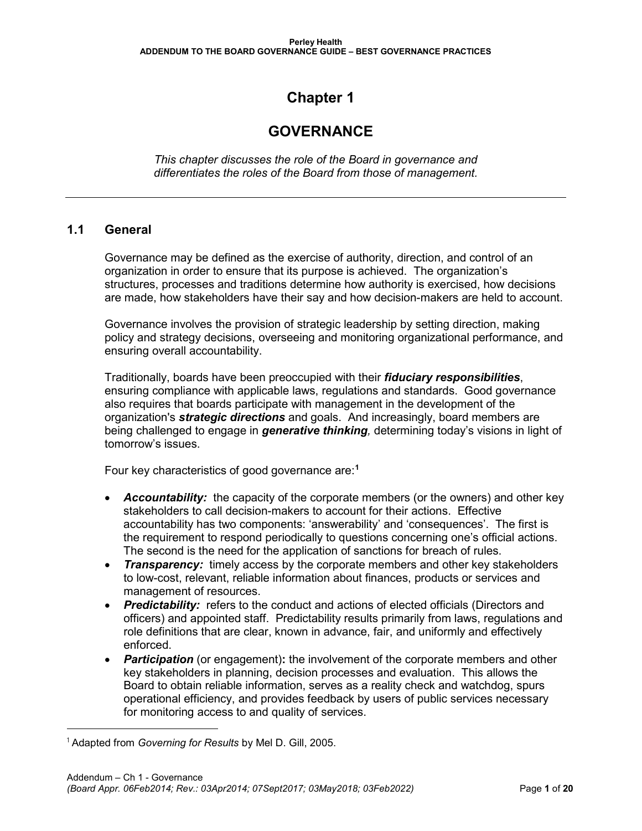# **Chapter 1**

# **GOVERNANCE**

*This chapter discusses the role of the Board in governance and differentiates the roles of the Board from those of management.*

# **1.1 General**

Governance may be defined as the exercise of authority, direction, and control of an organization in order to ensure that its purpose is achieved. The organization's structures, processes and traditions determine how authority is exercised, how decisions are made, how stakeholders have their say and how decision-makers are held to account.

Governance involves the provision of strategic leadership by setting direction, making policy and strategy decisions, overseeing and monitoring organizational performance, and ensuring overall accountability.

Traditionally, boards have been preoccupied with their *fiduciary responsibilities*, ensuring compliance with applicable laws, regulations and standards. Good governance also requires that boards participate with management in the development of the organization's *strategic directions* and goals. And increasingly, board members are being challenged to engage in *generative thinking,* determining today's visions in light of tomorrow's issues.

Four key characteristics of good governance are:**[1](#page-2-0)**

- *Accountability:* the capacity of the corporate members (or the owners) and other key stakeholders to call decision-makers to account for their actions. Effective accountability has two components: 'answerability' and 'consequences'. The first is the requirement to respond periodically to questions concerning one's official actions. The second is the need for the application of sanctions for breach of rules.
- *Transparency:* timely access by the corporate members and other key stakeholders to low-cost, relevant, reliable information about finances, products or services and management of resources.
- **Predictability:** refers to the conduct and actions of elected officials (Directors and officers) and appointed staff. Predictability results primarily from laws, regulations and role definitions that are clear, known in advance, fair, and uniformly and effectively enforced.
- *Participation* (or engagement): the involvement of the corporate members and other key stakeholders in planning, decision processes and evaluation. This allows the Board to obtain reliable information, serves as a reality check and watchdog, spurs operational efficiency, and provides feedback by users of public services necessary for monitoring access to and quality of services.

 $\overline{\phantom{a}}$ 

<span id="page-2-0"></span><sup>1</sup> Adapted from *Governing for Results* by Mel D. Gill, 2005.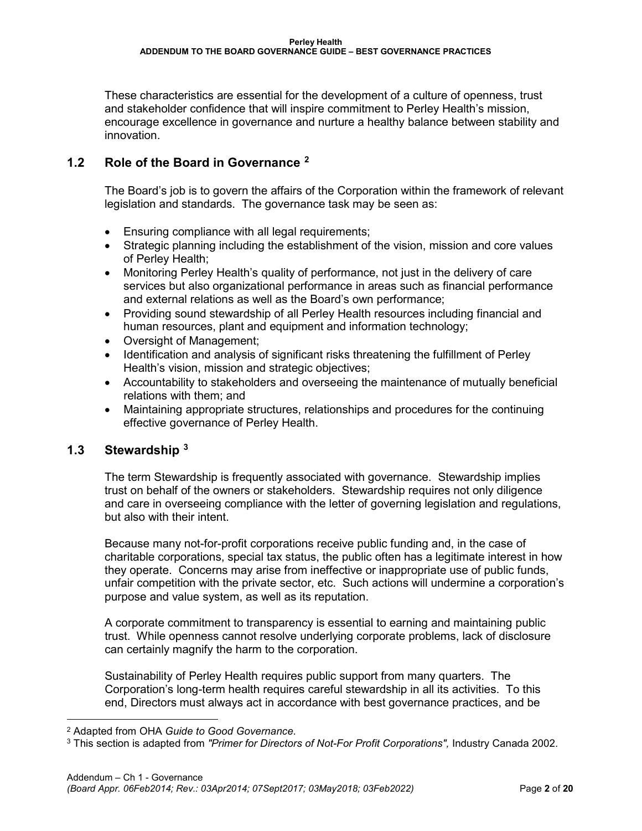These characteristics are essential for the development of a culture of openness, trust and stakeholder confidence that will inspire commitment to Perley Health's mission, encourage excellence in governance and nurture a healthy balance between stability and innovation.

# **1.2 Role of the Board in Governance [2](#page-3-0)**

The Board's job is to govern the affairs of the Corporation within the framework of relevant legislation and standards. The governance task may be seen as:

- Ensuring compliance with all legal requirements;
- Strategic planning including the establishment of the vision, mission and core values of Perley Health;
- Monitoring Perley Health's quality of performance, not just in the delivery of care services but also organizational performance in areas such as financial performance and external relations as well as the Board's own performance;
- Providing sound stewardship of all Perley Health resources including financial and human resources, plant and equipment and information technology;
- Oversight of Management;
- Identification and analysis of significant risks threatening the fulfillment of Perley Health's vision, mission and strategic objectives;
- Accountability to stakeholders and overseeing the maintenance of mutually beneficial relations with them; and
- Maintaining appropriate structures, relationships and procedures for the continuing effective governance of Perley Health.

# **1.3 Stewardship [3](#page-3-1)**

 $\overline{\phantom{a}}$ 

The term Stewardship is frequently associated with governance. Stewardship implies trust on behalf of the owners or stakeholders. Stewardship requires not only diligence and care in overseeing compliance with the letter of governing legislation and regulations, but also with their intent.

Because many not-for-profit corporations receive public funding and, in the case of charitable corporations, special tax status, the public often has a legitimate interest in how they operate. Concerns may arise from ineffective or inappropriate use of public funds, unfair competition with the private sector, etc. Such actions will undermine a corporation's purpose and value system, as well as its reputation.

A corporate commitment to transparency is essential to earning and maintaining public trust. While openness cannot resolve underlying corporate problems, lack of disclosure can certainly magnify the harm to the corporation.

Sustainability of Perley Health requires public support from many quarters. The Corporation's long-term health requires careful stewardship in all its activities. To this end, Directors must always act in accordance with best governance practices, and be

<span id="page-3-0"></span><sup>2</sup> Adapted from OHA *Guide to Good Governance*.

<span id="page-3-1"></span><sup>3</sup> This section is adapted from *"Primer for Directors of Not-For Profit Corporations",* Industry Canada 2002.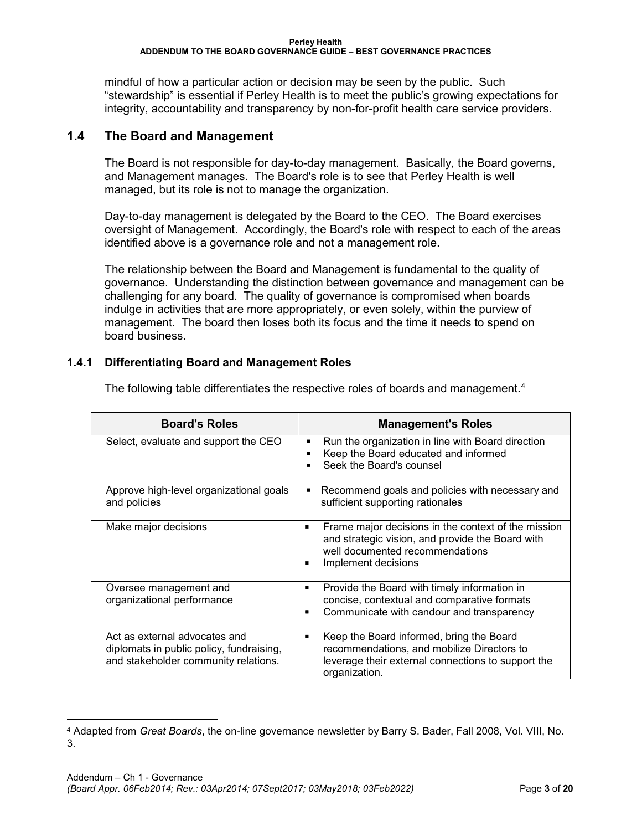mindful of how a particular action or decision may be seen by the public. Such "stewardship" is essential if Perley Health is to meet the public's growing expectations for integrity, accountability and transparency by non-for-profit health care service providers.

# **1.4 The Board and Management**

The Board is not responsible for day-to-day management. Basically, the Board governs, and Management manages. The Board's role is to see that Perley Health is well managed, but its role is not to manage the organization.

Day-to-day management is delegated by the Board to the CEO. The Board exercises oversight of Management. Accordingly, the Board's role with respect to each of the areas identified above is a governance role and not a management role.

The relationship between the Board and Management is fundamental to the quality of governance. Understanding the distinction between governance and management can be challenging for any board. The quality of governance is compromised when boards indulge in activities that are more appropriately, or even solely, within the purview of management. The board then loses both its focus and the time it needs to spend on board business.

# **1.4.1 Differentiating Board and Management Roles**

| <b>Board's Roles</b>                                                                                              | <b>Management's Roles</b>                                                                                                                                                       |
|-------------------------------------------------------------------------------------------------------------------|---------------------------------------------------------------------------------------------------------------------------------------------------------------------------------|
| Select, evaluate and support the CEO                                                                              | Run the organization in line with Board direction<br>Keep the Board educated and informed<br>Seek the Board's counsel                                                           |
| Approve high-level organizational goals<br>and policies                                                           | Recommend goals and policies with necessary and<br>sufficient supporting rationales                                                                                             |
| Make major decisions                                                                                              | Frame major decisions in the context of the mission<br>and strategic vision, and provide the Board with<br>well documented recommendations<br>Implement decisions<br>п          |
| Oversee management and<br>organizational performance                                                              | Provide the Board with timely information in<br>п<br>concise, contextual and comparative formats<br>Communicate with candour and transparency<br>$\blacksquare$                 |
| Act as external advocates and<br>diplomats in public policy, fundraising,<br>and stakeholder community relations. | Keep the Board informed, bring the Board<br>$\blacksquare$<br>recommendations, and mobilize Directors to<br>leverage their external connections to support the<br>organization. |

The following table differentiates the respective roles of boards and management.<sup>[4](#page-4-0)</sup>

 $\overline{\phantom{a}}$ 

<span id="page-4-0"></span><sup>4</sup> Adapted from *Great Boards*, the on-line governance newsletter by Barry S. Bader, Fall 2008, Vol. VIII, No. 3.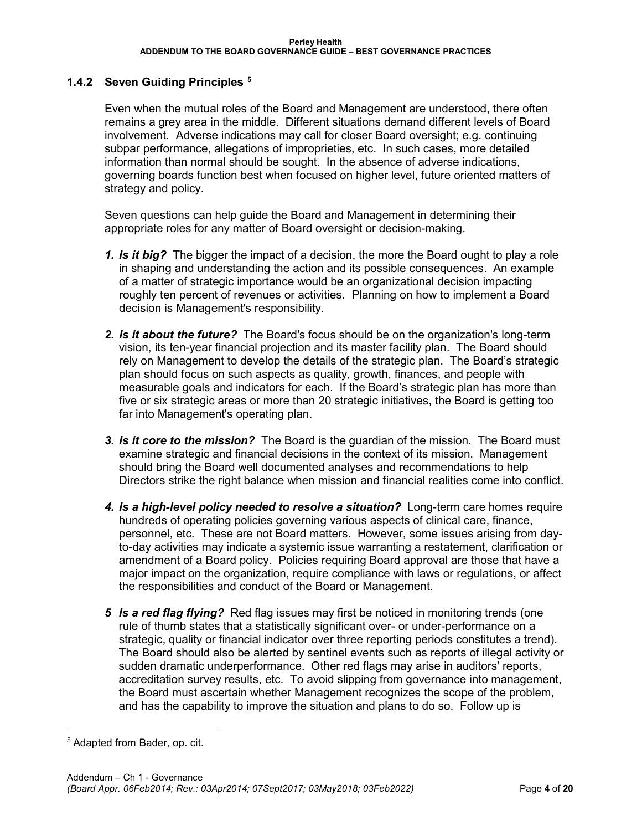# **1.4.2 Seven Guiding Principles [5](#page-5-0)**

Even when the mutual roles of the Board and Management are understood, there often remains a grey area in the middle. Different situations demand different levels of Board involvement. Adverse indications may call for closer Board oversight; e.g. continuing subpar performance, allegations of improprieties, etc. In such cases, more detailed information than normal should be sought. In the absence of adverse indications, governing boards function best when focused on higher level, future oriented matters of strategy and policy.

Seven questions can help guide the Board and Management in determining their appropriate roles for any matter of Board oversight or decision-making.

- *1. Is it big?* The bigger the impact of a decision, the more the Board ought to play a role in shaping and understanding the action and its possible consequences. An example of a matter of strategic importance would be an organizational decision impacting roughly ten percent of revenues or activities. Planning on how to implement a Board decision is Management's responsibility.
- *2. Is it about the future?* The Board's focus should be on the organization's long-term vision, its ten-year financial projection and its master facility plan. The Board should rely on Management to develop the details of the strategic plan. The Board's strategic plan should focus on such aspects as quality, growth, finances, and people with measurable goals and indicators for each. If the Board's strategic plan has more than five or six strategic areas or more than 20 strategic initiatives, the Board is getting too far into Management's operating plan.
- *3. Is it core to the mission?* The Board is the guardian of the mission. The Board must examine strategic and financial decisions in the context of its mission. Management should bring the Board well documented analyses and recommendations to help Directors strike the right balance when mission and financial realities come into conflict.
- *4. Is a high-level policy needed to resolve a situation?* Long-term care homes require hundreds of operating policies governing various aspects of clinical care, finance, personnel, etc. These are not Board matters. However, some issues arising from dayto-day activities may indicate a systemic issue warranting a restatement, clarification or amendment of a Board policy. Policies requiring Board approval are those that have a major impact on the organization, require compliance with laws or regulations, or affect the responsibilities and conduct of the Board or Management.
- *5 Is a red flag flying?* Red flag issues may first be noticed in monitoring trends (one rule of thumb states that a statistically significant over- or under-performance on a strategic, quality or financial indicator over three reporting periods constitutes a trend). The Board should also be alerted by sentinel events such as reports of illegal activity or sudden dramatic underperformance. Other red flags may arise in auditors' reports, accreditation survey results, etc. To avoid slipping from governance into management, the Board must ascertain whether Management recognizes the scope of the problem, and has the capability to improve the situation and plans to do so. Follow up is

<span id="page-5-0"></span> $5$  Adapted from Bader, op. cit.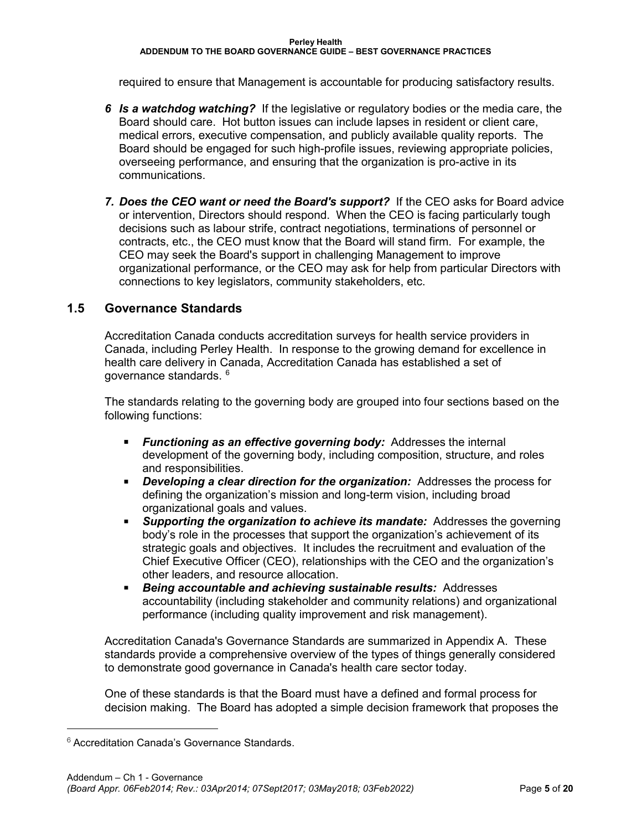required to ensure that Management is accountable for producing satisfactory results.

- *6 Is a watchdog watching?* If the legislative or regulatory bodies or the media care, the Board should care. Hot button issues can include lapses in resident or client care, medical errors, executive compensation, and publicly available quality reports. The Board should be engaged for such high-profile issues, reviewing appropriate policies, overseeing performance, and ensuring that the organization is pro-active in its communications.
- *7. Does the CEO want or need the Board's support?* If the CEO asks for Board advice or intervention, Directors should respond. When the CEO is facing particularly tough decisions such as labour strife, contract negotiations, terminations of personnel or contracts, etc., the CEO must know that the Board will stand firm. For example, the CEO may seek the Board's support in challenging Management to improve organizational performance, or the CEO may ask for help from particular Directors with connections to key legislators, community stakeholders, etc.

# **1.5 Governance Standards**

Accreditation Canada conducts accreditation surveys for health service providers in Canada, including Perley Health. In response to the growing demand for excellence in health care delivery in Canada, Accreditation Canada has established a set of governance standards. [6](#page-6-0)

The standards relating to the governing body are grouped into four sections based on the following functions:

- *Functioning as an effective governing body:* Addresses the internal development of the governing body, including composition, structure, and roles and responsibilities.
- *Developing a clear direction for the organization:* Addresses the process for defining the organization's mission and long-term vision, including broad organizational goals and values.
- *Supporting the organization to achieve its mandate:* Addresses the governing body's role in the processes that support the organization's achievement of its strategic goals and objectives. It includes the recruitment and evaluation of the Chief Executive Officer (CEO), relationships with the CEO and the organization's other leaders, and resource allocation.
- *Being accountable and achieving sustainable results:* Addresses accountability (including stakeholder and community relations) and organizational performance (including quality improvement and risk management).

Accreditation Canada's Governance Standards are summarized in Appendix A. These standards provide a comprehensive overview of the types of things generally considered to demonstrate good governance in Canada's health care sector today.

One of these standards is that the Board must have a defined and formal process for decision making. The Board has adopted a simple decision framework that proposes the

<span id="page-6-0"></span> $6$  Accreditation Canada's Governance Standards.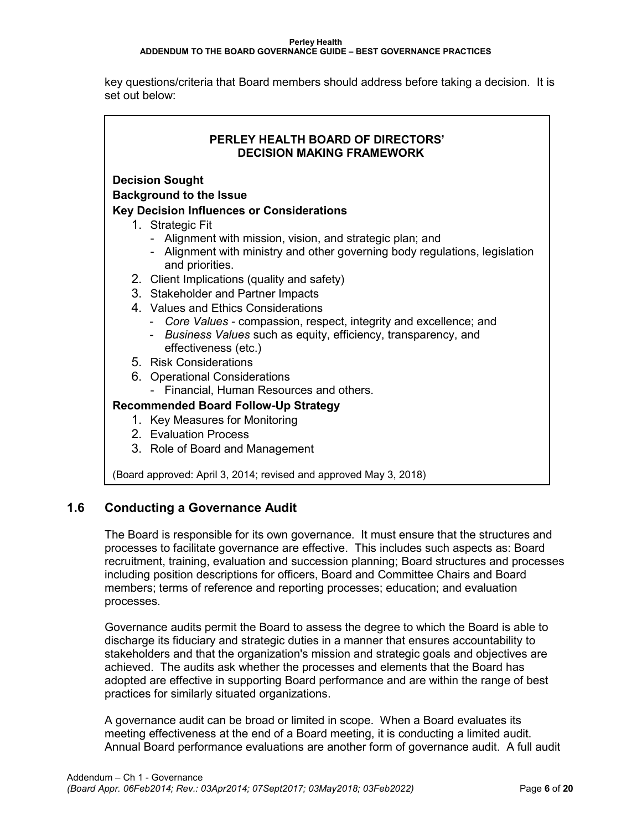key questions/criteria that Board members should address before taking a decision. It is set out below:

### **PERLEY HEALTH BOARD OF DIRECTORS' DECISION MAKING FRAMEWORK**

**Decision Sought Background to the Issue**

#### **Key Decision Influences or Considerations**

- 1. Strategic Fit
	- Alignment with mission, vision, and strategic plan; and
	- Alignment with ministry and other governing body regulations, legislation and priorities.
- 2. Client Implications (quality and safety)
- 3. Stakeholder and Partner Impacts
- 4. Values and Ethics Considerations
	- *Core Values -* compassion, respect, integrity and excellence; and
	- *Business Values* such as equity, efficiency, transparency, and effectiveness (etc.)
- 5. Risk Considerations
- 6. Operational Considerations
	- Financial, Human Resources and others.

# **Recommended Board Follow-Up Strategy**

- 1. Key Measures for Monitoring
- 2. Evaluation Process
- 3. Role of Board and Management

(Board approved: April 3, 2014; revised and approved May 3, 2018)

# **1.6 Conducting a Governance Audit**

The Board is responsible for its own governance. It must ensure that the structures and processes to facilitate governance are effective. This includes such aspects as: Board recruitment, training, evaluation and succession planning; Board structures and processes including position descriptions for officers, Board and Committee Chairs and Board members; terms of reference and reporting processes; education; and evaluation processes.

Governance audits permit the Board to assess the degree to which the Board is able to discharge its fiduciary and strategic duties in a manner that ensures accountability to stakeholders and that the organization's mission and strategic goals and objectives are achieved. The audits ask whether the processes and elements that the Board has adopted are effective in supporting Board performance and are within the range of best practices for similarly situated organizations.

A governance audit can be broad or limited in scope. When a Board evaluates its meeting effectiveness at the end of a Board meeting, it is conducting a limited audit. Annual Board performance evaluations are another form of governance audit. A full audit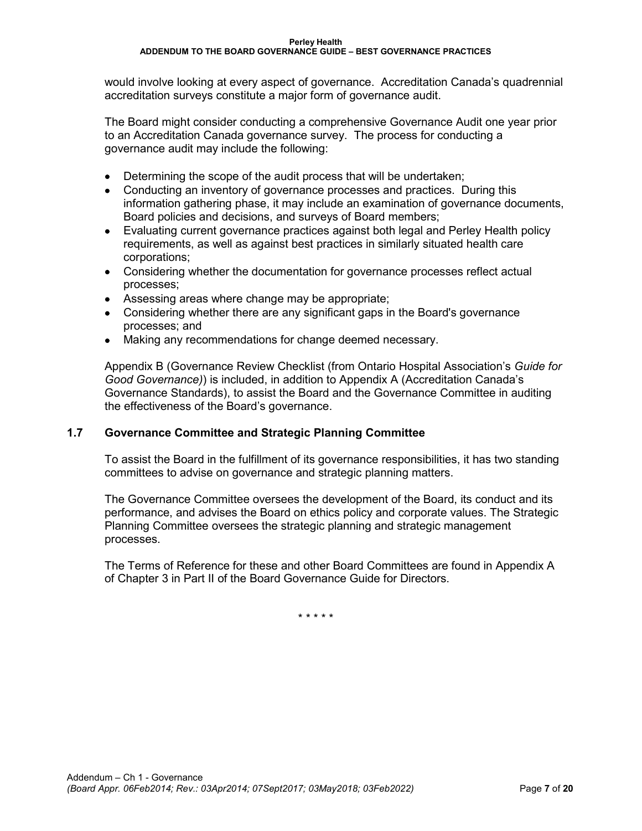would involve looking at every aspect of governance. Accreditation Canada's quadrennial accreditation surveys constitute a major form of governance audit.

The Board might consider conducting a comprehensive Governance Audit one year prior to an Accreditation Canada governance survey. The process for conducting a governance audit may include the following:

- Determining the scope of the audit process that will be undertaken;
- Conducting an inventory of governance processes and practices. During this information gathering phase, it may include an examination of governance documents, Board policies and decisions, and surveys of Board members;
- Evaluating current governance practices against both legal and Perley Health policy requirements, as well as against best practices in similarly situated health care corporations;
- Considering whether the documentation for governance processes reflect actual processes;
- Assessing areas where change may be appropriate;
- Considering whether there are any significant gaps in the Board's governance processes; and
- Making any recommendations for change deemed necessary.

Appendix B (Governance Review Checklist (from Ontario Hospital Association's *Guide for Good Governance)*) is included, in addition to Appendix A (Accreditation Canada's Governance Standards), to assist the Board and the Governance Committee in auditing the effectiveness of the Board's governance.

# **1.7 Governance Committee and Strategic Planning Committee**

To assist the Board in the fulfillment of its governance responsibilities, it has two standing committees to advise on governance and strategic planning matters.

The Governance Committee oversees the development of the Board, its conduct and its performance, and advises the Board on ethics policy and corporate values. The Strategic Planning Committee oversees the strategic planning and strategic management processes.

The Terms of Reference for these and other Board Committees are found in Appendix A of Chapter 3 in Part II of the Board Governance Guide for Directors.

\* \* \* \* \*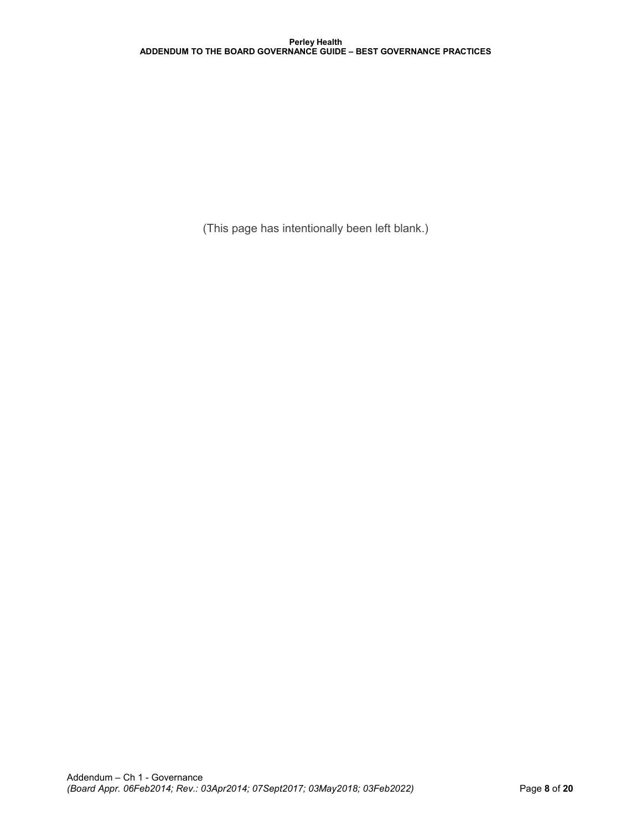(This page has intentionally been left blank.)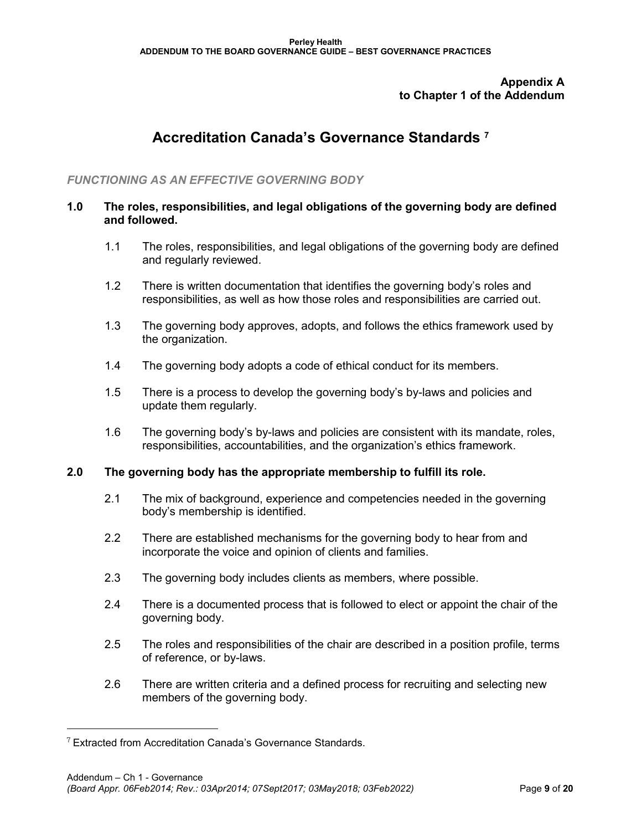# **Appendix A to Chapter 1 of the Addendum**

# **Accreditation Canada's Governance Standards [7](#page-10-0)**

# *FUNCTIONING AS AN EFFECTIVE GOVERNING BODY*

#### **1.0 The roles, responsibilities, and legal obligations of the governing body are defined and followed.**

- 1.1 The roles, responsibilities, and legal obligations of the governing body are defined and regularly reviewed.
- 1.2 There is written documentation that identifies the governing body's roles and responsibilities, as well as how those roles and responsibilities are carried out.
- 1.3 The governing body approves, adopts, and follows the ethics framework used by the organization.
- 1.4 The governing body adopts a code of ethical conduct for its members.
- 1.5 There is a process to develop the governing body's by-laws and policies and update them regularly.
- 1.6 The governing body's by-laws and policies are consistent with its mandate, roles, responsibilities, accountabilities, and the organization's ethics framework.

# **2.0 The governing body has the appropriate membership to fulfill its role.**

- 2.1 The mix of background, experience and competencies needed in the governing body's membership is identified.
- 2.2 There are established mechanisms for the governing body to hear from and incorporate the voice and opinion of clients and families.
- 2.3 The governing body includes clients as members, where possible.
- 2.4 There is a documented process that is followed to elect or appoint the chair of the governing body.
- 2.5 The roles and responsibilities of the chair are described in a position profile, terms of reference, or by-laws.
- 2.6 There are written criteria and a defined process for recruiting and selecting new members of the governing body.

<span id="page-10-0"></span> $7$  Extracted from Accreditation Canada's Governance Standards.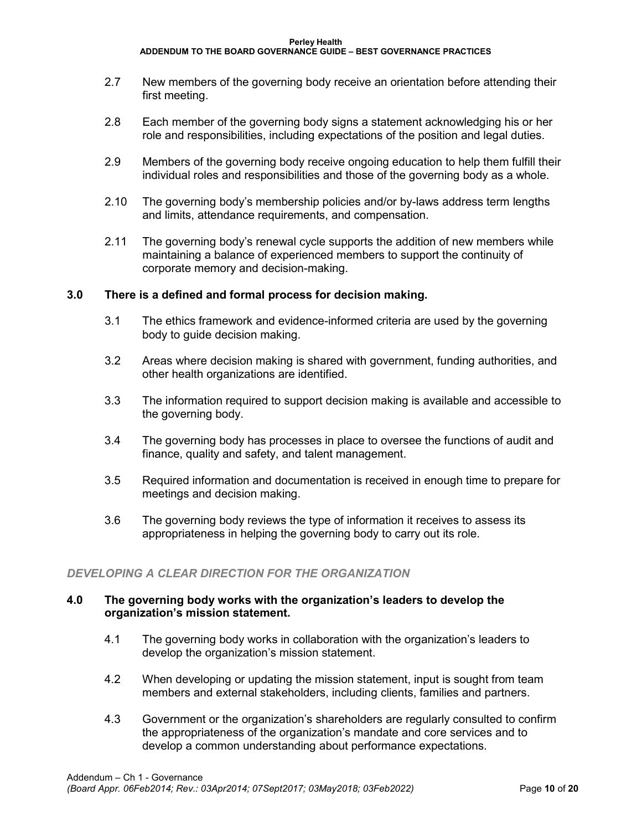#### **Perley Health**

### **ADDENDUM TO THE BOARD GOVERNANCE GUIDE – BEST GOVERNANCE PRACTICES**

- 2.7 New members of the governing body receive an orientation before attending their first meeting.
- 2.8 Each member of the governing body signs a statement acknowledging his or her role and responsibilities, including expectations of the position and legal duties.
- 2.9 Members of the governing body receive ongoing education to help them fulfill their individual roles and responsibilities and those of the governing body as a whole.
- 2.10 The governing body's membership policies and/or by-laws address term lengths and limits, attendance requirements, and compensation.
- 2.11 The governing body's renewal cycle supports the addition of new members while maintaining a balance of experienced members to support the continuity of corporate memory and decision-making.

### **3.0 There is a defined and formal process for decision making.**

- 3.1 The ethics framework and evidence-informed criteria are used by the governing body to guide decision making.
- 3.2 Areas where decision making is shared with government, funding authorities, and other health organizations are identified.
- 3.3 The information required to support decision making is available and accessible to the governing body.
- 3.4 The governing body has processes in place to oversee the functions of audit and finance, quality and safety, and talent management.
- 3.5 Required information and documentation is received in enough time to prepare for meetings and decision making.
- 3.6 The governing body reviews the type of information it receives to assess its appropriateness in helping the governing body to carry out its role.

#### *DEVELOPING A CLEAR DIRECTION FOR THE ORGANIZATION*

### **4.0 The governing body works with the organization's leaders to develop the organization's mission statement.**

- 4.1 The governing body works in collaboration with the organization's leaders to develop the organization's mission statement.
- 4.2 When developing or updating the mission statement, input is sought from team members and external stakeholders, including clients, families and partners.
- 4.3 Government or the organization's shareholders are regularly consulted to confirm the appropriateness of the organization's mandate and core services and to develop a common understanding about performance expectations.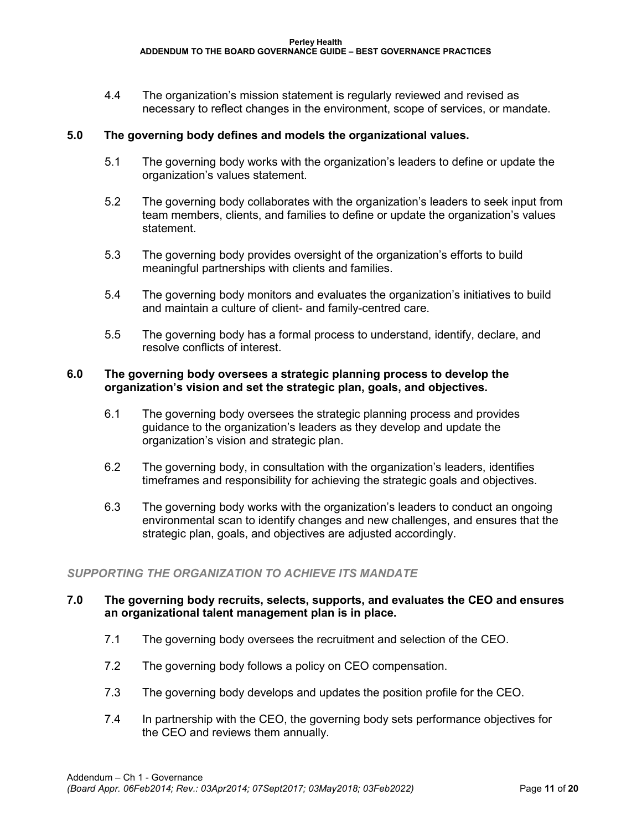4.4 The organization's mission statement is regularly reviewed and revised as necessary to reflect changes in the environment, scope of services, or mandate.

#### **5.0 The governing body defines and models the organizational values.**

- 5.1 The governing body works with the organization's leaders to define or update the organization's values statement.
- 5.2 The governing body collaborates with the organization's leaders to seek input from team members, clients, and families to define or update the organization's values statement.
- 5.3 The governing body provides oversight of the organization's efforts to build meaningful partnerships with clients and families.
- 5.4 The governing body monitors and evaluates the organization's initiatives to build and maintain a culture of client- and family-centred care.
- 5.5 The governing body has a formal process to understand, identify, declare, and resolve conflicts of interest.

#### **6.0 The governing body oversees a strategic planning process to develop the organization's vision and set the strategic plan, goals, and objectives.**

- 6.1 The governing body oversees the strategic planning process and provides guidance to the organization's leaders as they develop and update the organization's vision and strategic plan.
- 6.2 The governing body, in consultation with the organization's leaders, identifies timeframes and responsibility for achieving the strategic goals and objectives.
- 6.3 The governing body works with the organization's leaders to conduct an ongoing environmental scan to identify changes and new challenges, and ensures that the strategic plan, goals, and objectives are adjusted accordingly.

#### *SUPPORTING THE ORGANIZATION TO ACHIEVE ITS MANDATE*

### **7.0 The governing body recruits, selects, supports, and evaluates the CEO and ensures an organizational talent management plan is in place.**

- 7.1 The governing body oversees the recruitment and selection of the CEO.
- 7.2 The governing body follows a policy on CEO compensation.
- 7.3 The governing body develops and updates the position profile for the CEO.
- 7.4 In partnership with the CEO, the governing body sets performance objectives for the CEO and reviews them annually.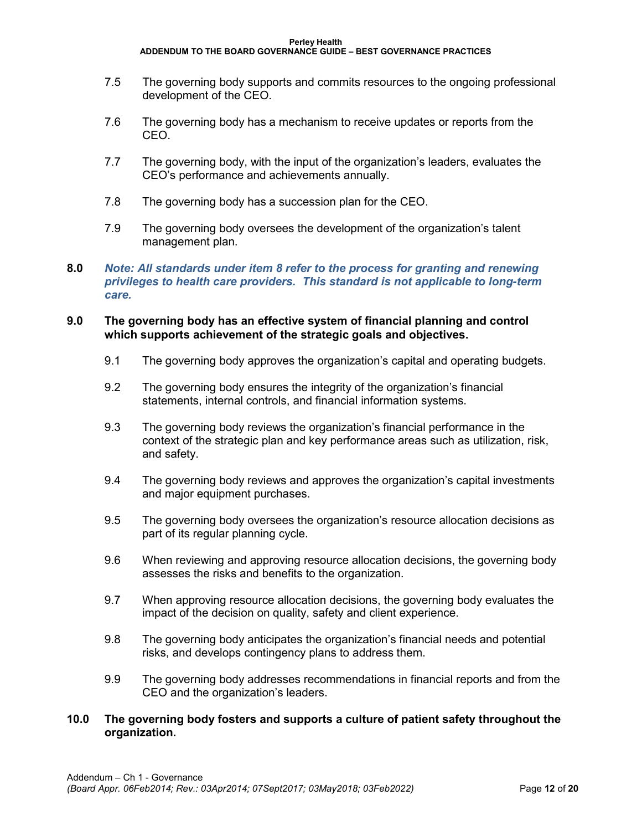- 7.5 The governing body supports and commits resources to the ongoing professional development of the CEO.
- 7.6 The governing body has a mechanism to receive updates or reports from the CEO.
- 7.7 The governing body, with the input of the organization's leaders, evaluates the CEO's performance and achievements annually.
- 7.8 The governing body has a succession plan for the CEO.
- 7.9 The governing body oversees the development of the organization's talent management plan.

#### **8.0** *Note: All standards under item 8 refer to the process for granting and renewing privileges to health care providers. This standard is not applicable to long-term care.*

### **9.0 The governing body has an effective system of financial planning and control which supports achievement of the strategic goals and objectives.**

- 9.1 The governing body approves the organization's capital and operating budgets.
- 9.2 The governing body ensures the integrity of the organization's financial statements, internal controls, and financial information systems.
- 9.3 The governing body reviews the organization's financial performance in the context of the strategic plan and key performance areas such as utilization, risk, and safety.
- 9.4 The governing body reviews and approves the organization's capital investments and major equipment purchases.
- 9.5 The governing body oversees the organization's resource allocation decisions as part of its regular planning cycle.
- 9.6 When reviewing and approving resource allocation decisions, the governing body assesses the risks and benefits to the organization.
- 9.7 When approving resource allocation decisions, the governing body evaluates the impact of the decision on quality, safety and client experience.
- 9.8 The governing body anticipates the organization's financial needs and potential risks, and develops contingency plans to address them.
- 9.9 The governing body addresses recommendations in financial reports and from the CEO and the organization's leaders.

### **10.0 The governing body fosters and supports a culture of patient safety throughout the organization.**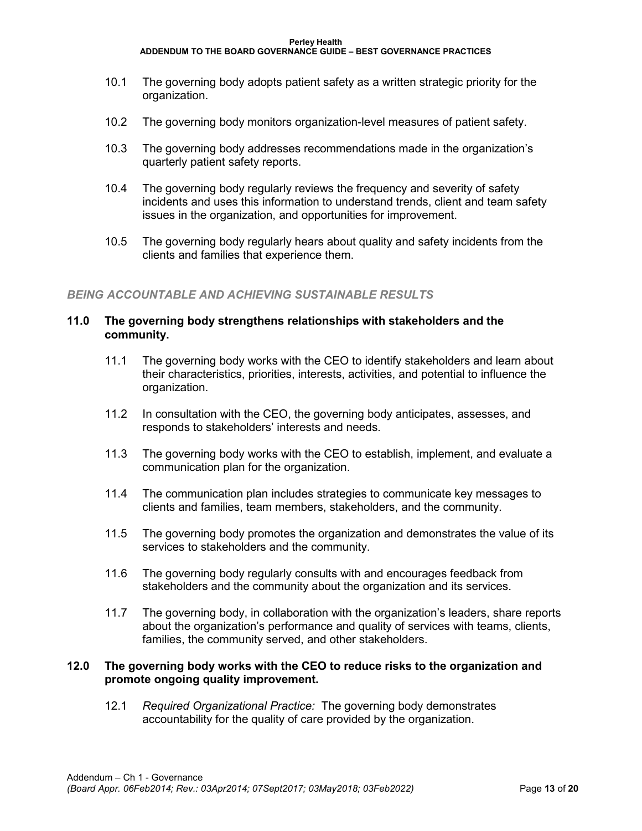**Perley Health**

**ADDENDUM TO THE BOARD GOVERNANCE GUIDE – BEST GOVERNANCE PRACTICES**

- 10.1 The governing body adopts patient safety as a written strategic priority for the organization.
- 10.2 The governing body monitors organization-level measures of patient safety.
- 10.3 The governing body addresses recommendations made in the organization's quarterly patient safety reports.
- 10.4 The governing body regularly reviews the frequency and severity of safety incidents and uses this information to understand trends, client and team safety issues in the organization, and opportunities for improvement.
- 10.5 The governing body regularly hears about quality and safety incidents from the clients and families that experience them.

#### *BEING ACCOUNTABLE AND ACHIEVING SUSTAINABLE RESULTS*

#### **11.0 The governing body strengthens relationships with stakeholders and the community.**

- 11.1 The governing body works with the CEO to identify stakeholders and learn about their characteristics, priorities, interests, activities, and potential to influence the organization.
- 11.2 In consultation with the CEO, the governing body anticipates, assesses, and responds to stakeholders' interests and needs.
- 11.3 The governing body works with the CEO to establish, implement, and evaluate a communication plan for the organization.
- 11.4 The communication plan includes strategies to communicate key messages to clients and families, team members, stakeholders, and the community.
- 11.5 The governing body promotes the organization and demonstrates the value of its services to stakeholders and the community.
- 11.6 The governing body regularly consults with and encourages feedback from stakeholders and the community about the organization and its services.
- 11.7 The governing body, in collaboration with the organization's leaders, share reports about the organization's performance and quality of services with teams, clients, families, the community served, and other stakeholders.

#### **12.0 The governing body works with the CEO to reduce risks to the organization and promote ongoing quality improvement.**

12.1 *Required Organizational Practice:* The governing body demonstrates accountability for the quality of care provided by the organization.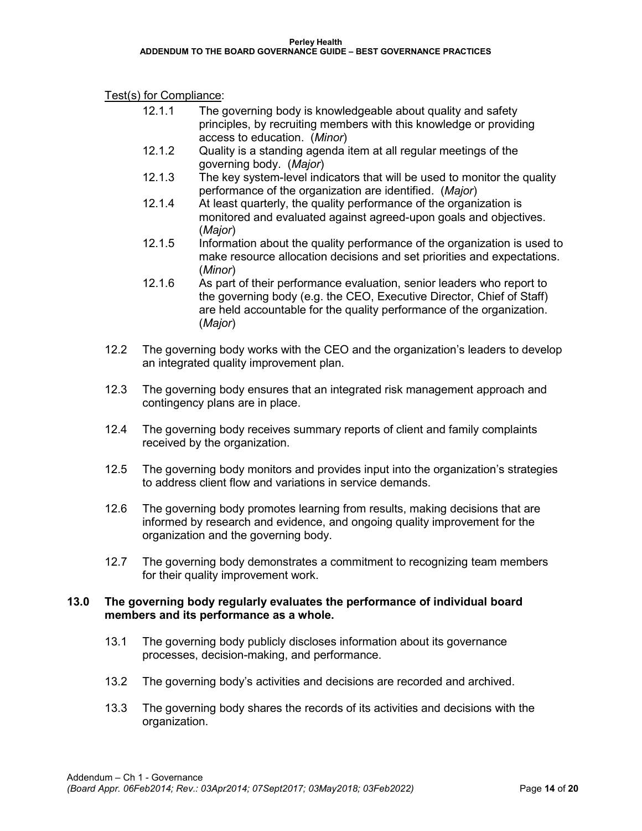Test(s) for Compliance:

- 12.1.1 The governing body is knowledgeable about quality and safety principles, by recruiting members with this knowledge or providing access to education. (*Minor*)
- 12.1.2 Quality is a standing agenda item at all regular meetings of the governing body. (*Major*)
- 12.1.3 The key system-level indicators that will be used to monitor the quality performance of the organization are identified. (*Major*)
- 12.1.4 At least quarterly, the quality performance of the organization is monitored and evaluated against agreed-upon goals and objectives. (*Major*)
- 12.1.5 Information about the quality performance of the organization is used to make resource allocation decisions and set priorities and expectations. (*Minor*)
- 12.1.6 As part of their performance evaluation, senior leaders who report to the governing body (e.g. the CEO, Executive Director, Chief of Staff) are held accountable for the quality performance of the organization. (*Major*)
- 12.2 The governing body works with the CEO and the organization's leaders to develop an integrated quality improvement plan.
- 12.3 The governing body ensures that an integrated risk management approach and contingency plans are in place.
- 12.4 The governing body receives summary reports of client and family complaints received by the organization.
- 12.5 The governing body monitors and provides input into the organization's strategies to address client flow and variations in service demands.
- 12.6 The governing body promotes learning from results, making decisions that are informed by research and evidence, and ongoing quality improvement for the organization and the governing body.
- 12.7 The governing body demonstrates a commitment to recognizing team members for their quality improvement work.

# **13.0 The governing body regularly evaluates the performance of individual board members and its performance as a whole.**

- 13.1 The governing body publicly discloses information about its governance processes, decision-making, and performance.
- 13.2 The governing body's activities and decisions are recorded and archived.
- 13.3 The governing body shares the records of its activities and decisions with the organization.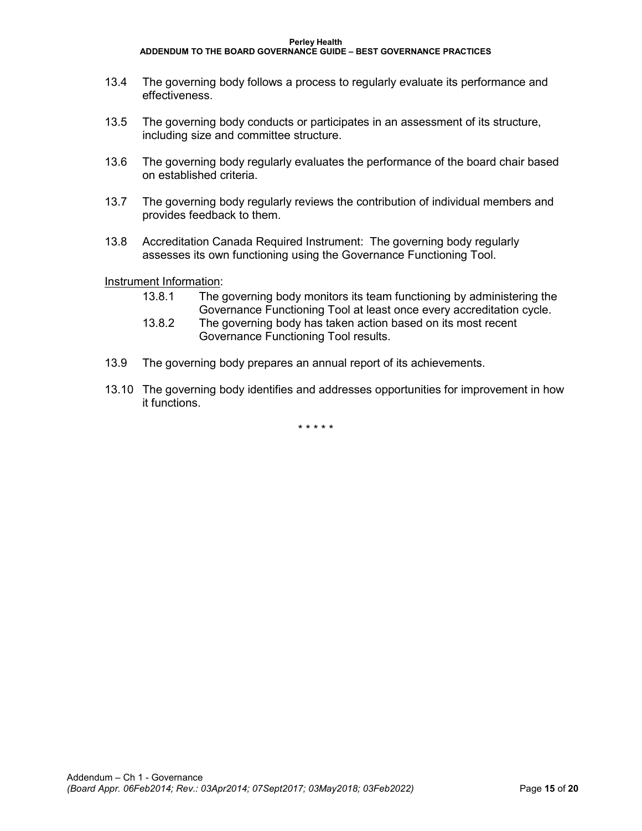**Perley Health**

#### **ADDENDUM TO THE BOARD GOVERNANCE GUIDE – BEST GOVERNANCE PRACTICES**

- 13.4 The governing body follows a process to regularly evaluate its performance and effectiveness.
- 13.5 The governing body conducts or participates in an assessment of its structure, including size and committee structure.
- 13.6 The governing body regularly evaluates the performance of the board chair based on established criteria.
- 13.7 The governing body regularly reviews the contribution of individual members and provides feedback to them.
- 13.8 Accreditation Canada Required Instrument: The governing body regularly assesses its own functioning using the Governance Functioning Tool.

#### Instrument Information:

- 13.8.1 The governing body monitors its team functioning by administering the Governance Functioning Tool at least once every accreditation cycle.
- 13.8.2 The governing body has taken action based on its most recent Governance Functioning Tool results.
- 13.9 The governing body prepares an annual report of its achievements.
- 13.10 The governing body identifies and addresses opportunities for improvement in how it functions.

\* \* \* \* \*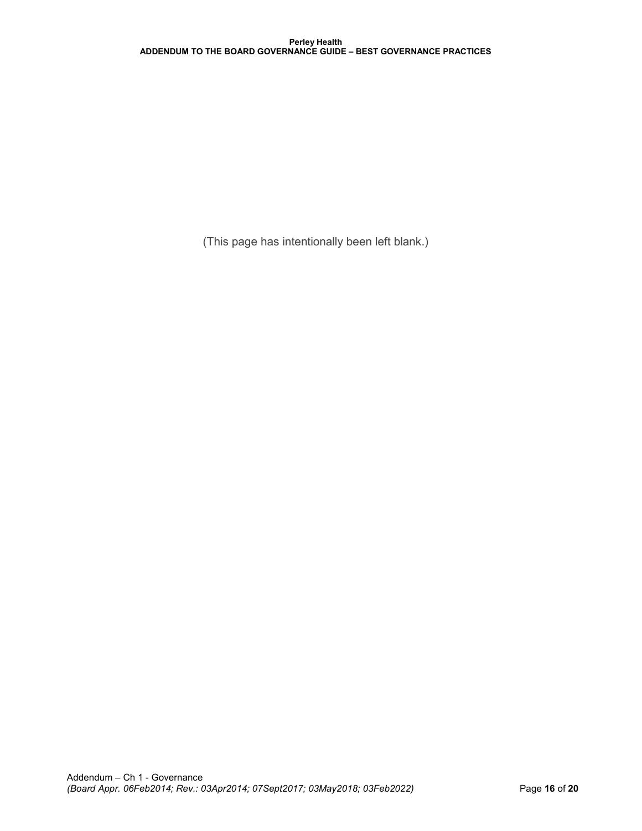(This page has intentionally been left blank.)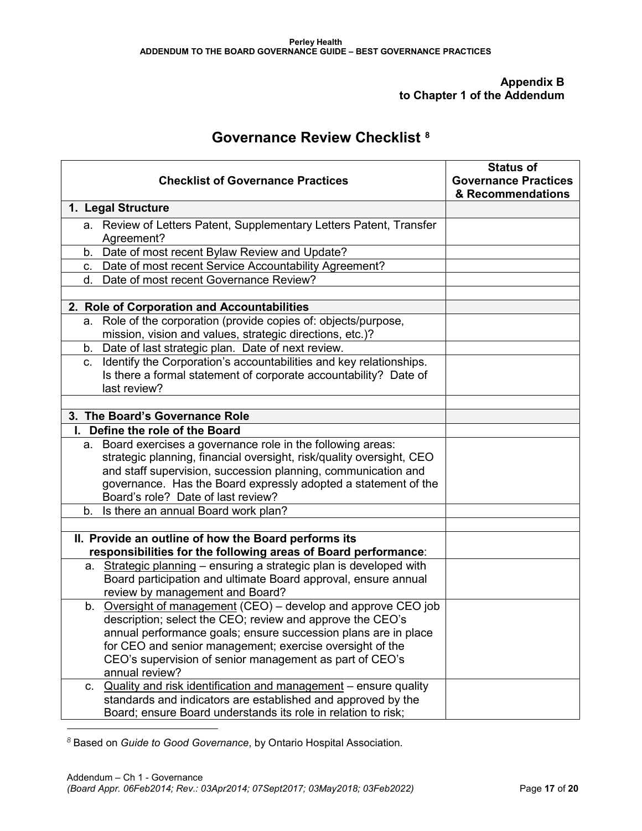# **Appendix B to Chapter 1 of the Addendum**

# **Governance Review Checklist [8](#page-18-0)**

| <b>Checklist of Governance Practices</b>                                                                                                                                                                                                                                                                      | <b>Status of</b><br><b>Governance Practices</b><br>& Recommendations |
|---------------------------------------------------------------------------------------------------------------------------------------------------------------------------------------------------------------------------------------------------------------------------------------------------------------|----------------------------------------------------------------------|
| 1. Legal Structure                                                                                                                                                                                                                                                                                            |                                                                      |
| a. Review of Letters Patent, Supplementary Letters Patent, Transfer<br>Agreement?                                                                                                                                                                                                                             |                                                                      |
| b. Date of most recent Bylaw Review and Update?                                                                                                                                                                                                                                                               |                                                                      |
| c. Date of most recent Service Accountability Agreement?                                                                                                                                                                                                                                                      |                                                                      |
| d. Date of most recent Governance Review?                                                                                                                                                                                                                                                                     |                                                                      |
|                                                                                                                                                                                                                                                                                                               |                                                                      |
| 2. Role of Corporation and Accountabilities                                                                                                                                                                                                                                                                   |                                                                      |
| a. Role of the corporation (provide copies of: objects/purpose,<br>mission, vision and values, strategic directions, etc.)?                                                                                                                                                                                   |                                                                      |
| b. Date of last strategic plan. Date of next review.                                                                                                                                                                                                                                                          |                                                                      |
| c. Identify the Corporation's accountabilities and key relationships.                                                                                                                                                                                                                                         |                                                                      |
| Is there a formal statement of corporate accountability? Date of                                                                                                                                                                                                                                              |                                                                      |
| last review?                                                                                                                                                                                                                                                                                                  |                                                                      |
|                                                                                                                                                                                                                                                                                                               |                                                                      |
| 3. The Board's Governance Role                                                                                                                                                                                                                                                                                |                                                                      |
| I. Define the role of the Board                                                                                                                                                                                                                                                                               |                                                                      |
| a. Board exercises a governance role in the following areas:<br>strategic planning, financial oversight, risk/quality oversight, CEO<br>and staff supervision, succession planning, communication and<br>governance. Has the Board expressly adopted a statement of the<br>Board's role? Date of last review? |                                                                      |
| b. Is there an annual Board work plan?                                                                                                                                                                                                                                                                        |                                                                      |
|                                                                                                                                                                                                                                                                                                               |                                                                      |
| II. Provide an outline of how the Board performs its<br>responsibilities for the following areas of Board performance:                                                                                                                                                                                        |                                                                      |
| a. Strategic planning - ensuring a strategic plan is developed with<br>Board participation and ultimate Board approval, ensure annual<br>review by management and Board?                                                                                                                                      |                                                                      |
| b. Oversight of management (CEO) – develop and approve CEO job<br>description; select the CEO; review and approve the CEO's                                                                                                                                                                                   |                                                                      |
| annual performance goals; ensure succession plans are in place<br>for CEO and senior management; exercise oversight of the<br>CEO's supervision of senior management as part of CEO's<br>annual review?                                                                                                       |                                                                      |
| Quality and risk identification and management - ensure quality<br>C.<br>standards and indicators are established and approved by the<br>Board; ensure Board understands its role in relation to risk;                                                                                                        |                                                                      |

<span id="page-18-0"></span>*<sup>8</sup>* Based on *Guide to Good Governance*, by Ontario Hospital Association.

 $\overline{\phantom{a}}$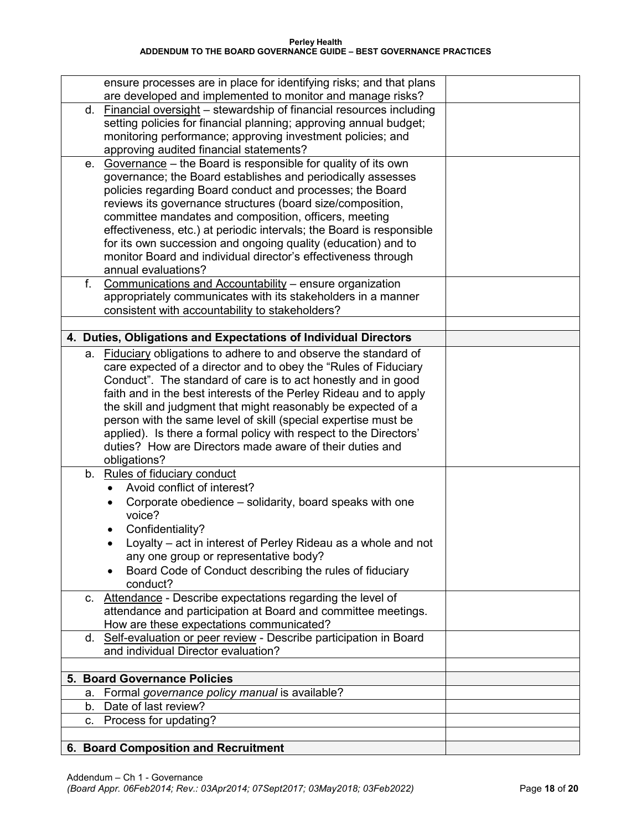|    | ensure processes are in place for identifying risks; and that plans                                                                 |  |
|----|-------------------------------------------------------------------------------------------------------------------------------------|--|
|    | are developed and implemented to monitor and manage risks?<br>d. Financial oversight - stewardship of financial resources including |  |
|    | setting policies for financial planning; approving annual budget;                                                                   |  |
|    | monitoring performance; approving investment policies; and                                                                          |  |
|    | approving audited financial statements?                                                                                             |  |
|    | e. Governance - the Board is responsible for quality of its own                                                                     |  |
|    | governance; the Board establishes and periodically assesses                                                                         |  |
|    | policies regarding Board conduct and processes; the Board                                                                           |  |
|    | reviews its governance structures (board size/composition,                                                                          |  |
|    | committee mandates and composition, officers, meeting                                                                               |  |
|    | effectiveness, etc.) at periodic intervals; the Board is responsible                                                                |  |
|    | for its own succession and ongoing quality (education) and to                                                                       |  |
|    | monitor Board and individual director's effectiveness through<br>annual evaluations?                                                |  |
| f. | Communications and Accountability - ensure organization                                                                             |  |
|    | appropriately communicates with its stakeholders in a manner                                                                        |  |
|    | consistent with accountability to stakeholders?                                                                                     |  |
|    |                                                                                                                                     |  |
|    | 4. Duties, Obligations and Expectations of Individual Directors                                                                     |  |
|    | a. Fiduciary obligations to adhere to and observe the standard of                                                                   |  |
|    | care expected of a director and to obey the "Rules of Fiduciary                                                                     |  |
|    | Conduct". The standard of care is to act honestly and in good                                                                       |  |
|    | faith and in the best interests of the Perley Rideau and to apply                                                                   |  |
|    | the skill and judgment that might reasonably be expected of a<br>person with the same level of skill (special expertise must be     |  |
|    | applied). Is there a formal policy with respect to the Directors'                                                                   |  |
|    | duties? How are Directors made aware of their duties and                                                                            |  |
|    | obligations?                                                                                                                        |  |
|    | b. Rules of fiduciary conduct                                                                                                       |  |
|    | Avoid conflict of interest?<br>$\bullet$                                                                                            |  |
|    | Corporate obedience – solidarity, board speaks with one                                                                             |  |
|    | voice?                                                                                                                              |  |
|    | Confidentiality?                                                                                                                    |  |
|    | Loyalty – act in interest of Perley Rideau as a whole and not                                                                       |  |
|    | any one group or representative body?                                                                                               |  |
|    | Board Code of Conduct describing the rules of fiduciary<br>$\bullet$                                                                |  |
|    | conduct?<br>c. Attendance - Describe expectations regarding the level of                                                            |  |
|    | attendance and participation at Board and committee meetings.                                                                       |  |
|    | How are these expectations communicated?                                                                                            |  |
|    | d. Self-evaluation or peer review - Describe participation in Board                                                                 |  |
|    | and individual Director evaluation?                                                                                                 |  |
|    |                                                                                                                                     |  |
|    | 5. Board Governance Policies                                                                                                        |  |
| а. | Formal governance policy manual is available?<br>Date of last review?                                                               |  |
| b. |                                                                                                                                     |  |
| С. | Process for updating?                                                                                                               |  |
|    | 6. Board Composition and Recruitment                                                                                                |  |
|    |                                                                                                                                     |  |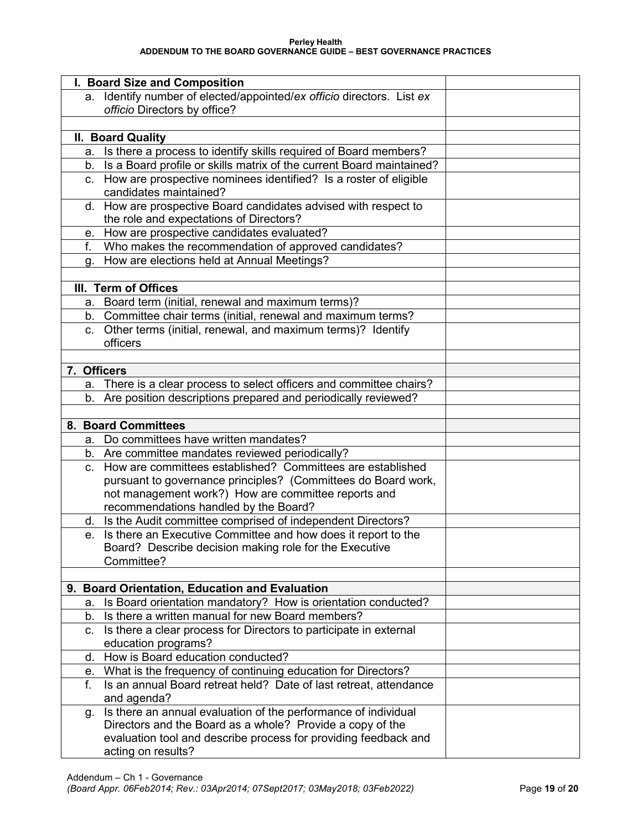| I. Board Size and Composition |                                                                                       |  |
|-------------------------------|---------------------------------------------------------------------------------------|--|
|                               | a. Identify number of elected/appointed/ex officio directors. List ex                 |  |
|                               | officio Directors by office?                                                          |  |
|                               |                                                                                       |  |
|                               | II. Board Quality                                                                     |  |
| а.                            | Is there a process to identify skills required of Board members?                      |  |
|                               | b. Is a Board profile or skills matrix of the current Board maintained?               |  |
|                               | c. How are prospective nominees identified? Is a roster of eligible                   |  |
|                               | candidates maintained?                                                                |  |
|                               | d. How are prospective Board candidates advised with respect to                       |  |
|                               | the role and expectations of Directors?                                               |  |
|                               | e. How are prospective candidates evaluated?                                          |  |
| f.                            | Who makes the recommendation of approved candidates?                                  |  |
| q.                            | How are elections held at Annual Meetings?                                            |  |
|                               |                                                                                       |  |
|                               | III. Term of Offices                                                                  |  |
|                               | a. Board term (initial, renewal and maximum terms)?                                   |  |
|                               | b. Committee chair terms (initial, renewal and maximum terms?                         |  |
|                               | c. Other terms (initial, renewal, and maximum terms)? Identify                        |  |
|                               | officers                                                                              |  |
|                               |                                                                                       |  |
| 7. Officers                   |                                                                                       |  |
|                               | a. There is a clear process to select officers and committee chairs?                  |  |
|                               | b. Are position descriptions prepared and periodically reviewed?                      |  |
|                               | 8. Board Committees                                                                   |  |
| а.                            | Do committees have written mandates?                                                  |  |
|                               | b. Are committee mandates reviewed periodically?                                      |  |
|                               | c. How are committees established? Committees are established                         |  |
|                               | pursuant to governance principles? (Committees do Board work,                         |  |
|                               | not management work?) How are committee reports and                                   |  |
|                               | recommendations handled by the Board?                                                 |  |
|                               | d. Is the Audit committee comprised of independent Directors?                         |  |
|                               | e. Is there an Executive Committee and how does it report to the                      |  |
|                               | Board? Describe decision making role for the Executive                                |  |
|                               | Committee?                                                                            |  |
|                               |                                                                                       |  |
|                               | 9. Board Orientation, Education and Evaluation                                        |  |
| a.                            | Is Board orientation mandatory? How is orientation conducted?                         |  |
| b.                            | Is there a written manual for new Board members?                                      |  |
| C.                            | Is there a clear process for Directors to participate in external                     |  |
|                               | education programs?                                                                   |  |
| d.                            | How is Board education conducted?                                                     |  |
|                               | e. What is the frequency of continuing education for Directors?                       |  |
| f.                            | Is an annual Board retreat held? Date of last retreat, attendance                     |  |
|                               | and agenda?                                                                           |  |
|                               | g. Is there an annual evaluation of the performance of individual                     |  |
|                               | Directors and the Board as a whole? Provide a copy of the                             |  |
|                               |                                                                                       |  |
|                               | evaluation tool and describe process for providing feedback and<br>acting on results? |  |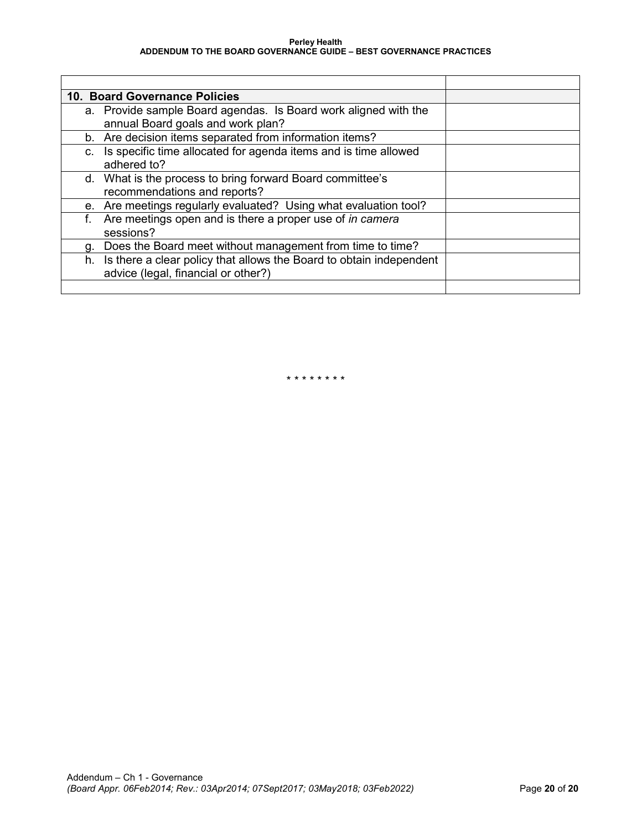| 10. Board Governance Policies                                          |  |
|------------------------------------------------------------------------|--|
| a. Provide sample Board agendas. Is Board work aligned with the        |  |
| annual Board goals and work plan?                                      |  |
| b. Are decision items separated from information items?                |  |
| c. Is specific time allocated for agenda items and is time allowed     |  |
| adhered to?                                                            |  |
| d. What is the process to bring forward Board committee's              |  |
| recommendations and reports?                                           |  |
| e. Are meetings regularly evaluated? Using what evaluation tool?       |  |
| Are meetings open and is there a proper use of in camera               |  |
| sessions?                                                              |  |
| Does the Board meet without management from time to time?<br>g.        |  |
| h. Is there a clear policy that allows the Board to obtain independent |  |
| advice (legal, financial or other?)                                    |  |
|                                                                        |  |

\* \* \* \* \* \* \* \*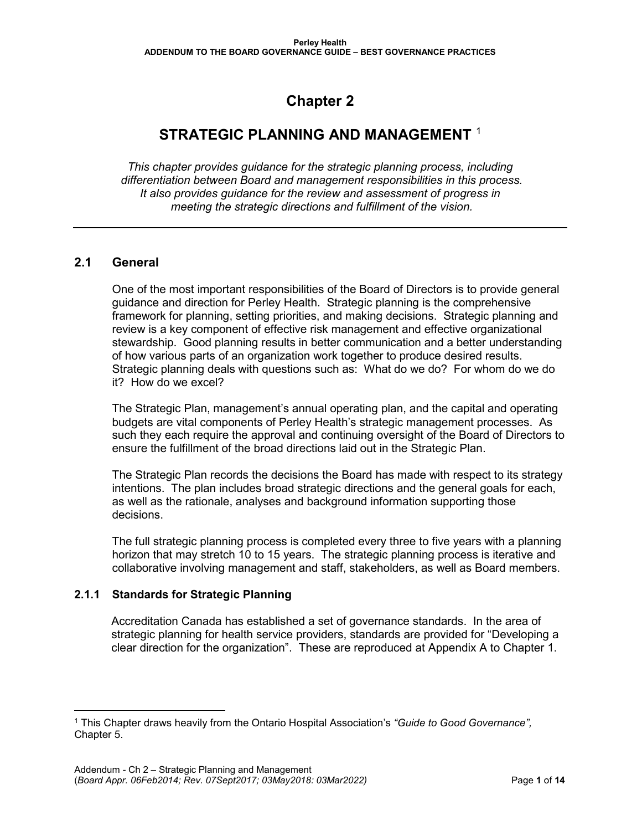# **Chapter 2**

# **STRATEGIC PLANNING AND MANAGEMENT** [1](#page-22-0)

*This chapter provides guidance for the strategic planning process, including differentiation between Board and management responsibilities in this process. It also provides guidance for the review and assessment of progress in meeting the strategic directions and fulfillment of the vision.*

# **2.1 General**

One of the most important responsibilities of the Board of Directors is to provide general guidance and direction for Perley Health. Strategic planning is the comprehensive framework for planning, setting priorities, and making decisions. Strategic planning and review is a key component of effective risk management and effective organizational stewardship. Good planning results in better communication and a better understanding of how various parts of an organization work together to produce desired results. Strategic planning deals with questions such as: What do we do? For whom do we do it? How do we excel?

The Strategic Plan, management's annual operating plan, and the capital and operating budgets are vital components of Perley Health's strategic management processes. As such they each require the approval and continuing oversight of the Board of Directors to ensure the fulfillment of the broad directions laid out in the Strategic Plan.

The Strategic Plan records the decisions the Board has made with respect to its strategy intentions. The plan includes broad strategic directions and the general goals for each, as well as the rationale, analyses and background information supporting those decisions.

The full strategic planning process is completed every three to five years with a planning horizon that may stretch 10 to 15 years. The strategic planning process is iterative and collaborative involving management and staff, stakeholders, as well as Board members.

# **2.1.1 Standards for Strategic Planning**

 $\overline{\phantom{a}}$ 

Accreditation Canada has established a set of governance standards. In the area of strategic planning for health service providers, standards are provided for "Developing a clear direction for the organization". These are reproduced at Appendix A to Chapter 1.

<span id="page-22-0"></span><sup>1</sup> This Chapter draws heavily from the Ontario Hospital Association's *"Guide to Good Governance",* Chapter 5.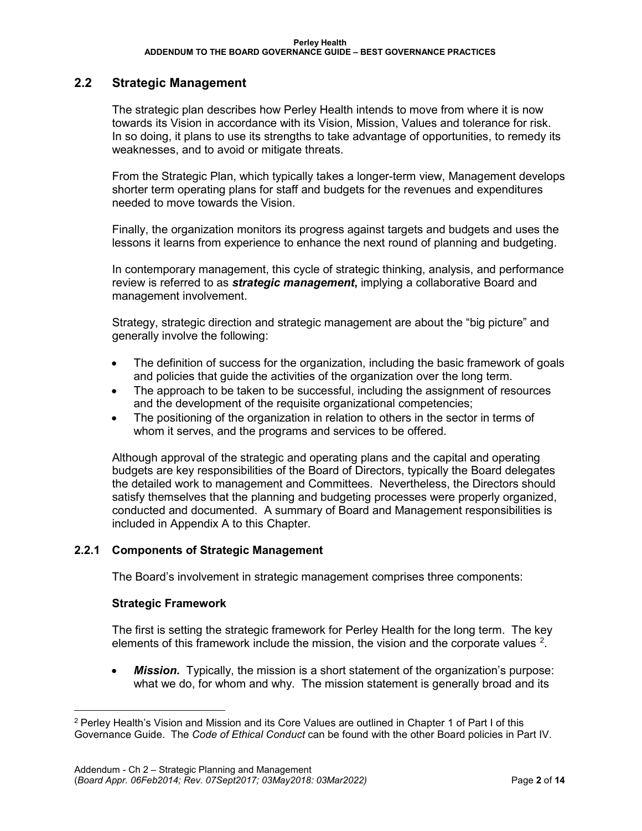# **2.2 Strategic Management**

The strategic plan describes how Perley Health intends to move from where it is now towards its Vision in accordance with its Vision, Mission, Values and tolerance for risk. In so doing, it plans to use its strengths to take advantage of opportunities, to remedy its weaknesses, and to avoid or mitigate threats.

From the Strategic Plan, which typically takes a longer-term view, Management develops shorter term operating plans for staff and budgets for the revenues and expenditures needed to move towards the Vision.

Finally, the organization monitors its progress against targets and budgets and uses the lessons it learns from experience to enhance the next round of planning and budgeting.

In contemporary management, this cycle of strategic thinking, analysis, and performance review is referred to as *strategic management***,** implying a collaborative Board and management involvement.

Strategy, strategic direction and strategic management are about the "big picture" and generally involve the following:

- The definition of success for the organization, including the basic framework of goals and policies that guide the activities of the organization over the long term.
- The approach to be taken to be successful, including the assignment of resources and the development of the requisite organizational competencies;
- The positioning of the organization in relation to others in the sector in terms of whom it serves, and the programs and services to be offered.

Although approval of the strategic and operating plans and the capital and operating budgets are key responsibilities of the Board of Directors, typically the Board delegates the detailed work to management and Committees. Nevertheless, the Directors should satisfy themselves that the planning and budgeting processes were properly organized, conducted and documented. A summary of Board and Management responsibilities is included in Appendix A to this Chapter.

# **2.2.1 Components of Strategic Management**

The Board's involvement in strategic management comprises three components:

#### **Strategic Framework**

 $\overline{\phantom{a}}$ 

The first is setting the strategic framework for Perley Health for the long term. The key elements of this framework include the mission, the vision and the corporate values  $^2$  $^2$ .

• *Mission.* Typically, the mission is a short statement of the organization's purpose: what we do, for whom and why. The mission statement is generally broad and its

<span id="page-23-0"></span><sup>2</sup> Perley Health's Vision and Mission and its Core Values are outlined in Chapter 1 of Part I of this Governance Guide. The *Code of Ethical Conduct* can be found with the other Board policies in Part IV.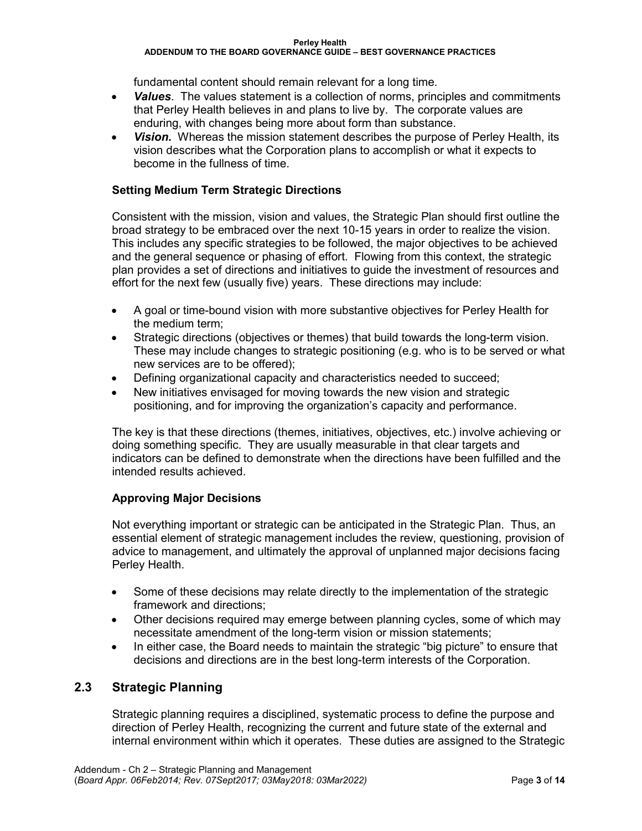fundamental content should remain relevant for a long time.

- *Values*. The values statement is a collection of norms, principles and commitments that Perley Health believes in and plans to live by. The corporate values are enduring, with changes being more about form than substance.
- *Vision.* Whereas the mission statement describes the purpose of Perley Health, its vision describes what the Corporation plans to accomplish or what it expects to become in the fullness of time.

#### **Setting Medium Term Strategic Directions**

Consistent with the mission, vision and values, the Strategic Plan should first outline the broad strategy to be embraced over the next 10-15 years in order to realize the vision. This includes any specific strategies to be followed, the major objectives to be achieved and the general sequence or phasing of effort. Flowing from this context, the strategic plan provides a set of directions and initiatives to guide the investment of resources and effort for the next few (usually five) years. These directions may include:

- A goal or time-bound vision with more substantive objectives for Perley Health for the medium term;
- Strategic directions (objectives or themes) that build towards the long-term vision. These may include changes to strategic positioning (e.g. who is to be served or what new services are to be offered);
- Defining organizational capacity and characteristics needed to succeed;
- New initiatives envisaged for moving towards the new vision and strategic positioning, and for improving the organization's capacity and performance.

The key is that these directions (themes, initiatives, objectives, etc.) involve achieving or doing something specific. They are usually measurable in that clear targets and indicators can be defined to demonstrate when the directions have been fulfilled and the intended results achieved.

# **Approving Major Decisions**

Not everything important or strategic can be anticipated in the Strategic Plan. Thus, an essential element of strategic management includes the review, questioning, provision of advice to management, and ultimately the approval of unplanned major decisions facing Perley Health.

- Some of these decisions may relate directly to the implementation of the strategic framework and directions;
- Other decisions required may emerge between planning cycles, some of which may necessitate amendment of the long-term vision or mission statements;
- In either case, the Board needs to maintain the strategic "big picture" to ensure that decisions and directions are in the best long-term interests of the Corporation.

# **2.3 Strategic Planning**

Strategic planning requires a disciplined, systematic process to define the purpose and direction of Perley Health, recognizing the current and future state of the external and internal environment within which it operates. These duties are assigned to the Strategic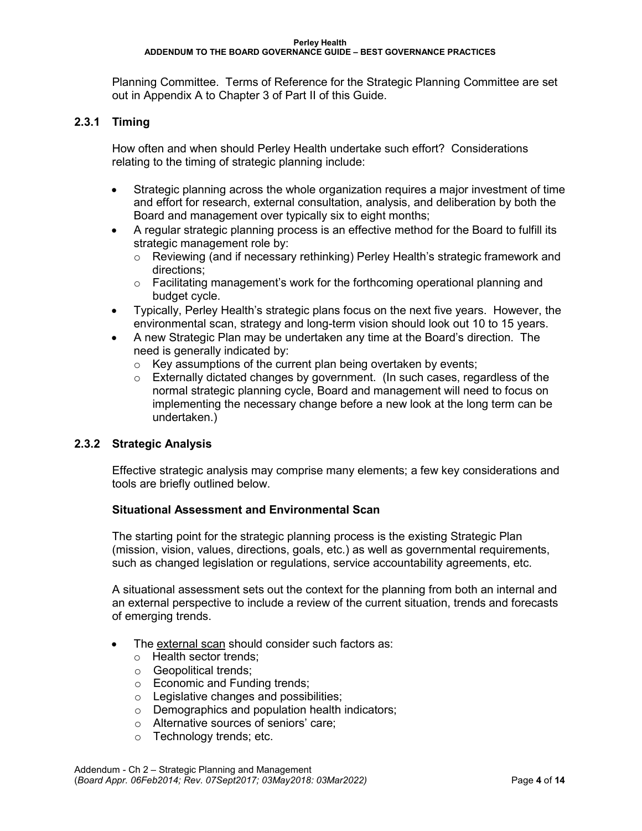Planning Committee. Terms of Reference for the Strategic Planning Committee are set out in Appendix A to Chapter 3 of Part II of this Guide.

# **2.3.1 Timing**

How often and when should Perley Health undertake such effort? Considerations relating to the timing of strategic planning include:

- Strategic planning across the whole organization requires a major investment of time and effort for research, external consultation, analysis, and deliberation by both the Board and management over typically six to eight months;
- A regular strategic planning process is an effective method for the Board to fulfill its strategic management role by:
	- o Reviewing (and if necessary rethinking) Perley Health's strategic framework and directions;
	- $\circ$  Facilitating management's work for the forthcoming operational planning and budget cycle.
- Typically, Perley Health's strategic plans focus on the next five years. However, the environmental scan, strategy and long-term vision should look out 10 to 15 years.
- A new Strategic Plan may be undertaken any time at the Board's direction. The need is generally indicated by:
	- o Key assumptions of the current plan being overtaken by events;
	- $\circ$  Externally dictated changes by government. (In such cases, regardless of the normal strategic planning cycle, Board and management will need to focus on implementing the necessary change before a new look at the long term can be undertaken.)

# **2.3.2 Strategic Analysis**

Effective strategic analysis may comprise many elements; a few key considerations and tools are briefly outlined below.

#### **Situational Assessment and Environmental Scan**

The starting point for the strategic planning process is the existing Strategic Plan (mission, vision, values, directions, goals, etc.) as well as governmental requirements, such as changed legislation or regulations, service accountability agreements, etc.

A situational assessment sets out the context for the planning from both an internal and an external perspective to include a review of the current situation, trends and forecasts of emerging trends.

- The external scan should consider such factors as:
	- o Health sector trends;
	- o Geopolitical trends;
	- o Economic and Funding trends;
	- o Legislative changes and possibilities;
	- o Demographics and population health indicators;
	- o Alternative sources of seniors' care;
	- o Technology trends; etc.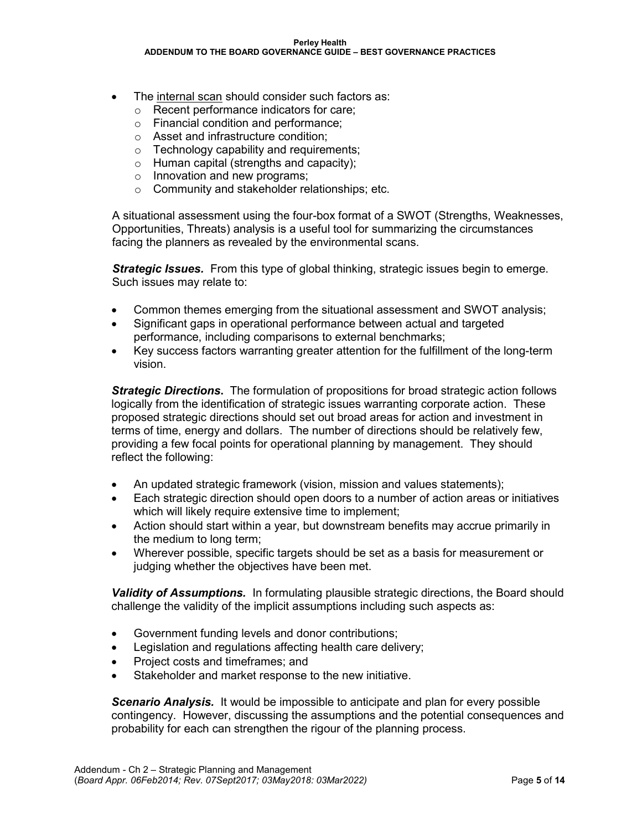- The internal scan should consider such factors as:
	- o Recent performance indicators for care;
	- o Financial condition and performance;
	- o Asset and infrastructure condition;
	- o Technology capability and requirements;
	- o Human capital (strengths and capacity);
	- o Innovation and new programs;
	- o Community and stakeholder relationships; etc.

A situational assessment using the four-box format of a SWOT (Strengths, Weaknesses, Opportunities, Threats) analysis is a useful tool for summarizing the circumstances facing the planners as revealed by the environmental scans.

*Strategic Issues.* From this type of global thinking, strategic issues begin to emerge. Such issues may relate to:

- Common themes emerging from the situational assessment and SWOT analysis;
- Significant gaps in operational performance between actual and targeted performance, including comparisons to external benchmarks;
- Key success factors warranting greater attention for the fulfillment of the long-term vision.

*Strategic Directions***.** The formulation of propositions for broad strategic action follows logically from the identification of strategic issues warranting corporate action. These proposed strategic directions should set out broad areas for action and investment in terms of time, energy and dollars. The number of directions should be relatively few, providing a few focal points for operational planning by management. They should reflect the following:

- An updated strategic framework (vision, mission and values statements);
- Each strategic direction should open doors to a number of action areas or initiatives which will likely require extensive time to implement;
- Action should start within a year, but downstream benefits may accrue primarily in the medium to long term;
- Wherever possible, specific targets should be set as a basis for measurement or judging whether the objectives have been met.

*Validity of Assumptions.* In formulating plausible strategic directions, the Board should challenge the validity of the implicit assumptions including such aspects as:

- Government funding levels and donor contributions;
- Legislation and regulations affecting health care delivery;
- Project costs and timeframes; and
- Stakeholder and market response to the new initiative.

*Scenario Analysis.* It would be impossible to anticipate and plan for every possible contingency. However, discussing the assumptions and the potential consequences and probability for each can strengthen the rigour of the planning process.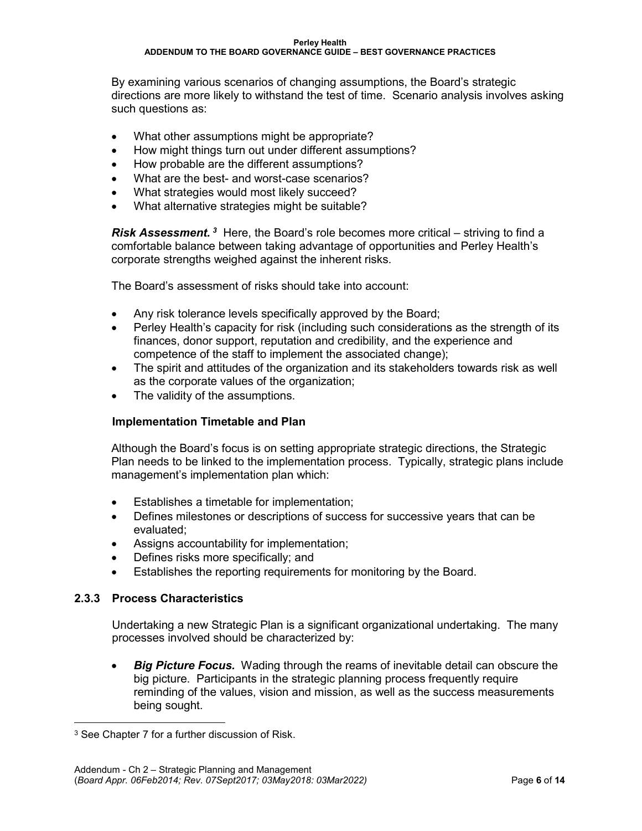By examining various scenarios of changing assumptions, the Board's strategic directions are more likely to withstand the test of time. Scenario analysis involves asking such questions as:

- What other assumptions might be appropriate?
- How might things turn out under different assumptions?
- How probable are the different assumptions?
- What are the best- and worst-case scenarios?
- What strategies would most likely succeed?
- What alternative strategies might be suitable?

*Risk Assessment. [3](#page-27-0)* Here, the Board's role becomes more critical – striving to find a comfortable balance between taking advantage of opportunities and Perley Health's corporate strengths weighed against the inherent risks.

The Board's assessment of risks should take into account:

- Any risk tolerance levels specifically approved by the Board;
- Perley Health's capacity for risk (including such considerations as the strength of its finances, donor support, reputation and credibility, and the experience and competence of the staff to implement the associated change);
- The spirit and attitudes of the organization and its stakeholders towards risk as well as the corporate values of the organization;
- The validity of the assumptions.

# **Implementation Timetable and Plan**

Although the Board's focus is on setting appropriate strategic directions, the Strategic Plan needs to be linked to the implementation process. Typically, strategic plans include management's implementation plan which:

- Establishes a timetable for implementation;
- Defines milestones or descriptions of success for successive years that can be evaluated;
- Assigns accountability for implementation;
- Defines risks more specifically; and
- Establishes the reporting requirements for monitoring by the Board.

# **2.3.3 Process Characteristics**

Undertaking a new Strategic Plan is a significant organizational undertaking. The many processes involved should be characterized by:

• *Big Picture Focus.* Wading through the reams of inevitable detail can obscure the big picture. Participants in the strategic planning process frequently require reminding of the values, vision and mission, as well as the success measurements being sought.

<span id="page-27-0"></span>l <sup>3</sup> See Chapter 7 for a further discussion of Risk.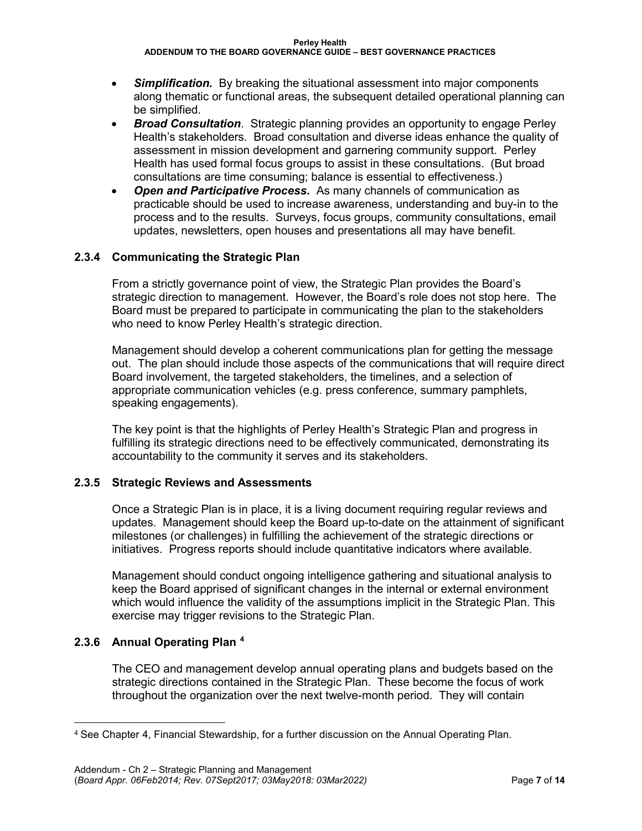- *Simplification.* By breaking the situational assessment into major components along thematic or functional areas, the subsequent detailed operational planning can be simplified.
- *Broad Consultation*. Strategic planning provides an opportunity to engage Perley Health's stakeholders. Broad consultation and diverse ideas enhance the quality of assessment in mission development and garnering community support. Perley Health has used formal focus groups to assist in these consultations. (But broad consultations are time consuming; balance is essential to effectiveness.)
- *Open and Participative Process.* As many channels of communication as practicable should be used to increase awareness, understanding and buy-in to the process and to the results. Surveys, focus groups, community consultations, email updates, newsletters, open houses and presentations all may have benefit.

# **2.3.4 Communicating the Strategic Plan**

From a strictly governance point of view, the Strategic Plan provides the Board's strategic direction to management. However, the Board's role does not stop here. The Board must be prepared to participate in communicating the plan to the stakeholders who need to know Perley Health's strategic direction.

Management should develop a coherent communications plan for getting the message out. The plan should include those aspects of the communications that will require direct Board involvement, the targeted stakeholders, the timelines, and a selection of appropriate communication vehicles (e.g. press conference, summary pamphlets, speaking engagements).

The key point is that the highlights of Perley Health's Strategic Plan and progress in fulfilling its strategic directions need to be effectively communicated, demonstrating its accountability to the community it serves and its stakeholders.

# **2.3.5 Strategic Reviews and Assessments**

Once a Strategic Plan is in place, it is a living document requiring regular reviews and updates. Management should keep the Board up-to-date on the attainment of significant milestones (or challenges) in fulfilling the achievement of the strategic directions or initiatives. Progress reports should include quantitative indicators where available.

Management should conduct ongoing intelligence gathering and situational analysis to keep the Board apprised of significant changes in the internal or external environment which would influence the validity of the assumptions implicit in the Strategic Plan. This exercise may trigger revisions to the Strategic Plan.

# **2.3.6 Annual Operating Plan [4](#page-28-0)**

The CEO and management develop annual operating plans and budgets based on the strategic directions contained in the Strategic Plan. These become the focus of work throughout the organization over the next twelve-month period. They will contain

<span id="page-28-0"></span>l <sup>4</sup> See Chapter 4, Financial Stewardship, for a further discussion on the Annual Operating Plan.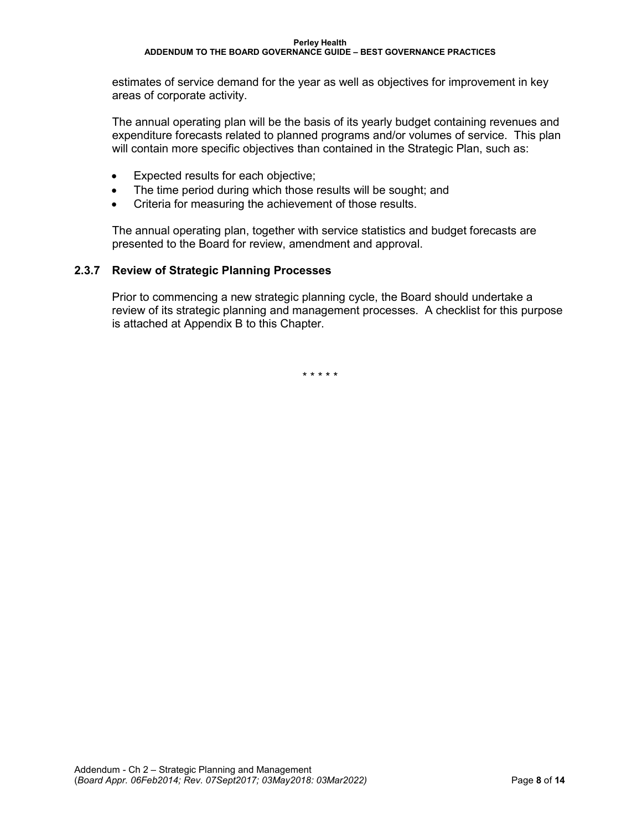estimates of service demand for the year as well as objectives for improvement in key areas of corporate activity.

The annual operating plan will be the basis of its yearly budget containing revenues and expenditure forecasts related to planned programs and/or volumes of service. This plan will contain more specific objectives than contained in the Strategic Plan, such as:

- Expected results for each objective;
- The time period during which those results will be sought; and
- Criteria for measuring the achievement of those results.

The annual operating plan, together with service statistics and budget forecasts are presented to the Board for review, amendment and approval.

### **2.3.7 Review of Strategic Planning Processes**

Prior to commencing a new strategic planning cycle, the Board should undertake a review of its strategic planning and management processes. A checklist for this purpose is attached at Appendix B to this Chapter.

\* \* \* \* \*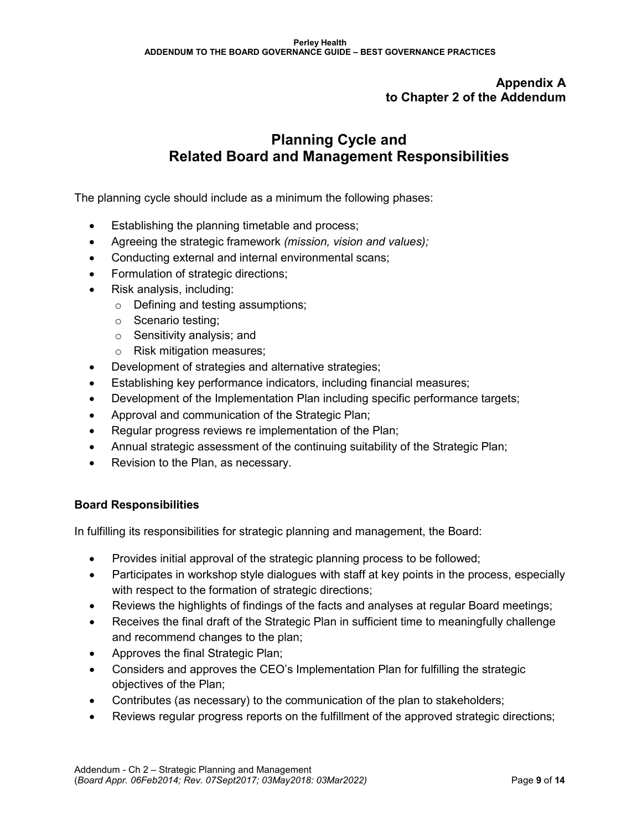# **Appendix A to Chapter 2 of the Addendum**

# **Planning Cycle and Related Board and Management Responsibilities**

The planning cycle should include as a minimum the following phases:

- Establishing the planning timetable and process;
- Agreeing the strategic framework *(mission, vision and values);*
- Conducting external and internal environmental scans;
- Formulation of strategic directions;
- Risk analysis, including:
	- o Defining and testing assumptions;
	- o Scenario testing;
	- o Sensitivity analysis; and
	- o Risk mitigation measures;
- Development of strategies and alternative strategies;
- Establishing key performance indicators, including financial measures;
- Development of the Implementation Plan including specific performance targets;
- Approval and communication of the Strategic Plan;
- Regular progress reviews re implementation of the Plan;
- Annual strategic assessment of the continuing suitability of the Strategic Plan;
- Revision to the Plan, as necessary.

# **Board Responsibilities**

In fulfilling its responsibilities for strategic planning and management, the Board:

- Provides initial approval of the strategic planning process to be followed;
- Participates in workshop style dialogues with staff at key points in the process, especially with respect to the formation of strategic directions;
- Reviews the highlights of findings of the facts and analyses at regular Board meetings;
- Receives the final draft of the Strategic Plan in sufficient time to meaningfully challenge and recommend changes to the plan;
- Approves the final Strategic Plan;
- Considers and approves the CEO's Implementation Plan for fulfilling the strategic objectives of the Plan;
- Contributes (as necessary) to the communication of the plan to stakeholders;
- Reviews regular progress reports on the fulfillment of the approved strategic directions;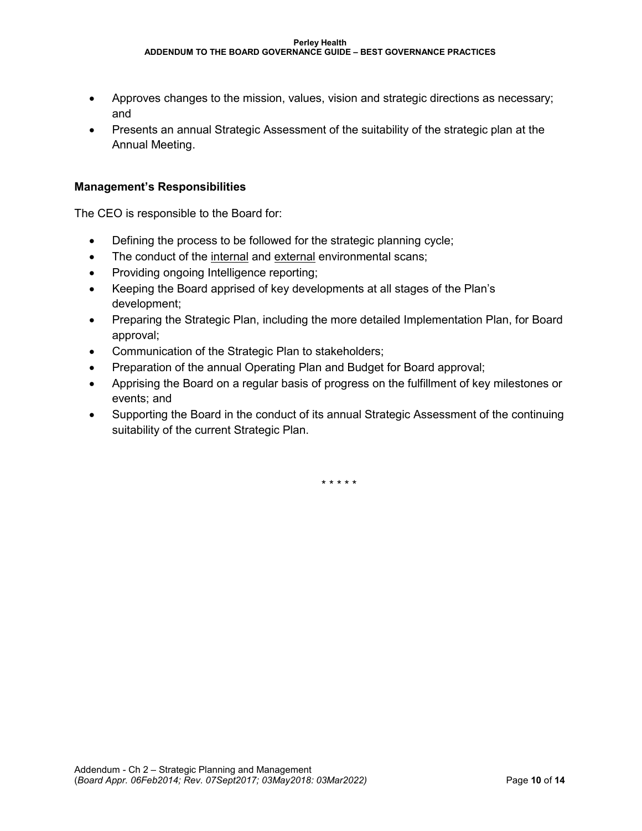- Approves changes to the mission, values, vision and strategic directions as necessary; and
- Presents an annual Strategic Assessment of the suitability of the strategic plan at the Annual Meeting.

# **Management's Responsibilities**

The CEO is responsible to the Board for:

- Defining the process to be followed for the strategic planning cycle;
- The conduct of the internal and external environmental scans;
- Providing ongoing Intelligence reporting;
- Keeping the Board apprised of key developments at all stages of the Plan's development;
- Preparing the Strategic Plan, including the more detailed Implementation Plan, for Board approval;
- Communication of the Strategic Plan to stakeholders;
- Preparation of the annual Operating Plan and Budget for Board approval;
- Apprising the Board on a regular basis of progress on the fulfillment of key milestones or events; and
- Supporting the Board in the conduct of its annual Strategic Assessment of the continuing suitability of the current Strategic Plan.

\* \* \* \* \*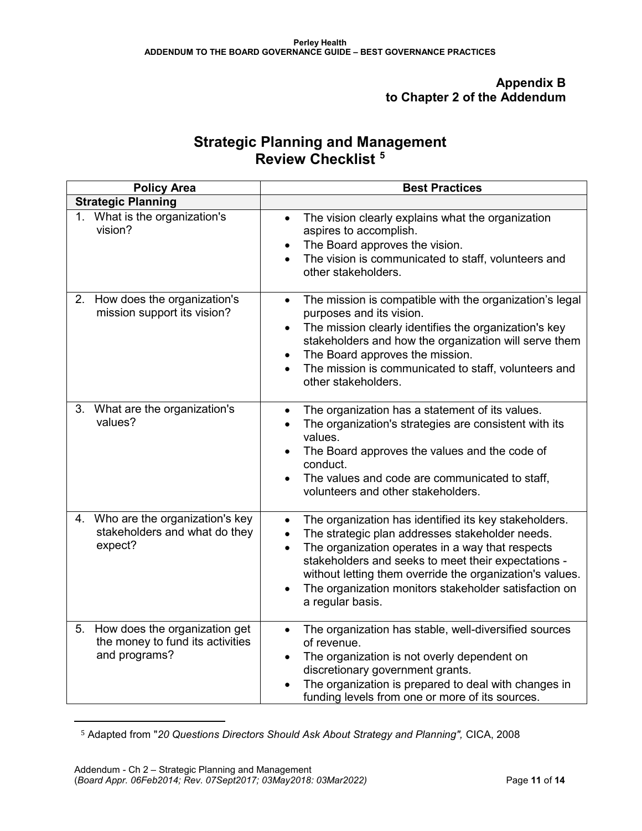# **Appendix B to Chapter 2 of the Addendum**

# **Strategic Planning and Management Review Checklist [5](#page-32-0)**

| <b>Policy Area</b>                                                                       | <b>Best Practices</b>                                                                                                                                                                                                                                                                                                                                                                               |
|------------------------------------------------------------------------------------------|-----------------------------------------------------------------------------------------------------------------------------------------------------------------------------------------------------------------------------------------------------------------------------------------------------------------------------------------------------------------------------------------------------|
| <b>Strategic Planning</b>                                                                |                                                                                                                                                                                                                                                                                                                                                                                                     |
| 1. What is the organization's<br>vision?                                                 | The vision clearly explains what the organization<br>$\bullet$<br>aspires to accomplish.<br>The Board approves the vision.<br>$\bullet$<br>The vision is communicated to staff, volunteers and<br>other stakeholders.                                                                                                                                                                               |
| 2. How does the organization's<br>mission support its vision?                            | The mission is compatible with the organization's legal<br>$\bullet$<br>purposes and its vision.<br>The mission clearly identifies the organization's key<br>stakeholders and how the organization will serve them<br>The Board approves the mission.<br>$\bullet$<br>The mission is communicated to staff, volunteers and<br>$\bullet$<br>other stakeholders.                                      |
| 3. What are the organization's<br>values?                                                | The organization has a statement of its values.<br>$\bullet$<br>The organization's strategies are consistent with its<br>values.<br>The Board approves the values and the code of<br>$\bullet$<br>conduct.<br>The values and code are communicated to staff,<br>$\bullet$<br>volunteers and other stakeholders.                                                                                     |
| 4. Who are the organization's key<br>stakeholders and what do they<br>expect?            | The organization has identified its key stakeholders.<br>$\bullet$<br>The strategic plan addresses stakeholder needs.<br>$\bullet$<br>The organization operates in a way that respects<br>$\bullet$<br>stakeholders and seeks to meet their expectations -<br>without letting them override the organization's values.<br>The organization monitors stakeholder satisfaction on<br>a regular basis. |
| 5.<br>How does the organization get<br>the money to fund its activities<br>and programs? | The organization has stable, well-diversified sources<br>$\bullet$<br>of revenue.<br>The organization is not overly dependent on<br>$\bullet$<br>discretionary government grants.<br>The organization is prepared to deal with changes in<br>funding levels from one or more of its sources.                                                                                                        |

<sup>5</sup> Adapted from "*20 Questions Directors Should Ask About Strategy and Planning",* CICA, 2008

<span id="page-32-0"></span> $\overline{\phantom{a}}$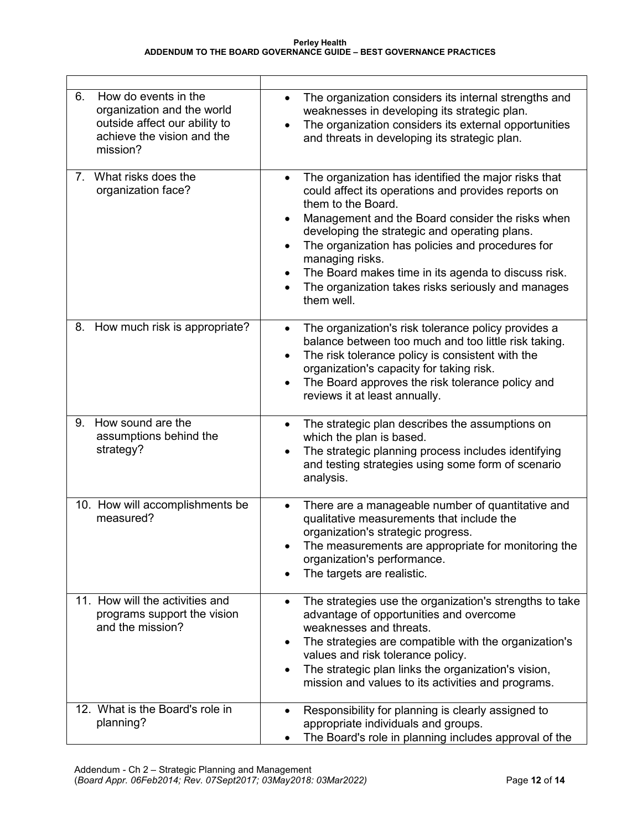| How do events in the<br>6.<br>organization and the world<br>outside affect our ability to<br>achieve the vision and the<br>mission? | The organization considers its internal strengths and<br>$\bullet$<br>weaknesses in developing its strategic plan.<br>The organization considers its external opportunities<br>$\bullet$<br>and threats in developing its strategic plan.                                                                                                                                                                                                                                            |
|-------------------------------------------------------------------------------------------------------------------------------------|--------------------------------------------------------------------------------------------------------------------------------------------------------------------------------------------------------------------------------------------------------------------------------------------------------------------------------------------------------------------------------------------------------------------------------------------------------------------------------------|
| What risks does the<br>7.<br>organization face?                                                                                     | The organization has identified the major risks that<br>$\bullet$<br>could affect its operations and provides reports on<br>them to the Board.<br>Management and the Board consider the risks when<br>$\bullet$<br>developing the strategic and operating plans.<br>The organization has policies and procedures for<br>$\bullet$<br>managing risks.<br>The Board makes time in its agenda to discuss risk.<br>٠<br>The organization takes risks seriously and manages<br>them well. |
| 8. How much risk is appropriate?                                                                                                    | The organization's risk tolerance policy provides a<br>$\bullet$<br>balance between too much and too little risk taking.<br>The risk tolerance policy is consistent with the<br>$\bullet$<br>organization's capacity for taking risk.<br>The Board approves the risk tolerance policy and<br>$\bullet$<br>reviews it at least annually.                                                                                                                                              |
| How sound are the<br>9.<br>assumptions behind the<br>strategy?                                                                      | The strategic plan describes the assumptions on<br>$\bullet$<br>which the plan is based.<br>The strategic planning process includes identifying<br>$\bullet$<br>and testing strategies using some form of scenario<br>analysis.                                                                                                                                                                                                                                                      |
| 10. How will accomplishments be<br>measured?                                                                                        | There are a manageable number of quantitative and<br>$\bullet$<br>qualitative measurements that include the<br>organization's strategic progress.<br>The measurements are appropriate for monitoring the<br>organization's performance.<br>The targets are realistic.                                                                                                                                                                                                                |
| 11. How will the activities and<br>programs support the vision<br>and the mission?                                                  | The strategies use the organization's strengths to take<br>$\bullet$<br>advantage of opportunities and overcome<br>weaknesses and threats.<br>The strategies are compatible with the organization's<br>٠<br>values and risk tolerance policy.<br>The strategic plan links the organization's vision,<br>٠<br>mission and values to its activities and programs.                                                                                                                      |
| 12. What is the Board's role in<br>planning?                                                                                        | Responsibility for planning is clearly assigned to<br>$\bullet$<br>appropriate individuals and groups.<br>The Board's role in planning includes approval of the                                                                                                                                                                                                                                                                                                                      |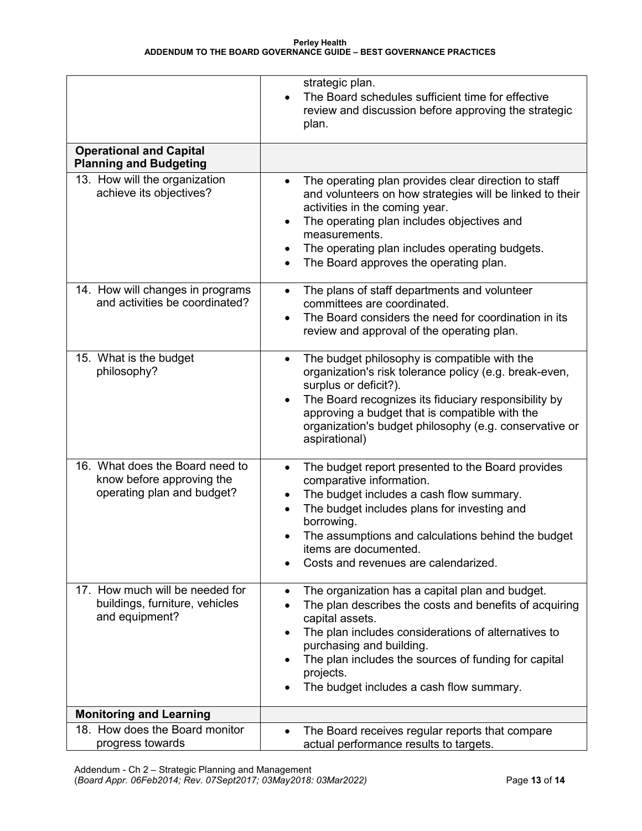|                                                                                            | strategic plan.<br>The Board schedules sufficient time for effective<br>review and discussion before approving the strategic<br>plan.                                                                                                                                                                                                                      |
|--------------------------------------------------------------------------------------------|------------------------------------------------------------------------------------------------------------------------------------------------------------------------------------------------------------------------------------------------------------------------------------------------------------------------------------------------------------|
| <b>Operational and Capital</b><br><b>Planning and Budgeting</b>                            |                                                                                                                                                                                                                                                                                                                                                            |
| 13. How will the organization<br>achieve its objectives?                                   | The operating plan provides clear direction to staff<br>$\bullet$<br>and volunteers on how strategies will be linked to their<br>activities in the coming year.<br>The operating plan includes objectives and<br>$\bullet$<br>measurements.<br>The operating plan includes operating budgets.<br>The Board approves the operating plan.                    |
| 14. How will changes in programs<br>and activities be coordinated?                         | The plans of staff departments and volunteer<br>$\bullet$<br>committees are coordinated.<br>The Board considers the need for coordination in its<br>review and approval of the operating plan.                                                                                                                                                             |
| 15. What is the budget<br>philosophy?                                                      | The budget philosophy is compatible with the<br>$\bullet$<br>organization's risk tolerance policy (e.g. break-even,<br>surplus or deficit?).<br>The Board recognizes its fiduciary responsibility by<br>approving a budget that is compatible with the<br>organization's budget philosophy (e.g. conservative or<br>aspirational)                          |
| 16. What does the Board need to<br>know before approving the<br>operating plan and budget? | The budget report presented to the Board provides<br>$\bullet$<br>comparative information.<br>The budget includes a cash flow summary.<br>The budget includes plans for investing and<br>borrowing.<br>The assumptions and calculations behind the budget<br>items are documented.<br>Costs and revenues are calendarized.                                 |
| 17. How much will be needed for<br>buildings, furniture, vehicles<br>and equipment?        | The organization has a capital plan and budget.<br>$\bullet$<br>The plan describes the costs and benefits of acquiring<br>capital assets.<br>The plan includes considerations of alternatives to<br>$\bullet$<br>purchasing and building.<br>The plan includes the sources of funding for capital<br>projects.<br>The budget includes a cash flow summary. |
| <b>Monitoring and Learning</b>                                                             |                                                                                                                                                                                                                                                                                                                                                            |
| 18. How does the Board monitor<br>progress towards                                         | The Board receives regular reports that compare<br>$\bullet$<br>actual performance results to targets.                                                                                                                                                                                                                                                     |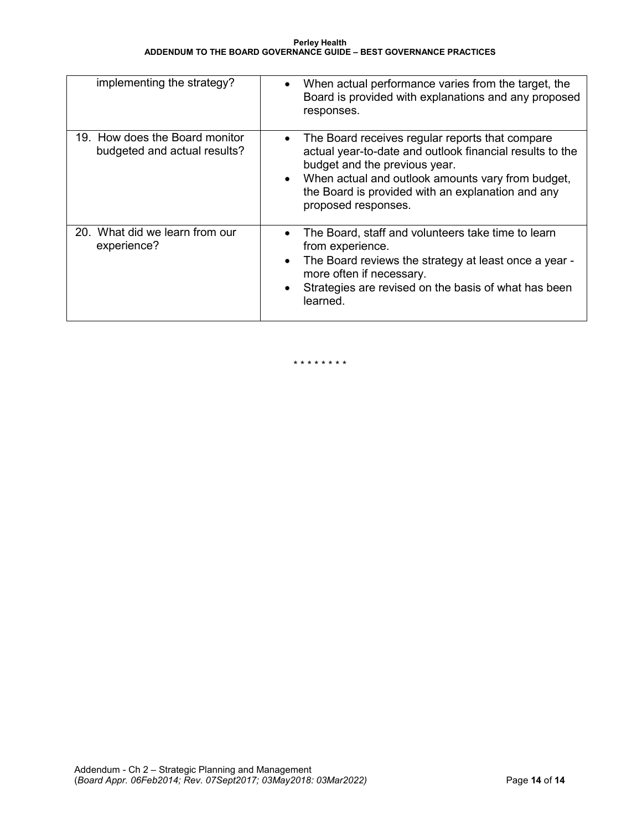| implementing the strategy?                                     | When actual performance varies from the target, the<br>$\bullet$<br>Board is provided with explanations and any proposed<br>responses.                                                                                                                                                       |
|----------------------------------------------------------------|----------------------------------------------------------------------------------------------------------------------------------------------------------------------------------------------------------------------------------------------------------------------------------------------|
| 19. How does the Board monitor<br>budgeted and actual results? | The Board receives regular reports that compare<br>$\bullet$<br>actual year-to-date and outlook financial results to the<br>budget and the previous year.<br>• When actual and outlook amounts vary from budget,<br>the Board is provided with an explanation and any<br>proposed responses. |
| 20. What did we learn from our<br>experience?                  | The Board, staff and volunteers take time to learn<br>$\bullet$<br>from experience.<br>The Board reviews the strategy at least once a year -<br>$\bullet$<br>more often if necessary.<br>Strategies are revised on the basis of what has been<br>learned.                                    |

\* \* \* \* \* \* \* \*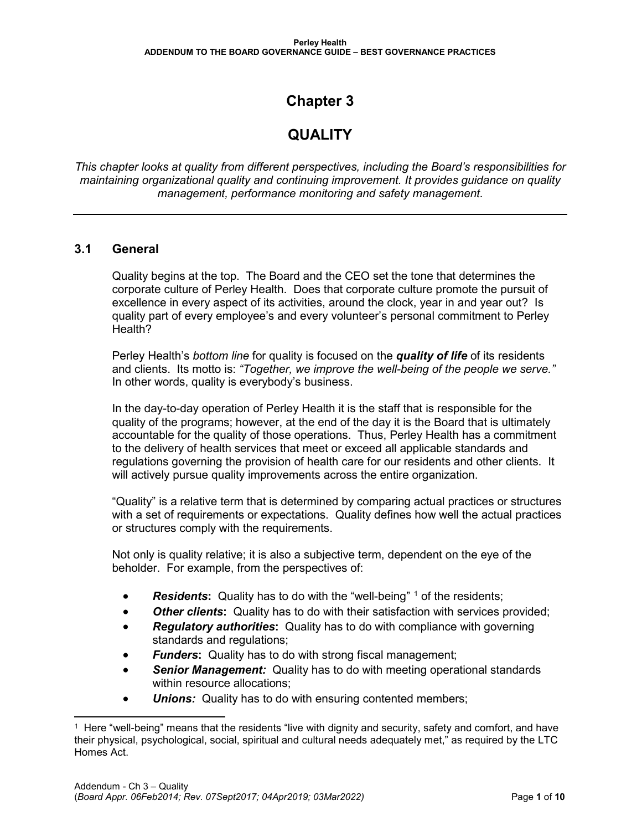## **Chapter 3**

# **QUALITY**

*This chapter looks at quality from different perspectives, including the Board's responsibilities for maintaining organizational quality and continuing improvement. It provides guidance on quality management, performance monitoring and safety management.*

## **3.1 General**

Quality begins at the top. The Board and the CEO set the tone that determines the corporate culture of Perley Health. Does that corporate culture promote the pursuit of excellence in every aspect of its activities, around the clock, year in and year out? Is quality part of every employee's and every volunteer's personal commitment to Perley Health?

Perley Health's *bottom line* for quality is focused on the *quality of life* of its residents and clients. Its motto is: *"Together, we improve the well-being of the people we serve."*  In other words, quality is everybody's business.

In the day-to-day operation of Perley Health it is the staff that is responsible for the quality of the programs; however, at the end of the day it is the Board that is ultimately accountable for the quality of those operations. Thus, Perley Health has a commitment to the delivery of health services that meet or exceed all applicable standards and regulations governing the provision of health care for our residents and other clients. It will actively pursue quality improvements across the entire organization.

"Quality" is a relative term that is determined by comparing actual practices or structures with a set of requirements or expectations. Quality defines how well the actual practices or structures comply with the requirements.

Not only is quality relative; it is also a subjective term, dependent on the eye of the beholder. For example, from the perspectives of:

- **Residents:** Quality has to do with the "well-being" <sup>[1](#page-36-0)</sup> of the residents;
- *Other clients***:** Quality has to do with their satisfaction with services provided;
- *Regulatory authorities***:** Quality has to do with compliance with governing standards and regulations;
- *Funders***:** Quality has to do with strong fiscal management;
- **Senior Management:** Quality has to do with meeting operational standards within resource allocations:
- **Unions:** Quality has to do with ensuring contented members;

<span id="page-36-0"></span> $\overline{a}$ 1 Here "well-being" means that the residents "live with dignity and security, safety and comfort, and have their physical, psychological, social, spiritual and cultural needs adequately met," as required by the LTC Homes Act.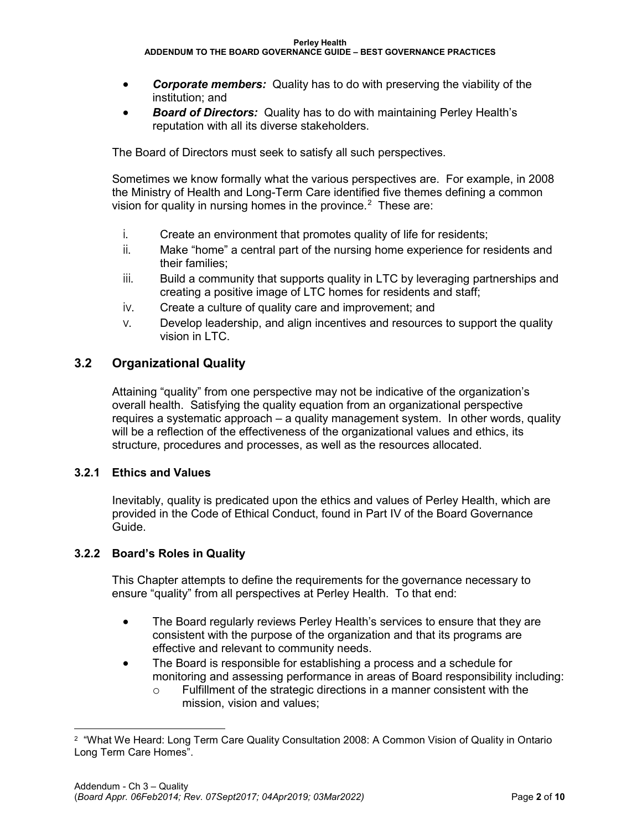#### **ADDENDUM TO THE BOARD GOVERNANCE GUIDE – BEST GOVERNANCE PRACTICES**

- *Corporate members:* Quality has to do with preserving the viability of the institution; and
- *Board of Directors:* Quality has to do with maintaining Perley Health's reputation with all its diverse stakeholders.

The Board of Directors must seek to satisfy all such perspectives.

Sometimes we know formally what the various perspectives are. For example, in 2008 the Ministry of Health and Long-Term Care identified five themes defining a common vision for quality in nursing homes in the province. $^2$  $^2$  These are:

- i. Create an environment that promotes quality of life for residents;
- ii. Make "home" a central part of the nursing home experience for residents and their families;
- iii. Build a community that supports quality in LTC by leveraging partnerships and creating a positive image of LTC homes for residents and staff;
- iv. Create a culture of quality care and improvement; and
- v. Develop leadership, and align incentives and resources to support the quality vision in LTC.

## **3.2 Organizational Quality**

Attaining "quality" from one perspective may not be indicative of the organization's overall health. Satisfying the quality equation from an organizational perspective requires a systematic approach – a quality management system. In other words, quality will be a reflection of the effectiveness of the organizational values and ethics, its structure, procedures and processes, as well as the resources allocated.

### **3.2.1 Ethics and Values**

Inevitably, quality is predicated upon the ethics and values of Perley Health, which are provided in the Code of Ethical Conduct, found in Part IV of the Board Governance Guide.

### **3.2.2 Board's Roles in Quality**

This Chapter attempts to define the requirements for the governance necessary to ensure "quality" from all perspectives at Perley Health. To that end:

- The Board regularly reviews Perley Health's services to ensure that they are consistent with the purpose of the organization and that its programs are effective and relevant to community needs.
- The Board is responsible for establishing a process and a schedule for monitoring and assessing performance in areas of Board responsibility including:
	- o Fulfillment of the strategic directions in a manner consistent with the mission, vision and values;

<span id="page-37-0"></span><sup>&</sup>lt;sup>2</sup> "What We Heard: Long Term Care Quality Consultation 2008: A Common Vision of Quality in Ontario Long Term Care Homes".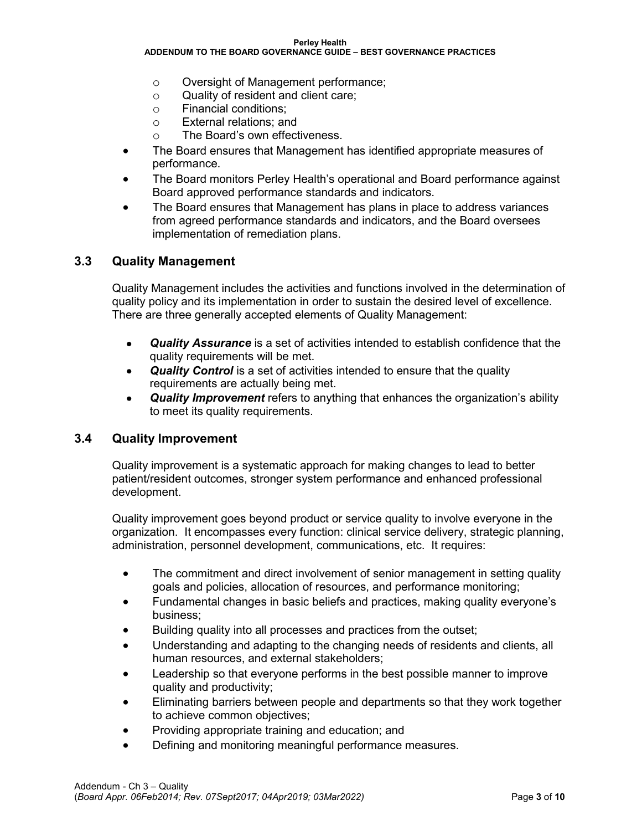**Perley Health**

#### **ADDENDUM TO THE BOARD GOVERNANCE GUIDE – BEST GOVERNANCE PRACTICES**

- Oversight of Management performance;<br>○ Quality of resident and client care;
- Quality of resident and client care;
- o Financial conditions;<br>o External relations: ar
- External relations; and
- o The Board's own effectiveness.
- The Board ensures that Management has identified appropriate measures of performance.
- The Board monitors Perley Health's operational and Board performance against Board approved performance standards and indicators.
- The Board ensures that Management has plans in place to address variances from agreed performance standards and indicators, and the Board oversees implementation of remediation plans.

## **3.3 Quality Management**

Quality Management includes the activities and functions involved in the determination of quality policy and its implementation in order to sustain the desired level of excellence. There are three generally accepted elements of Quality Management:

- *Quality Assurance* is a set of activities intended to establish confidence that the quality requirements will be met.
- *Quality Control* is a set of activities intended to ensure that the quality requirements are actually being met.
- *Quality Improvement* refers to anything that enhances the organization's ability to meet its quality requirements.

## **3.4 Quality Improvement**

Quality improvement is a systematic approach for making changes to lead to better patient/resident outcomes, stronger system performance and enhanced professional development.

Quality improvement goes beyond product or service quality to involve everyone in the organization. It encompasses every function: clinical service delivery, strategic planning, administration, personnel development, communications, etc. It requires:

- The commitment and direct involvement of senior management in setting quality goals and policies, allocation of resources, and performance monitoring;
- Fundamental changes in basic beliefs and practices, making quality everyone's business;
- Building quality into all processes and practices from the outset;
- Understanding and adapting to the changing needs of residents and clients, all human resources, and external stakeholders;
- Leadership so that everyone performs in the best possible manner to improve quality and productivity;
- Eliminating barriers between people and departments so that they work together to achieve common objectives;
- Providing appropriate training and education; and
- Defining and monitoring meaningful performance measures.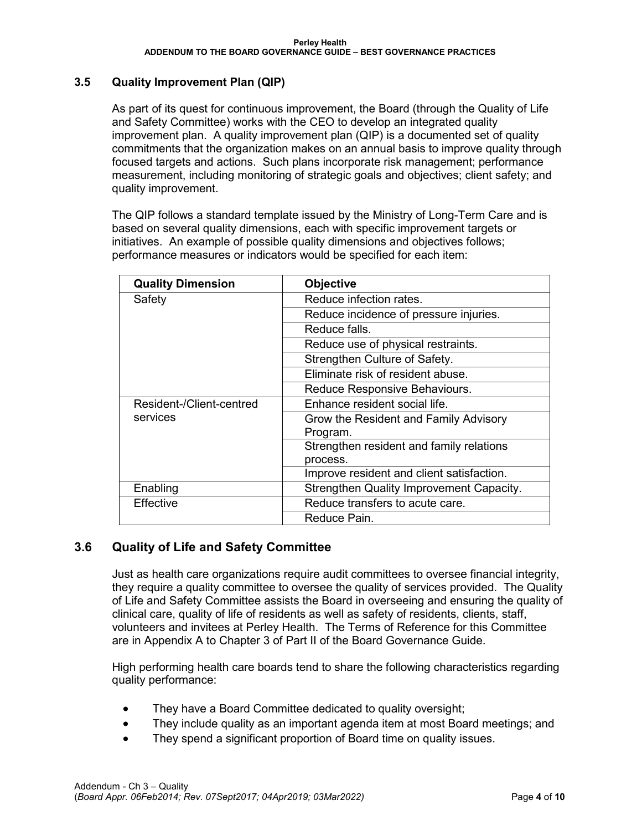### **3.5 Quality Improvement Plan (QIP)**

As part of its quest for continuous improvement, the Board (through the Quality of Life and Safety Committee) works with the CEO to develop an integrated quality improvement plan. A quality improvement plan (QIP) is a documented set of quality commitments that the organization makes on an annual basis to improve quality through focused targets and actions. Such plans incorporate risk management; performance measurement, including monitoring of strategic goals and objectives; client safety; and quality improvement.

The QIP follows a standard template issued by the Ministry of Long-Term Care and is based on several quality dimensions, each with specific improvement targets or initiatives. An example of possible quality dimensions and objectives follows; performance measures or indicators would be specified for each item:

| <b>Quality Dimension</b>             | <b>Objective</b>                          |
|--------------------------------------|-------------------------------------------|
| Safety                               | Reduce infection rates.                   |
|                                      | Reduce incidence of pressure injuries.    |
|                                      | Reduce falls.                             |
|                                      | Reduce use of physical restraints.        |
|                                      | Strengthen Culture of Safety.             |
|                                      | Eliminate risk of resident abuse.         |
|                                      | Reduce Responsive Behaviours.             |
| Resident-/Client-centred<br>services | Enhance resident social life.             |
|                                      | Grow the Resident and Family Advisory     |
|                                      | Program.                                  |
|                                      | Strengthen resident and family relations  |
|                                      | process.                                  |
|                                      | Improve resident and client satisfaction. |
| Enabling                             | Strengthen Quality Improvement Capacity.  |
| Effective                            | Reduce transfers to acute care.           |
|                                      | Reduce Pain.                              |

## **3.6 Quality of Life and Safety Committee**

Just as health care organizations require audit committees to oversee financial integrity, they require a quality committee to oversee the quality of services provided. The Quality of Life and Safety Committee assists the Board in overseeing and ensuring the quality of clinical care, quality of life of residents as well as safety of residents, clients, staff, volunteers and invitees at Perley Health. The Terms of Reference for this Committee are in Appendix A to Chapter 3 of Part II of the Board Governance Guide.

High performing health care boards tend to share the following characteristics regarding quality performance:

- They have a Board Committee dedicated to quality oversight;
- They include quality as an important agenda item at most Board meetings; and
- They spend a significant proportion of Board time on quality issues.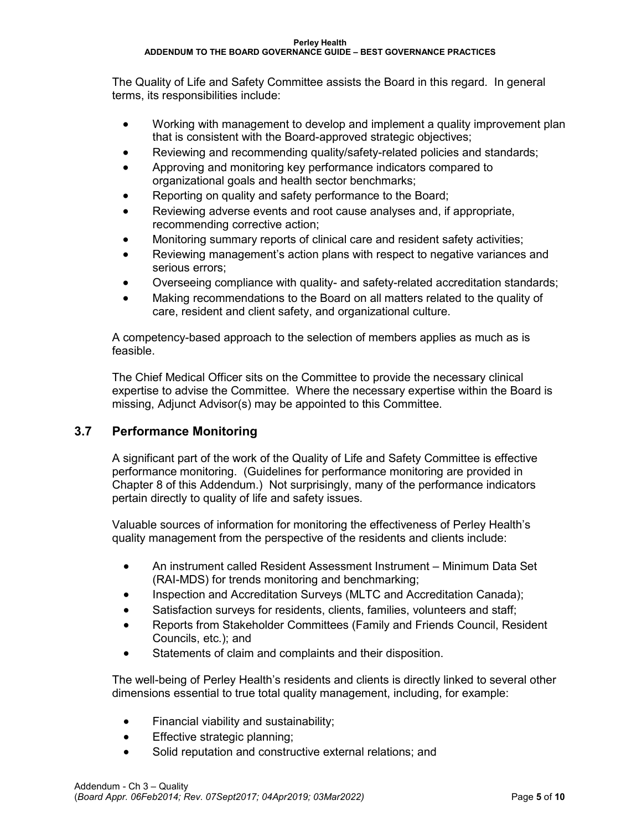The Quality of Life and Safety Committee assists the Board in this regard. In general terms, its responsibilities include:

- Working with management to develop and implement a quality improvement plan that is consistent with the Board-approved strategic objectives;
- Reviewing and recommending quality/safety-related policies and standards;
- Approving and monitoring key performance indicators compared to organizational goals and health sector benchmarks;
- Reporting on quality and safety performance to the Board;
- Reviewing adverse events and root cause analyses and, if appropriate, recommending corrective action;
- Monitoring summary reports of clinical care and resident safety activities;
- Reviewing management's action plans with respect to negative variances and serious errors;
- Overseeing compliance with quality- and safety-related accreditation standards;
- Making recommendations to the Board on all matters related to the quality of care, resident and client safety, and organizational culture.

A competency-based approach to the selection of members applies as much as is feasible.

The Chief Medical Officer sits on the Committee to provide the necessary clinical expertise to advise the Committee. Where the necessary expertise within the Board is missing, Adjunct Advisor(s) may be appointed to this Committee.

## **3.7 Performance Monitoring**

A significant part of the work of the Quality of Life and Safety Committee is effective performance monitoring. (Guidelines for performance monitoring are provided in Chapter 8 of this Addendum.) Not surprisingly, many of the performance indicators pertain directly to quality of life and safety issues.

Valuable sources of information for monitoring the effectiveness of Perley Health's quality management from the perspective of the residents and clients include:

- An instrument called Resident Assessment Instrument Minimum Data Set (RAI-MDS) for trends monitoring and benchmarking;
- Inspection and Accreditation Surveys (MLTC and Accreditation Canada);
- Satisfaction surveys for residents, clients, families, volunteers and staff;
- Reports from Stakeholder Committees (Family and Friends Council, Resident Councils, etc.); and
- Statements of claim and complaints and their disposition.

The well-being of Perley Health's residents and clients is directly linked to several other dimensions essential to true total quality management, including, for example:

- Financial viability and sustainability;
- Effective strategic planning;
- Solid reputation and constructive external relations; and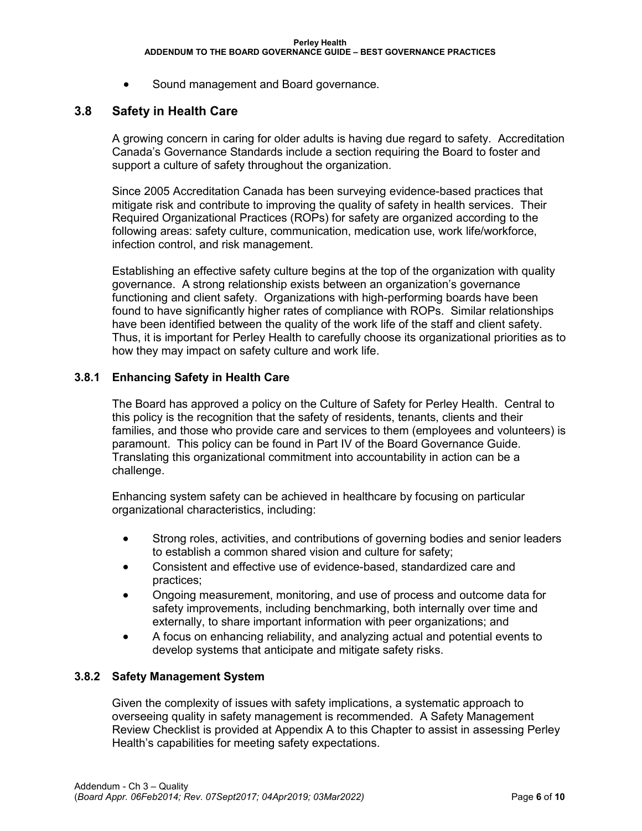• Sound management and Board governance.

## **3.8 Safety in Health Care**

A growing concern in caring for older adults is having due regard to safety. Accreditation Canada's Governance Standards include a section requiring the Board to foster and support a culture of safety throughout the organization.

Since 2005 Accreditation Canada has been surveying evidence-based practices that mitigate risk and contribute to improving the quality of safety in health services. Their Required Organizational Practices (ROPs) for safety are organized according to the following areas: safety culture, communication, medication use, work life/workforce, infection control, and risk management.

Establishing an effective safety culture begins at the top of the organization with quality governance. A strong relationship exists between an organization's governance functioning and client safety. Organizations with high-performing boards have been found to have significantly higher rates of compliance with ROPs. Similar relationships have been identified between the quality of the work life of the staff and client safety. Thus, it is important for Perley Health to carefully choose its organizational priorities as to how they may impact on safety culture and work life.

## **3.8.1 Enhancing Safety in Health Care**

The Board has approved a policy on the Culture of Safety for Perley Health. Central to this policy is the recognition that the safety of residents, tenants, clients and their families, and those who provide care and services to them (employees and volunteers) is paramount. This policy can be found in Part IV of the Board Governance Guide. Translating this organizational commitment into accountability in action can be a challenge.

Enhancing system safety can be achieved in healthcare by focusing on particular organizational characteristics, including:

- Strong roles, activities, and contributions of governing bodies and senior leaders to establish a common shared vision and culture for safety;
- Consistent and effective use of evidence-based, standardized care and practices;
- Ongoing measurement, monitoring, and use of process and outcome data for safety improvements, including benchmarking, both internally over time and externally, to share important information with peer organizations; and
- A focus on enhancing reliability, and analyzing actual and potential events to develop systems that anticipate and mitigate safety risks.

### **3.8.2 Safety Management System**

Given the complexity of issues with safety implications, a systematic approach to overseeing quality in safety management is recommended. A Safety Management Review Checklist is provided at Appendix A to this Chapter to assist in assessing Perley Health's capabilities for meeting safety expectations.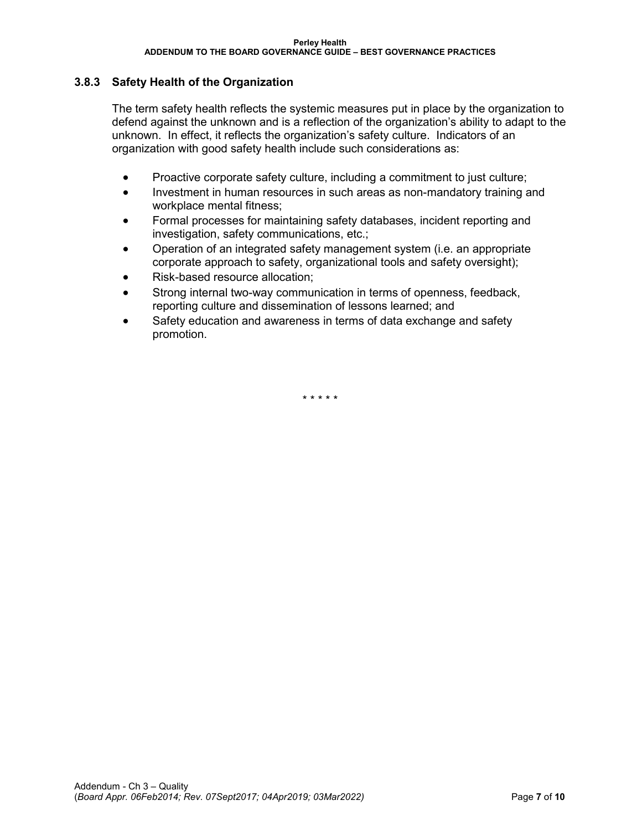### **3.8.3 Safety Health of the Organization**

The term safety health reflects the systemic measures put in place by the organization to defend against the unknown and is a reflection of the organization's ability to adapt to the unknown. In effect, it reflects the organization's safety culture. Indicators of an organization with good safety health include such considerations as:

- Proactive corporate safety culture, including a commitment to just culture;
- Investment in human resources in such areas as non-mandatory training and workplace mental fitness;
- Formal processes for maintaining safety databases, incident reporting and investigation, safety communications, etc.;
- Operation of an integrated safety management system (i.e. an appropriate corporate approach to safety, organizational tools and safety oversight);
- Risk-based resource allocation;
- Strong internal two-way communication in terms of openness, feedback, reporting culture and dissemination of lessons learned; and
- Safety education and awareness in terms of data exchange and safety promotion.

\* \* \* \* \*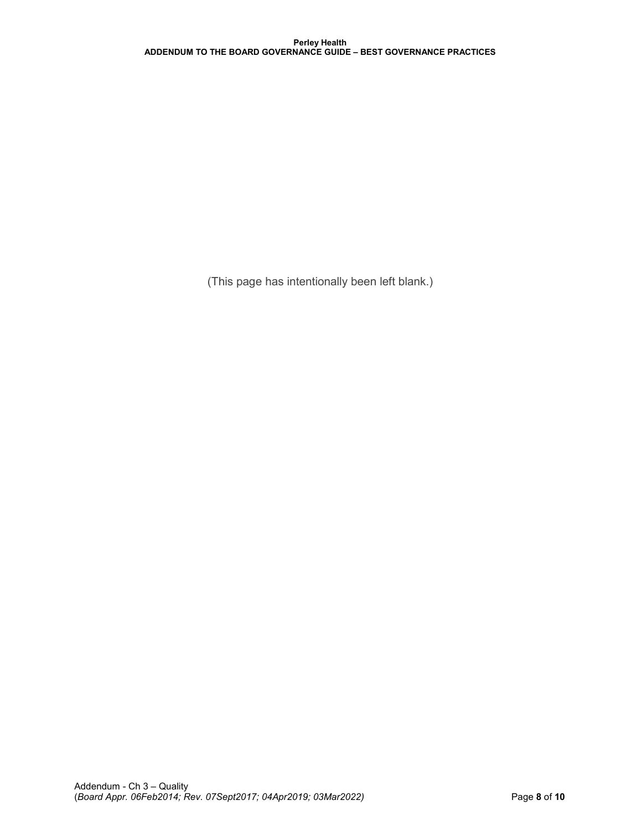(This page has intentionally been left blank.)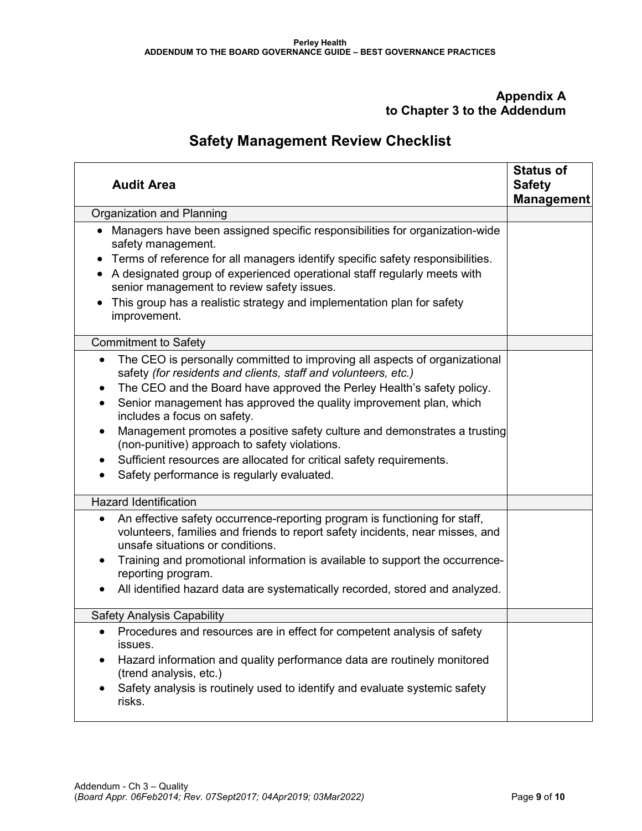## **Appendix A to Chapter 3 to the Addendum**

# **Safety Management Review Checklist**

| <b>Audit Area</b>                                                                                                                                                                                            | <b>Status of</b><br><b>Safety</b><br><b>Management</b> |
|--------------------------------------------------------------------------------------------------------------------------------------------------------------------------------------------------------------|--------------------------------------------------------|
| Organization and Planning                                                                                                                                                                                    |                                                        |
| Managers have been assigned specific responsibilities for organization-wide<br>safety management.<br>Terms of reference for all managers identify specific safety responsibilities.                          |                                                        |
| A designated group of experienced operational staff regularly meets with<br>senior management to review safety issues.                                                                                       |                                                        |
| This group has a realistic strategy and implementation plan for safety<br>improvement.                                                                                                                       |                                                        |
| <b>Commitment to Safety</b>                                                                                                                                                                                  |                                                        |
| The CEO is personally committed to improving all aspects of organizational<br>$\bullet$<br>safety (for residents and clients, staff and volunteers, etc.)                                                    |                                                        |
| The CEO and the Board have approved the Perley Health's safety policy.<br>٠                                                                                                                                  |                                                        |
| Senior management has approved the quality improvement plan, which<br>$\bullet$<br>includes a focus on safety.                                                                                               |                                                        |
| Management promotes a positive safety culture and demonstrates a trusting<br>$\bullet$<br>(non-punitive) approach to safety violations.                                                                      |                                                        |
| Sufficient resources are allocated for critical safety requirements.                                                                                                                                         |                                                        |
| Safety performance is regularly evaluated.                                                                                                                                                                   |                                                        |
| <b>Hazard Identification</b>                                                                                                                                                                                 |                                                        |
| An effective safety occurrence-reporting program is functioning for staff,<br>$\bullet$<br>volunteers, families and friends to report safety incidents, near misses, and<br>unsafe situations or conditions. |                                                        |
| Training and promotional information is available to support the occurrence-<br>reporting program.                                                                                                           |                                                        |
| All identified hazard data are systematically recorded, stored and analyzed.                                                                                                                                 |                                                        |
| <b>Safety Analysis Capability</b>                                                                                                                                                                            |                                                        |
| Procedures and resources are in effect for competent analysis of safety<br>issues.                                                                                                                           |                                                        |
| Hazard information and quality performance data are routinely monitored<br>(trend analysis, etc.)                                                                                                            |                                                        |
| Safety analysis is routinely used to identify and evaluate systemic safety<br>risks.                                                                                                                         |                                                        |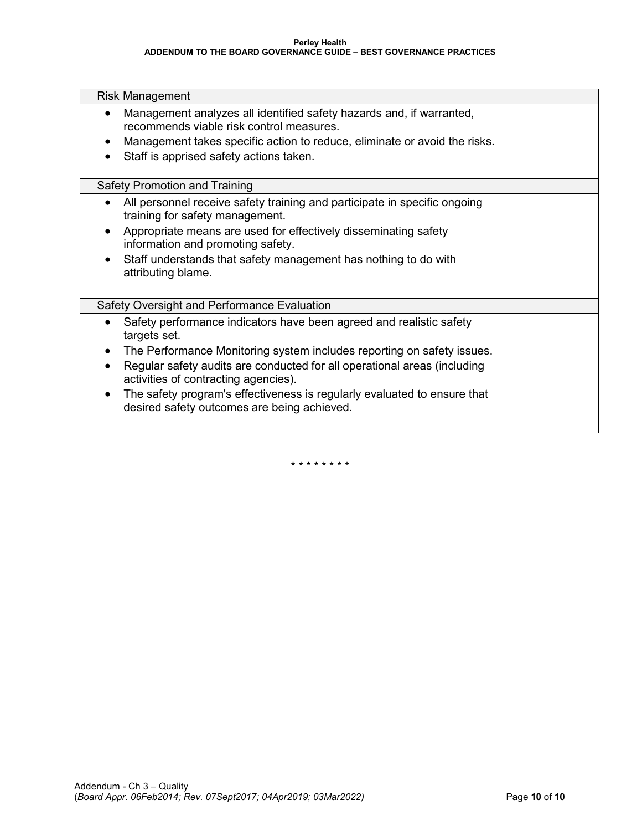#### **Perley Health ADDENDUM TO THE BOARD GOVERNANCE GUIDE – BEST GOVERNANCE PRACTICES**

| <b>Risk Management</b>                                                                                                                                                                                                                                                                                                                                                                                                                                   |  |
|----------------------------------------------------------------------------------------------------------------------------------------------------------------------------------------------------------------------------------------------------------------------------------------------------------------------------------------------------------------------------------------------------------------------------------------------------------|--|
| Management analyzes all identified safety hazards and, if warranted,<br>٠<br>recommends viable risk control measures.<br>Management takes specific action to reduce, eliminate or avoid the risks.<br>٠<br>Staff is apprised safety actions taken.<br>$\bullet$                                                                                                                                                                                          |  |
| <b>Safety Promotion and Training</b>                                                                                                                                                                                                                                                                                                                                                                                                                     |  |
| All personnel receive safety training and participate in specific ongoing<br>$\bullet$<br>training for safety management.<br>Appropriate means are used for effectively disseminating safety<br>٠<br>information and promoting safety.<br>Staff understands that safety management has nothing to do with<br>$\bullet$<br>attributing blame.                                                                                                             |  |
| Safety Oversight and Performance Evaluation                                                                                                                                                                                                                                                                                                                                                                                                              |  |
| Safety performance indicators have been agreed and realistic safety<br>$\bullet$<br>targets set.<br>The Performance Monitoring system includes reporting on safety issues.<br>$\bullet$<br>Regular safety audits are conducted for all operational areas (including<br>٠<br>activities of contracting agencies).<br>The safety program's effectiveness is regularly evaluated to ensure that<br>$\bullet$<br>desired safety outcomes are being achieved. |  |

\* \* \* \* \* \* \* \*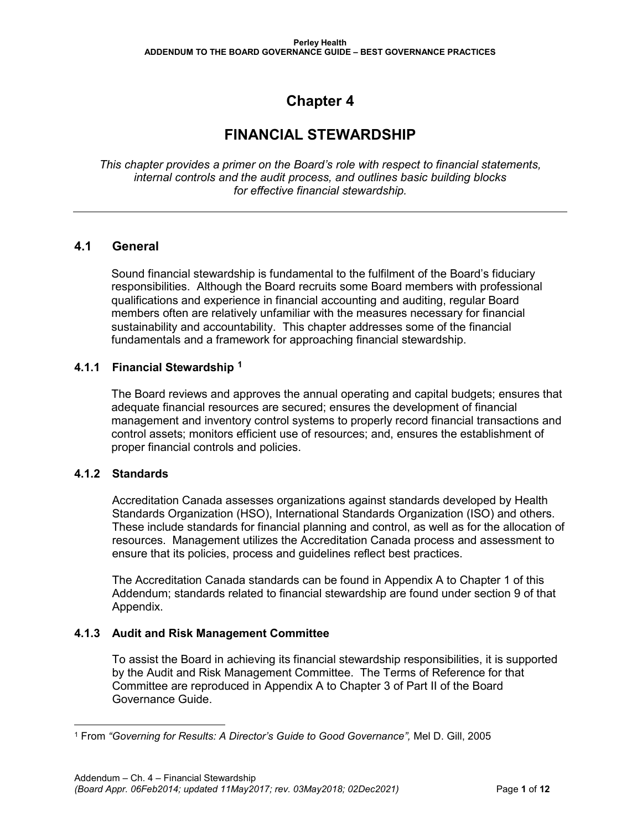## **Chapter 4**

## **FINANCIAL STEWARDSHIP**

*This chapter provides a primer on the Board's role with respect to financial statements, internal controls and the audit process, and outlines basic building blocks for effective financial stewardship.*

## **4.1 General**

Sound financial stewardship is fundamental to the fulfilment of the Board's fiduciary responsibilities. Although the Board recruits some Board members with professional qualifications and experience in financial accounting and auditing, regular Board members often are relatively unfamiliar with the measures necessary for financial sustainability and accountability. This chapter addresses some of the financial fundamentals and a framework for approaching financial stewardship.

### **4.1.1 Financial Stewardship [1](#page-46-0)**

The Board reviews and approves the annual operating and capital budgets; ensures that adequate financial resources are secured; ensures the development of financial management and inventory control systems to properly record financial transactions and control assets; monitors efficient use of resources; and, ensures the establishment of proper financial controls and policies.

### **4.1.2 Standards**

Accreditation Canada assesses organizations against standards developed by Health Standards Organization (HSO), International Standards Organization (ISO) and others. These include standards for financial planning and control, as well as for the allocation of resources. Management utilizes the Accreditation Canada process and assessment to ensure that its policies, process and guidelines reflect best practices.

The Accreditation Canada standards can be found in Appendix A to Chapter 1 of this Addendum; standards related to financial stewardship are found under section 9 of that Appendix.

### **4.1.3 Audit and Risk Management Committee**

To assist the Board in achieving its financial stewardship responsibilities, it is supported by the Audit and Risk Management Committee. The Terms of Reference for that Committee are reproduced in Appendix A to Chapter 3 of Part II of the Board Governance Guide.

<span id="page-46-0"></span> $\overline{a}$ <sup>1</sup> From *"Governing for Results: A Director's Guide to Good Governance",* Mel D. Gill, 2005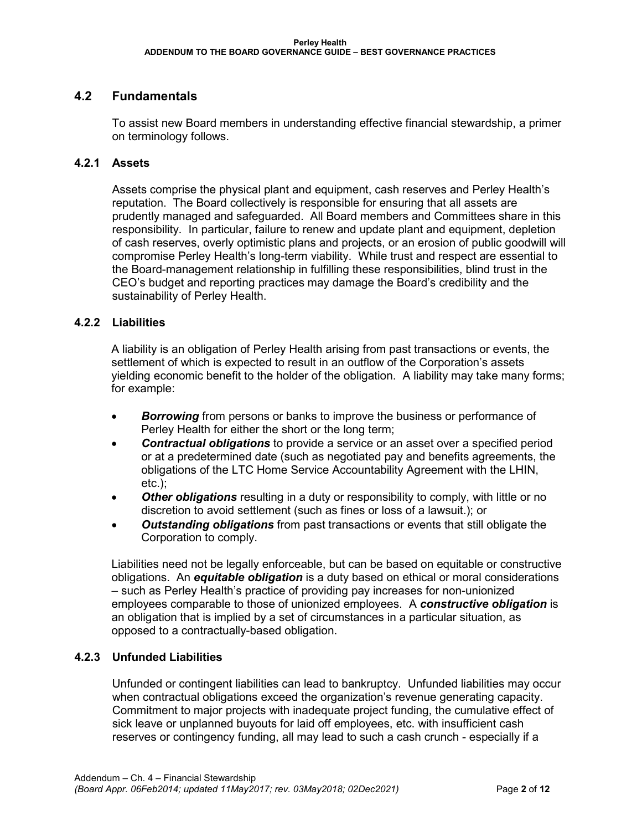## **4.2 Fundamentals**

To assist new Board members in understanding effective financial stewardship, a primer on terminology follows.

### **4.2.1 Assets**

Assets comprise the physical plant and equipment, cash reserves and Perley Health's reputation. The Board collectively is responsible for ensuring that all assets are prudently managed and safeguarded. All Board members and Committees share in this responsibility. In particular, failure to renew and update plant and equipment, depletion of cash reserves, overly optimistic plans and projects, or an erosion of public goodwill will compromise Perley Health's long-term viability. While trust and respect are essential to the Board-management relationship in fulfilling these responsibilities, blind trust in the CEO's budget and reporting practices may damage the Board's credibility and the sustainability of Perley Health.

### **4.2.2 Liabilities**

A liability is an obligation of Perley Health arising from past transactions or events, the settlement of which is expected to result in an outflow of the Corporation's assets yielding economic benefit to the holder of the obligation. A liability may take many forms; for example:

- **Borrowing** from persons or banks to improve the business or performance of Perley Health for either the short or the long term;
- *Contractual obligations* to provide a service or an asset over a specified period or at a predetermined date (such as negotiated pay and benefits agreements, the obligations of the LTC Home Service Accountability Agreement with the LHIN, etc.);
- *Other obligations* resulting in a duty or responsibility to comply, with little or no discretion to avoid settlement (such as fines or loss of a lawsuit.); or
- *Outstanding obligations* from past transactions or events that still obligate the Corporation to comply.

Liabilities need not be legally enforceable, but can be based on equitable or constructive obligations. An *equitable obligation* is a duty based on ethical or moral considerations – such as Perley Health's practice of providing pay increases for non-unionized employees comparable to those of unionized employees. A *constructive obligation* is an obligation that is implied by a set of circumstances in a particular situation, as opposed to a contractually-based obligation.

### **4.2.3 Unfunded Liabilities**

Unfunded or contingent liabilities can lead to bankruptcy. Unfunded liabilities may occur when contractual obligations exceed the organization's revenue generating capacity. Commitment to major projects with inadequate project funding, the cumulative effect of sick leave or unplanned buyouts for laid off employees, etc. with insufficient cash reserves or contingency funding, all may lead to such a cash crunch - especially if a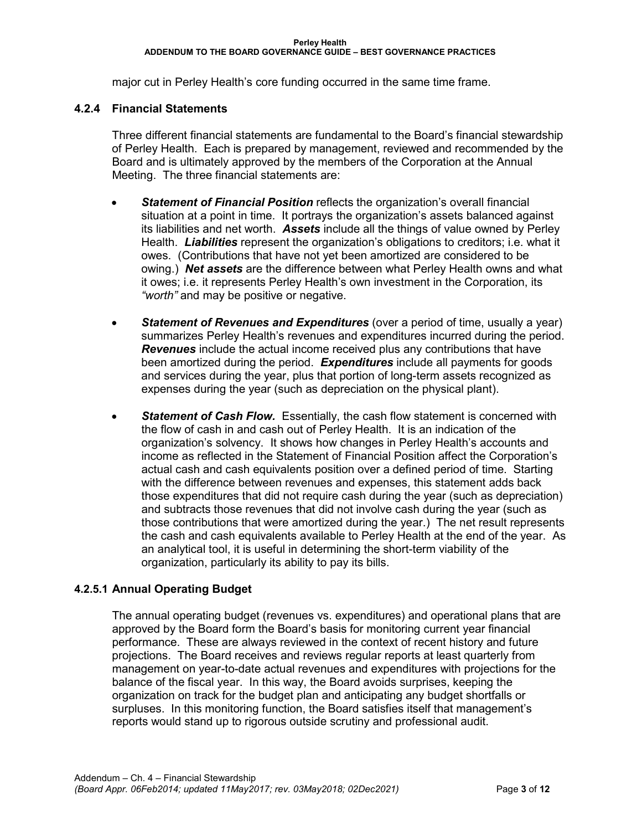major cut in Perley Health's core funding occurred in the same time frame.

### **4.2.4 Financial Statements**

Three different financial statements are fundamental to the Board's financial stewardship of Perley Health. Each is prepared by management, reviewed and recommended by the Board and is ultimately approved by the members of the Corporation at the Annual Meeting. The three financial statements are:

- **Statement of Financial Position** reflects the organization's overall financial situation at a point in time. It portrays the organization's assets balanced against its liabilities and net worth. *Assets* include all the things of value owned by Perley Health. *Liabilities* represent the organization's obligations to creditors; i.e. what it owes. (Contributions that have not yet been amortized are considered to be owing.) *Net assets* are the difference between what Perley Health owns and what it owes; i.e. it represents Perley Health's own investment in the Corporation, its *"worth"* and may be positive or negative.
- *Statement of Revenues and Expenditures* (over a period of time, usually a year) summarizes Perley Health's revenues and expenditures incurred during the period. *Revenues* include the actual income received plus any contributions that have been amortized during the period. *Expenditures* include all payments for goods and services during the year, plus that portion of long-term assets recognized as expenses during the year (such as depreciation on the physical plant).
- *Statement of Cash Flow.* Essentially, the cash flow statement is concerned with the flow of cash in and cash out of Perley Health. It is an indication of the organization's solvency. It shows how changes in Perley Health's accounts and income as reflected in the [Statement of Financial Position](http://en.wikipedia.org/wiki/Balance_sheet) affect the Corporation's actual [cash and cash equivalents](http://en.wikipedia.org/wiki/Cash_and_cash_equivalents) position over a defined period of time. Starting with the difference between revenues and expenses, this statement adds back those expenditures that did not require cash during the year (such as depreciation) and subtracts those revenues that did not involve cash during the year (such as those contributions that were amortized during the year.) The net result represents the cash and cash equivalents available to Perley Health at the end of the year. As an analytical tool, it is useful in determining the short-term viability of the organization, particularly its ability to pay its bills.

### **4.2.5.1 Annual Operating Budget**

The annual operating budget (revenues vs. expenditures) and operational plans that are approved by the Board form the Board's basis for monitoring current year financial performance. These are always reviewed in the context of recent history and future projections. The Board receives and reviews regular reports at least quarterly from management on year-to-date actual revenues and expenditures with projections for the balance of the fiscal year. In this way, the Board avoids surprises, keeping the organization on track for the budget plan and anticipating any budget shortfalls or surpluses. In this monitoring function, the Board satisfies itself that management's reports would stand up to rigorous outside scrutiny and professional audit.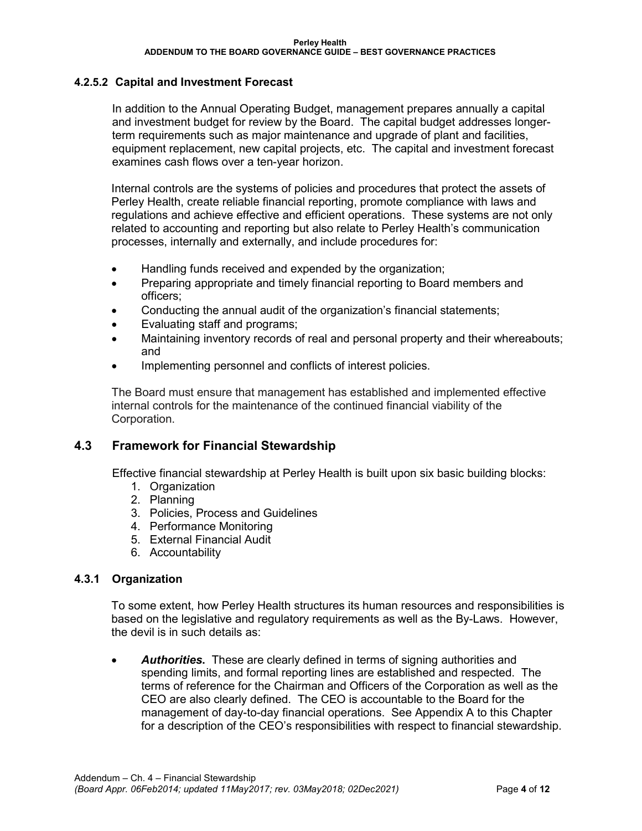### **4.2.5.2 Capital and Investment Forecast**

In addition to the Annual Operating Budget, management prepares annually a capital and investment budget for review by the Board. The capital budget addresses longerterm requirements such as major maintenance and upgrade of plant and facilities, equipment replacement, new capital projects, etc. The capital and investment forecast examines cash flows over a ten-year horizon.

Internal controls are the systems of policies and procedures that protect the assets of Perley Health, create reliable financial reporting, promote compliance with laws and regulations and achieve effective and efficient operations. These systems are not only related to accounting and reporting but also relate to Perley Health's communication processes, internally and externally, and include procedures for:

- Handling funds received and expended by the organization;
- Preparing appropriate and timely financial reporting to Board members and officers;
- Conducting the annual audit of the organization's financial statements;
- Evaluating staff and programs;
- Maintaining inventory records of real and personal property and their whereabouts; and
- Implementing personnel and conflicts of interest policies.

The Board must ensure that management has established and implemented effective internal controls for the maintenance of the continued financial viability of the Corporation.

### **4.3 Framework for Financial Stewardship**

Effective financial stewardship at Perley Health is built upon six basic building blocks:

- 1. Organization
- 2. Planning
- 3. Policies, Process and Guidelines
- 4. Performance Monitoring
- 5. External Financial Audit
- 6. Accountability

### **4.3.1 Organization**

To some extent, how Perley Health structures its human resources and responsibilities is based on the legislative and regulatory requirements as well as the By-Laws. However, the devil is in such details as:

• *Authorities***.** These are clearly defined in terms of signing authorities and spending limits, and formal reporting lines are established and respected. The terms of reference for the Chairman and Officers of the Corporation as well as the CEO are also clearly defined. The CEO is accountable to the Board for the management of day-to-day financial operations. See Appendix A to this Chapter for a description of the CEO's responsibilities with respect to financial stewardship.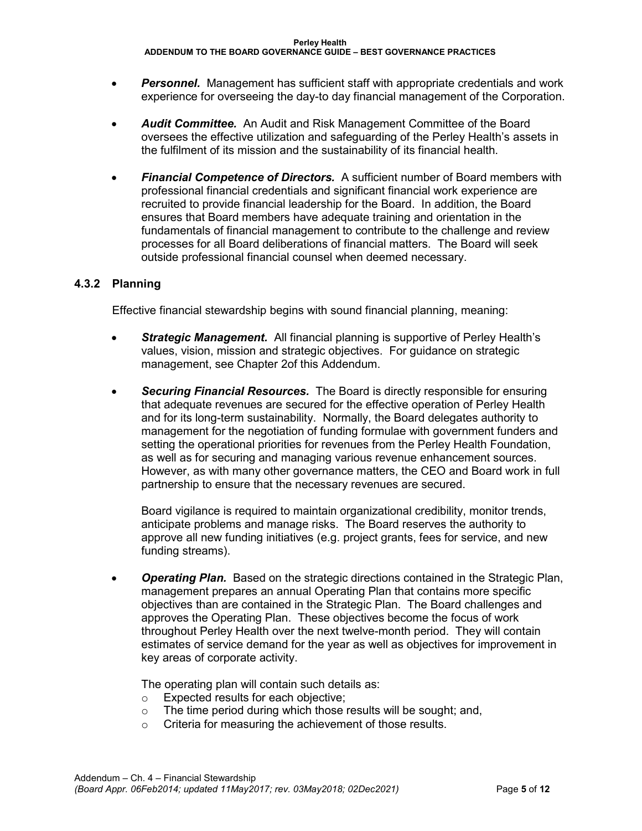#### **ADDENDUM TO THE BOARD GOVERNANCE GUIDE – BEST GOVERNANCE PRACTICES**

- *Personnel.* Management has sufficient staff with appropriate credentials and work experience for overseeing the day-to day financial management of the Corporation.
- *Audit Committee.* An Audit and Risk Management Committee of the Board oversees the effective utilization and safeguarding of the Perley Health's assets in the fulfilment of its mission and the sustainability of its financial health.
- *Financial Competence of Directors.* A sufficient number of Board members with professional financial credentials and significant financial work experience are recruited to provide financial leadership for the Board. In addition, the Board ensures that Board members have adequate training and orientation in the fundamentals of financial management to contribute to the challenge and review processes for all Board deliberations of financial matters. The Board will seek outside professional financial counsel when deemed necessary.

### **4.3.2 Planning**

Effective financial stewardship begins with sound financial planning, meaning:

- *Strategic Management.* All financial planning is supportive of Perley Health's values, vision, mission and strategic objectives. For guidance on strategic management, see Chapter 2of this Addendum.
- *Securing Financial Resources.* The Board is directly responsible for ensuring that adequate revenues are secured for the effective operation of Perley Health and for its long-term sustainability. Normally, the Board delegates authority to management for the negotiation of funding formulae with government funders and setting the operational priorities for revenues from the Perley Health Foundation, as well as for securing and managing various revenue enhancement sources. However, as with many other governance matters, the CEO and Board work in full partnership to ensure that the necessary revenues are secured.

Board vigilance is required to maintain organizational credibility, monitor trends, anticipate problems and manage risks. The Board reserves the authority to approve all new funding initiatives (e.g. project grants, fees for service, and new funding streams).

• *Operating Plan.* Based on the strategic directions contained in the Strategic Plan, management prepares an annual Operating Plan that contains more specific objectives than are contained in the Strategic Plan. The Board challenges and approves the Operating Plan. These objectives become the focus of work throughout Perley Health over the next twelve-month period. They will contain estimates of service demand for the year as well as objectives for improvement in key areas of corporate activity.

The operating plan will contain such details as:

- o Expected results for each objective;
- $\circ$  The time period during which those results will be sought; and,  $\circ$  Criteria for measuring the achievement of those results.
- Criteria for measuring the achievement of those results.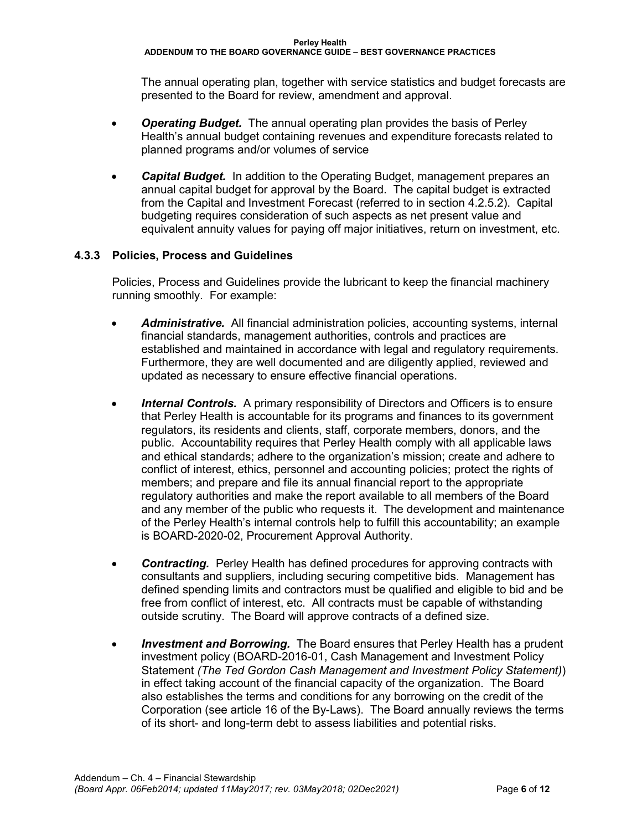### **ADDENDUM TO THE BOARD GOVERNANCE GUIDE – BEST GOVERNANCE PRACTICES**

The annual operating plan, together with service statistics and budget forecasts are presented to the Board for review, amendment and approval.

- *Operating Budget.* The annual operating plan provides the basis of Perley Health's annual budget containing revenues and expenditure forecasts related to planned programs and/or volumes of service
- **Capital Budget.** In addition to the Operating Budget, management prepares an annual capital budget for approval by the Board. The capital budget is extracted from the Capital and Investment Forecast (referred to in section 4.2.5.2). Capital budgeting requires consideration of such aspects as net present value and equivalent annuity values for paying off major initiatives, return on investment, etc.

### **4.3.3 Policies, Process and Guidelines**

Policies, Process and Guidelines provide the lubricant to keep the financial machinery running smoothly. For example:

- *Administrative.* All financial administration policies, accounting systems, internal financial standards, management authorities, controls and practices are established and maintained in accordance with legal and regulatory requirements. Furthermore, they are well documented and are diligently applied, reviewed and updated as necessary to ensure effective financial operations.
- *Internal Controls.* A primary responsibility of Directors and Officers is to ensure that Perley Health is accountable for its programs and finances to its government regulators, its residents and clients, staff, corporate members, donors, and the public. Accountability requires that Perley Health comply with all applicable laws and ethical standards; adhere to the organization's mission; create and adhere to conflict of interest, ethics, personnel and accounting policies; protect the rights of members; and prepare and file its annual financial report to the appropriate regulatory authorities and make the report available to all members of the Board and any member of the public who requests it. The development and maintenance of the Perley Health's internal controls help to fulfill this accountability; an example is BOARD-2020-02, Procurement Approval Authority.
- *Contracting.* Perley Health has defined procedures for approving contracts with consultants and suppliers, including securing competitive bids. Management has defined spending limits and contractors must be qualified and eligible to bid and be free from conflict of interest, etc. All contracts must be capable of withstanding outside scrutiny. The Board will approve contracts of a defined size.
- *Investment and Borrowing.* The Board ensures that Perley Health has a prudent investment policy (BOARD-2016-01, Cash Management and Investment Policy Statement *(The Ted Gordon Cash Management and Investment Policy Statement)*) in effect taking account of the financial capacity of the organization. The Board also establishes the terms and conditions for any borrowing on the credit of the Corporation (see article 16 of the By-Laws). The Board annually reviews the terms of its short- and long-term debt to assess liabilities and potential risks.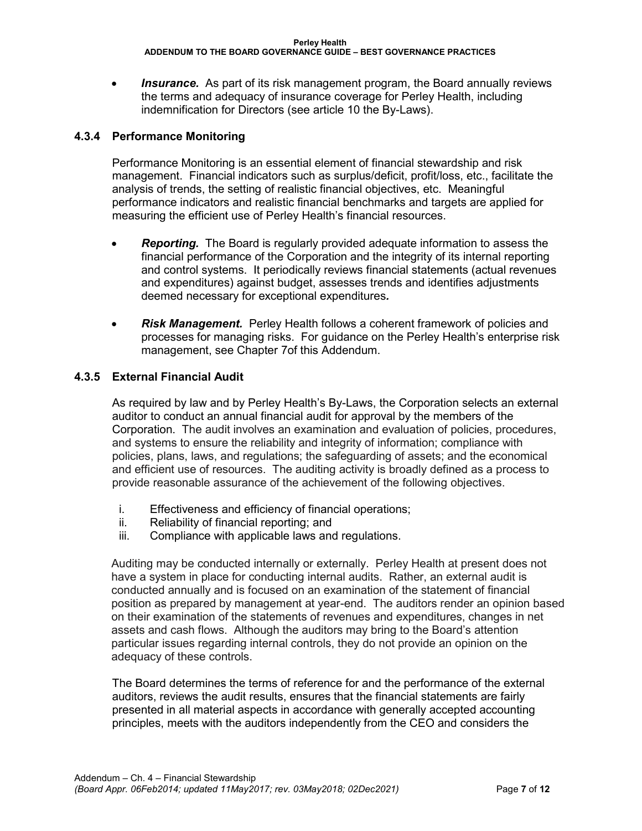• *Insurance.* As part of its risk management program, the Board annually reviews the terms and adequacy of insurance coverage for Perley Health, including indemnification for Directors (see article 10 the By-Laws).

### **4.3.4 Performance Monitoring**

Performance Monitoring is an essential element of financial stewardship and risk management. Financial indicators such as surplus/deficit, profit/loss, etc., facilitate the analysis of trends, the setting of realistic financial objectives, etc. Meaningful performance indicators and realistic financial benchmarks and targets are applied for measuring the efficient use of Perley Health's financial resources.

- *Reporting.* The Board is regularly provided adequate information to assess the financial performance of the Corporation and the integrity of its internal reporting and control systems. It periodically reviews financial statements (actual revenues and expenditures) against budget, assesses trends and identifies adjustments deemed necessary for exceptional expenditures*.*
- *Risk Management.* Perley Health follows a coherent framework of policies and processes for managing risks. For guidance on the Perley Health's enterprise risk management, see Chapter 7of this Addendum.

### **4.3.5 External Financial Audit**

As required by law and by Perley Health's By-Laws, the Corporation selects an external auditor to conduct an annual financial audit for approval by the members of the Corporation. The audit involves an examination and evaluation of policies, procedures, and systems to ensure the reliability and integrity of information; compliance with policies, plans, laws, and regulations; the safeguarding of assets; and the economical and efficient use of resources. The auditing activity is broadly defined as a process to provide reasonable assurance of the achievement of the following objectives.

- i. Effectiveness and efficiency of financial operations;
- ii. Reliability of financial reporting; and
- iii. Compliance with applicable laws and regulations.

Auditing may be conducted internally or externally. Perley Health at present does not have a system in place for conducting internal audits. Rather, an external audit is conducted annually and is focused on an examination of the statement of financial position as prepared by management at year-end. The auditors render an opinion based on their examination of the statements of revenues and expenditures, changes in net assets and cash flows. Although the auditors may bring to the Board's attention particular issues regarding internal controls, they do not provide an opinion on the adequacy of these controls.

The Board determines the terms of reference for and the performance of the external auditors, reviews the audit results, ensures that the financial statements are fairly presented in all material aspects in accordance with generally accepted accounting principles, meets with the auditors independently from the CEO and considers the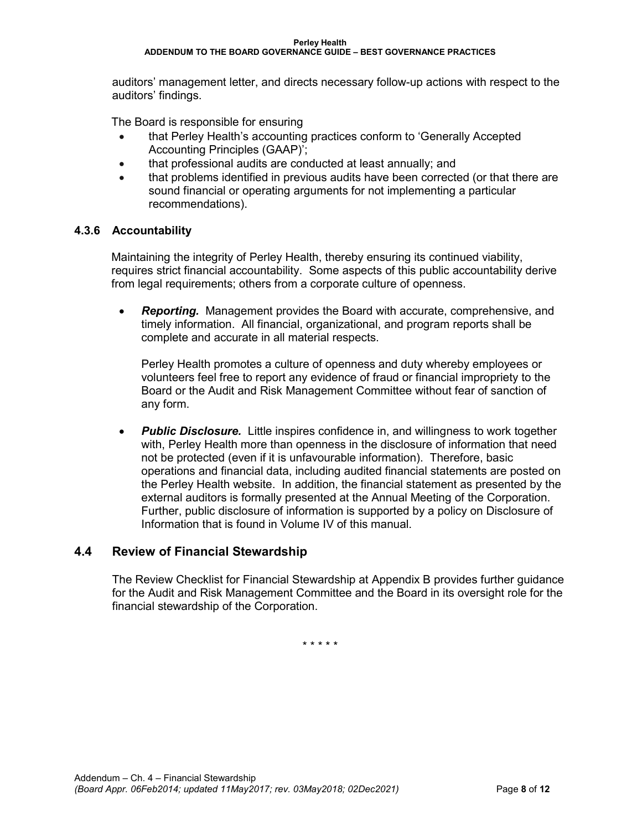auditors' management letter, and directs necessary follow-up actions with respect to the auditors' findings.

The Board is responsible for ensuring

- that Perley Health's accounting practices conform to 'Generally Accepted Accounting Principles (GAAP)';
- that professional audits are conducted at least annually; and
- that problems identified in previous audits have been corrected (or that there are sound financial or operating arguments for not implementing a particular recommendations).

### **4.3.6 Accountability**

Maintaining the integrity of Perley Health, thereby ensuring its continued viability, requires strict financial accountability. Some aspects of this public accountability derive from legal requirements; others from a corporate culture of openness.

• *Reporting.* Management provides the Board with accurate, comprehensive, and timely information. All financial, organizational, and program reports shall be complete and accurate in all material respects.

Perley Health promotes a culture of openness and duty whereby employees or volunteers feel free to report any evidence of fraud or financial impropriety to the Board or the Audit and Risk Management Committee without fear of sanction of any form.

• *Public Disclosure.* Little inspires confidence in, and willingness to work together with, Perley Health more than openness in the disclosure of information that need not be protected (even if it is unfavourable information). Therefore, basic operations and financial data, including audited financial statements are posted on the Perley Health website. In addition, the financial statement as presented by the external auditors is formally presented at the Annual Meeting of the Corporation. Further, public disclosure of information is supported by a policy on Disclosure of Information that is found in Volume IV of this manual.

### **4.4 Review of Financial Stewardship**

The Review Checklist for Financial Stewardship at Appendix B provides further guidance for the Audit and Risk Management Committee and the Board in its oversight role for the financial stewardship of the Corporation.

\* \* \* \* \*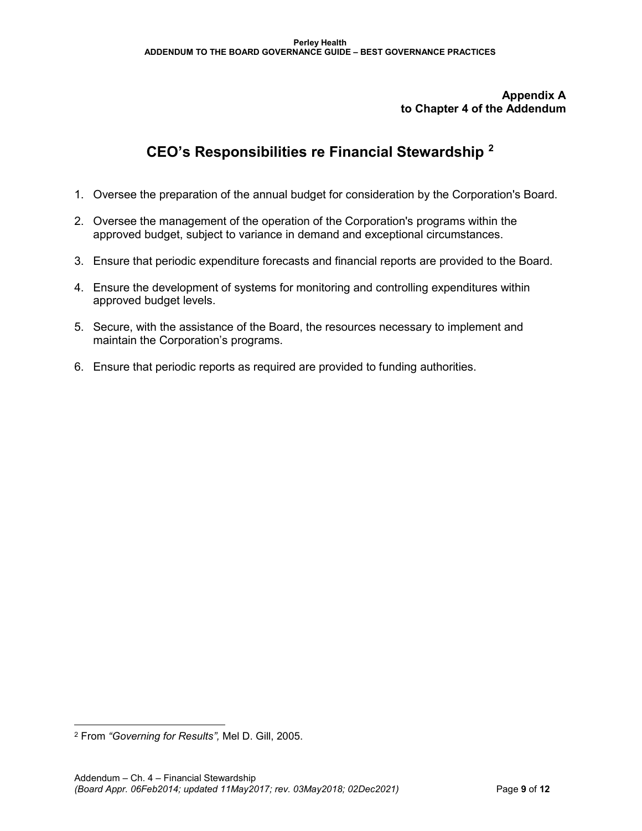### **Appendix A to Chapter 4 of the Addendum**

# **CEO's Responsibilities re Financial Stewardship [2](#page-54-0)**

- 1. Oversee the preparation of the annual budget for consideration by the Corporation's Board.
- 2. Oversee the management of the operation of the Corporation's programs within the approved budget, subject to variance in demand and exceptional circumstances.
- 3. Ensure that periodic expenditure forecasts and financial reports are provided to the Board.
- 4. Ensure the development of systems for monitoring and controlling expenditures within approved budget levels.
- 5. Secure, with the assistance of the Board, the resources necessary to implement and maintain the Corporation's programs.
- 6. Ensure that periodic reports as required are provided to funding authorities.

<span id="page-54-0"></span> <sup>2</sup> From *"Governing for Results",* Mel D. Gill, 2005.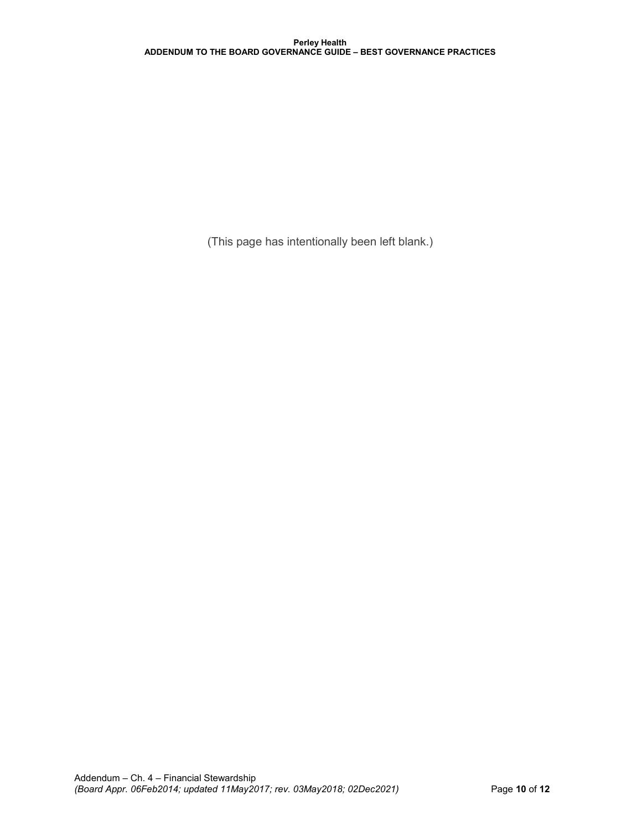(This page has intentionally been left blank.)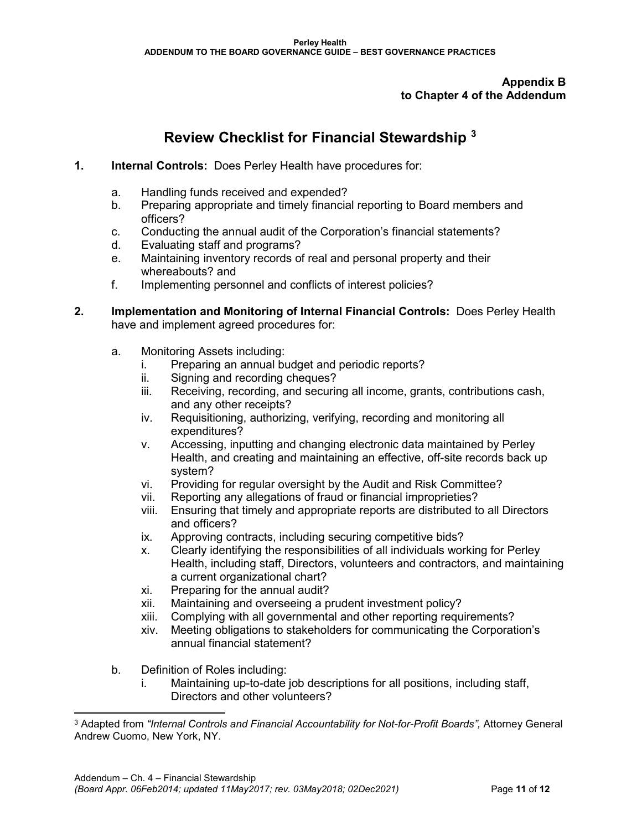### **Appendix B to Chapter 4 of the Addendum**

## **Review Checklist for Financial Stewardship [3](#page-56-0)**

- **1. Internal Controls:** Does Perley Health have procedures for:
	- a. Handling funds received and expended?
	- b. Preparing appropriate and timely financial reporting to Board members and officers?
	- c. Conducting the annual audit of the Corporation's financial statements?
	- d. Evaluating staff and programs?
	- e. Maintaining inventory records of real and personal property and their whereabouts? and
	- f. Implementing personnel and conflicts of interest policies?
- **2. Implementation and Monitoring of Internal Financial Controls:** Does Perley Health have and implement agreed procedures for:
	- a. Monitoring Assets including:
		- i. Preparing an annual budget and periodic reports?
		- ii. Signing and recording cheques?
		- iii. Receiving, recording, and securing all income, grants, contributions cash, and any other receipts?
		- iv. Requisitioning, authorizing, verifying, recording and monitoring all expenditures?
		- v. Accessing, inputting and changing electronic data maintained by Perley Health, and creating and maintaining an effective, off-site records back up system?
		- vi. Providing for regular oversight by the Audit and Risk Committee?
		- vii. Reporting any allegations of fraud or financial improprieties?
		- viii. Ensuring that timely and appropriate reports are distributed to all Directors and officers?
		- ix. Approving contracts, including securing competitive bids?
		- x. Clearly identifying the responsibilities of all individuals working for Perley Health, including staff, Directors, volunteers and contractors, and maintaining a current organizational chart?
		- xi. Preparing for the annual audit?
		- xii. Maintaining and overseeing a prudent investment policy?
		- xiii. Complying with all governmental and other reporting requirements?
		- xiv. Meeting obligations to stakeholders for communicating the Corporation's annual financial statement?
	- b. Definition of Roles including:
		- i. Maintaining up-to-date job descriptions for all positions, including staff, Directors and other volunteers?

<span id="page-56-0"></span> <sup>3</sup> Adapted from *"Internal Controls and Financial Accountability for Not-for-Profit Boards",* Attorney General Andrew Cuomo, New York, NY.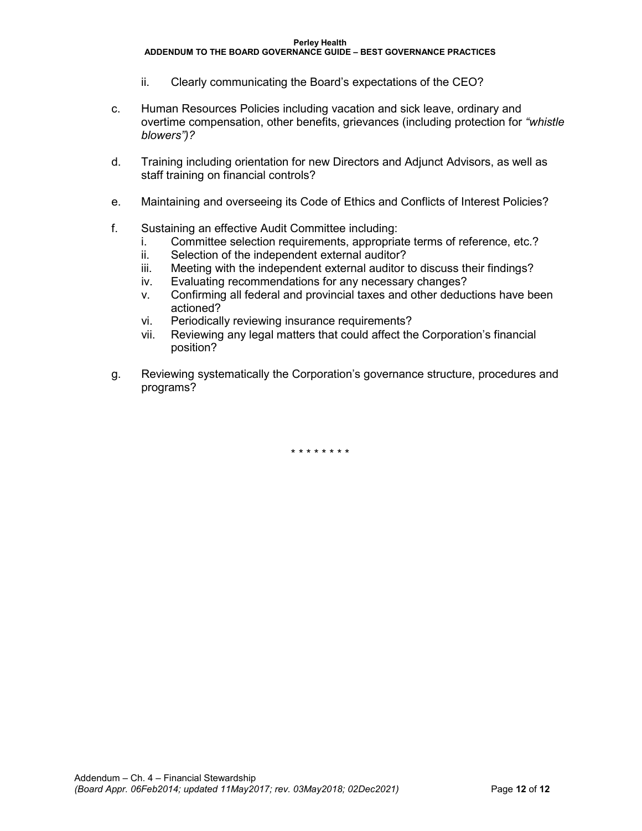#### **ADDENDUM TO THE BOARD GOVERNANCE GUIDE – BEST GOVERNANCE PRACTICES**

- ii. Clearly communicating the Board's expectations of the CEO?
- c. Human Resources Policies including vacation and sick leave, ordinary and overtime compensation, other benefits, grievances (including protection for *"whistle blowers")?*
- d. Training including orientation for new Directors and Adjunct Advisors, as well as staff training on financial controls?
- e. Maintaining and overseeing its Code of Ethics and Conflicts of Interest Policies?
- f. Sustaining an effective Audit Committee including:
	- i. Committee selection requirements, appropriate terms of reference, etc.?
	- ii. Selection of the independent external auditor?
	- iii. Meeting with the independent external auditor to discuss their findings?
	- iv. Evaluating recommendations for any necessary changes?
	- v. Confirming all federal and provincial taxes and other deductions have been actioned?
	- vi. Periodically reviewing insurance requirements?
	- vii. Reviewing any legal matters that could affect the Corporation's financial position?
- g. Reviewing systematically the Corporation's governance structure, procedures and programs?

\* \* \* \* \* \* \* \*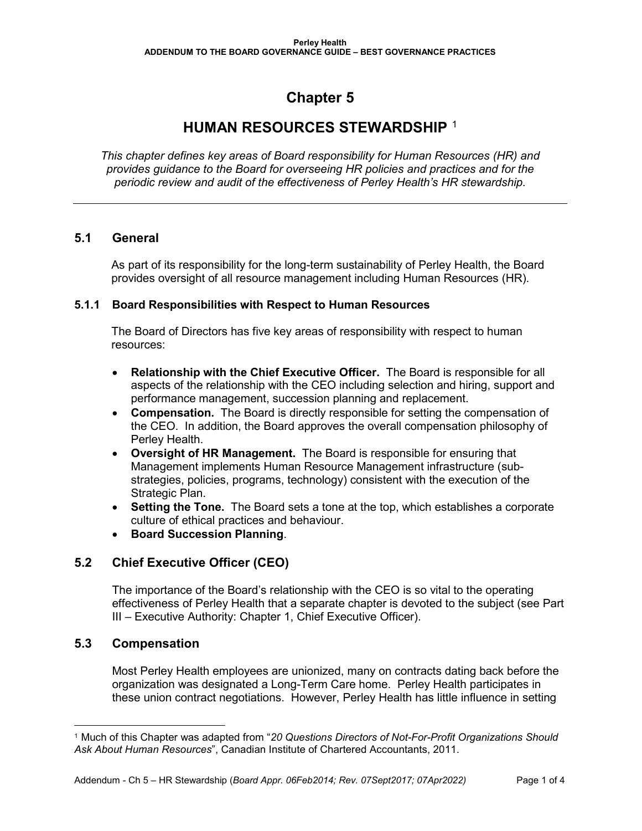## **Chapter 5**

## **HUMAN RESOURCES STEWARDSHIP** [1](#page-58-0)

*This chapter defines key areas of Board responsibility for Human Resources (HR) and provides guidance to the Board for overseeing HR policies and practices and for the periodic review and audit of the effectiveness of Perley Health's HR stewardship.* 

## **5.1 General**

As part of its responsibility for the long-term sustainability of Perley Health, the Board provides oversight of all resource management including Human Resources (HR).

### **5.1.1 Board Responsibilities with Respect to Human Resources**

The Board of Directors has five key areas of responsibility with respect to human resources:

- **Relationship with the Chief Executive Officer.** The Board is responsible for all aspects of the relationship with the CEO including selection and hiring, support and performance management, succession planning and replacement.
- **Compensation.** The Board is directly responsible for setting the compensation of the CEO. In addition, the Board approves the overall compensation philosophy of Perley Health.
- **Oversight of HR Management.** The Board is responsible for ensuring that Management implements Human Resource Management infrastructure (substrategies, policies, programs, technology) consistent with the execution of the Strategic Plan.
- **Setting the Tone.** The Board sets a tone at the top, which establishes a corporate culture of ethical practices and behaviour.
- **Board Succession Planning**.

## **5.2 Chief Executive Officer (CEO)**

The importance of the Board's relationship with the CEO is so vital to the operating effectiveness of Perley Health that a separate chapter is devoted to the subject (see Part III – Executive Authority: Chapter 1, Chief Executive Officer).

### **5.3 Compensation**

 $\overline{\phantom{a}}$ 

Most Perley Health employees are unionized, many on contracts dating back before the organization was designated a Long-Term Care home. Perley Health participates in these union contract negotiations. However, Perley Health has little influence in setting

<span id="page-58-0"></span><sup>1</sup> Much of this Chapter was adapted from "*20 Questions Directors of Not-For-Profit Organizations Should Ask About Human Resources*", Canadian Institute of Chartered Accountants, 2011.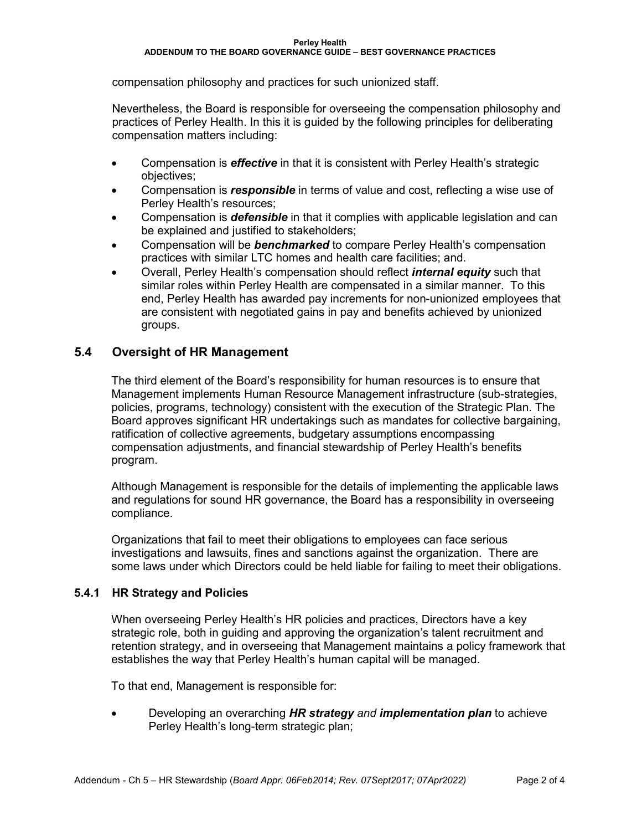compensation philosophy and practices for such unionized staff.

Nevertheless, the Board is responsible for overseeing the compensation philosophy and practices of Perley Health. In this it is guided by the following principles for deliberating compensation matters including:

- Compensation is *effective* in that it is consistent with Perley Health's strategic objectives;
- Compensation is *responsible* in terms of value and cost, reflecting a wise use of Perley Health's resources;
- Compensation is *defensible* in that it complies with applicable legislation and can be explained and justified to stakeholders;
- Compensation will be *benchmarked* to compare Perley Health's compensation practices with similar LTC homes and health care facilities; and.
- Overall, Perley Health's compensation should reflect *internal equity* such that similar roles within Perley Health are compensated in a similar manner. To this end, Perley Health has awarded pay increments for non-unionized employees that are consistent with negotiated gains in pay and benefits achieved by unionized groups.

## **5.4 Oversight of HR Management**

The third element of the Board's responsibility for human resources is to ensure that Management implements Human Resource Management infrastructure (sub-strategies, policies, programs, technology) consistent with the execution of the Strategic Plan. The Board approves significant HR undertakings such as mandates for collective bargaining, ratification of collective agreements, budgetary assumptions encompassing compensation adjustments, and financial stewardship of Perley Health's benefits program.

Although Management is responsible for the details of implementing the applicable laws and regulations for sound HR governance, the Board has a responsibility in overseeing compliance.

Organizations that fail to meet their obligations to employees can face serious investigations and lawsuits, fines and sanctions against the organization. There are some laws under which Directors could be held liable for failing to meet their obligations.

### **5.4.1 HR Strategy and Policies**

When overseeing Perley Health's HR policies and practices, Directors have a key strategic role, both in guiding and approving the organization's talent recruitment and retention strategy, and in overseeing that Management maintains a policy framework that establishes the way that Perley Health's human capital will be managed.

To that end, Management is responsible for:

• Developing an overarching *HR strategy and implementation plan* to achieve Perley Health's long-term strategic plan;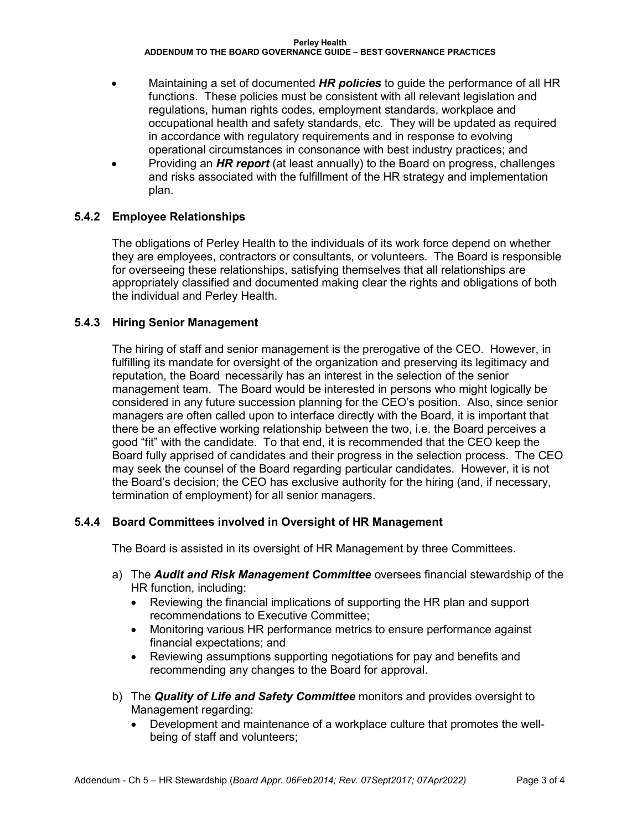#### **Perley Health ADDENDUM TO THE BOARD GOVERNANCE GUIDE – BEST GOVERNANCE PRACTICES**

- Maintaining a set of documented *HR policies* to guide the performance of all HR functions. These policies must be consistent with all relevant legislation and regulations, human rights codes, employment standards, workplace and occupational health and safety standards, etc. They will be updated as required in accordance with regulatory requirements and in response to evolving operational circumstances in consonance with best industry practices; and
- Providing an *HR report* (at least annually) to the Board on progress, challenges and risks associated with the fulfillment of the HR strategy and implementation plan.

### **5.4.2 Employee Relationships**

The obligations of Perley Health to the individuals of its work force depend on whether they are employees, contractors or consultants, or volunteers. The Board is responsible for overseeing these relationships, satisfying themselves that all relationships are appropriately classified and documented making clear the rights and obligations of both the individual and Perley Health.

### **5.4.3 Hiring Senior Management**

The hiring of staff and senior management is the prerogative of the CEO. However, in fulfilling its mandate for oversight of the organization and preserving its legitimacy and reputation, the Board necessarily has an interest in the selection of the senior management team. The Board would be interested in persons who might logically be considered in any future succession planning for the CEO's position. Also, since senior managers are often called upon to interface directly with the Board, it is important that there be an effective working relationship between the two, i.e. the Board perceives a good "fit" with the candidate. To that end, it is recommended that the CEO keep the Board fully apprised of candidates and their progress in the selection process. The CEO may seek the counsel of the Board regarding particular candidates. However, it is not the Board's decision; the CEO has exclusive authority for the hiring (and, if necessary, termination of employment) for all senior managers.

### **5.4.4 Board Committees involved in Oversight of HR Management**

The Board is assisted in its oversight of HR Management by three Committees.

- a) The *Audit and Risk Management Committee* oversees financial stewardship of the HR function, including:
	- Reviewing the financial implications of supporting the HR plan and support recommendations to Executive Committee;
	- Monitoring various HR performance metrics to ensure performance against financial expectations; and
	- Reviewing assumptions supporting negotiations for pay and benefits and recommending any changes to the Board for approval.
- b) The *Quality of Life and Safety Committee* monitors and provides oversight to Management regarding:
	- Development and maintenance of a workplace culture that promotes the wellbeing of staff and volunteers;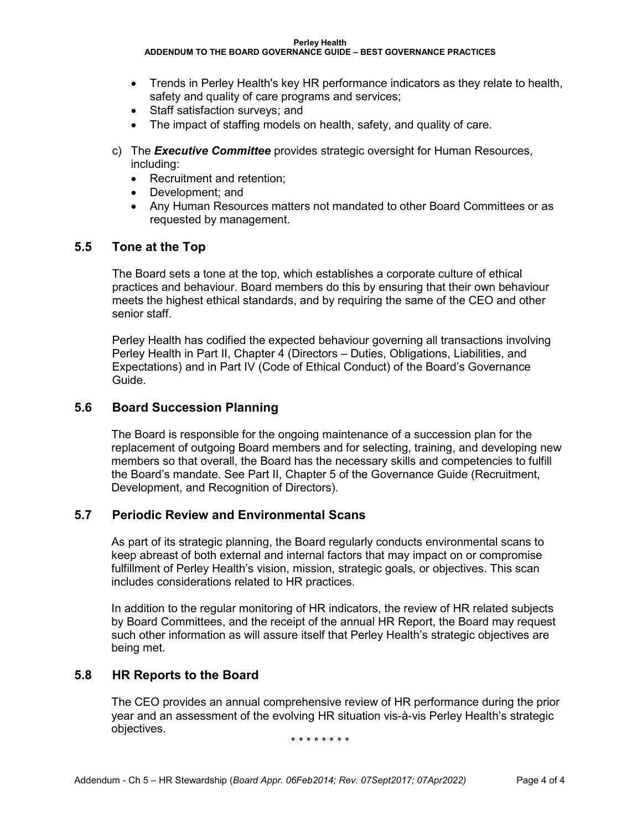**Perley Health**

#### **ADDENDUM TO THE BOARD GOVERNANCE GUIDE – BEST GOVERNANCE PRACTICES**

- Trends in Perley Health's key HR performance indicators as they relate to health, safety and quality of care programs and services;
- Staff satisfaction surveys; and
- The impact of staffing models on health, safety, and quality of care.
- c) The *Executive Committee* provides strategic oversight for Human Resources, including:
	- Recruitment and retention;
	- Development; and
	- Any Human Resources matters not mandated to other Board Committees or as requested by management.

### **5.5 Tone at the Top**

The Board sets a tone at the top, which establishes a corporate culture of ethical practices and behaviour. Board members do this by ensuring that their own behaviour meets the highest ethical standards, and by requiring the same of the CEO and other senior staff.

Perley Health has codified the expected behaviour governing all transactions involving Perley Health in Part II, Chapter 4 (Directors – Duties, Obligations, Liabilities, and Expectations) and in Part IV (Code of Ethical Conduct) of the Board's Governance Guide.

### **5.6 Board Succession Planning**

The Board is responsible for the ongoing maintenance of a succession plan for the replacement of outgoing Board members and for selecting, training, and developing new members so that overall, the Board has the necessary skills and competencies to fulfill the Board's mandate. See Part II, Chapter 5 of the Governance Guide (Recruitment, Development, and Recognition of Directors).

## **5.7 Periodic Review and Environmental Scans**

As part of its strategic planning, the Board regularly conducts environmental scans to keep abreast of both external and internal factors that may impact on or compromise fulfillment of Perley Health's vision, mission, strategic goals, or objectives. This scan includes considerations related to HR practices.

In addition to the regular monitoring of HR indicators, the review of HR related subjects by Board Committees, and the receipt of the annual HR Report, the Board may request such other information as will assure itself that Perley Health's strategic objectives are being met.

### **5.8 HR Reports to the Board**

The CEO provides an annual comprehensive review of HR performance during the prior year and an assessment of the evolving HR situation vis-à-vis Perley Health's strategic objectives.

\* \* \* \* \* \* \* \*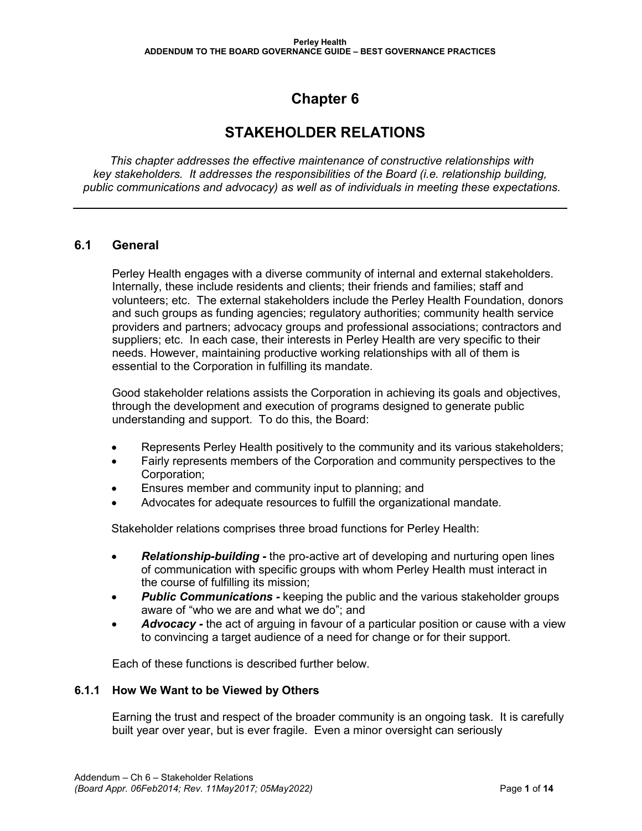# **Chapter 6**

## **STAKEHOLDER RELATIONS**

*This chapter addresses the effective maintenance of constructive relationships with key stakeholders. It addresses the responsibilities of the Board (i.e. relationship building, public communications and advocacy) as well as of individuals in meeting these expectations.*

## **6.1 General**

Perley Health engages with a diverse community of internal and external stakeholders. Internally, these include residents and clients; their friends and families; staff and volunteers; etc. The external stakeholders include the Perley Health Foundation, donors and such groups as funding agencies; regulatory authorities; community health service providers and partners; advocacy groups and professional associations; contractors and suppliers; etc. In each case, their interests in Perley Health are very specific to their needs. However, maintaining productive working relationships with all of them is essential to the Corporation in fulfilling its mandate.

Good stakeholder relations assists the Corporation in achieving its goals and objectives, through the development and execution of programs designed to generate public understanding and support. To do this, the Board:

- Represents Perley Health positively to the community and its various stakeholders;
- Fairly represents members of the Corporation and community perspectives to the Corporation;
- Ensures member and community input to planning; and
- Advocates for adequate resources to fulfill the organizational mandate.

Stakeholder relations comprises three broad functions for Perley Health:

- *Relationship-building* the pro-active art of developing and nurturing open lines of communication with specific groups with whom Perley Health must interact in the course of fulfilling its mission;
- *Public Communications* keeping the public and the various stakeholder groups aware of "who we are and what we do"; and
- *Advocacy* the act of arguing in favour of a particular position or cause with a view to convincing a target audience of a need for change or for their support.

Each of these functions is described further below.

### **6.1.1 How We Want to be Viewed by Others**

Earning the trust and respect of the broader community is an ongoing task. It is carefully built year over year, but is ever fragile. Even a minor oversight can seriously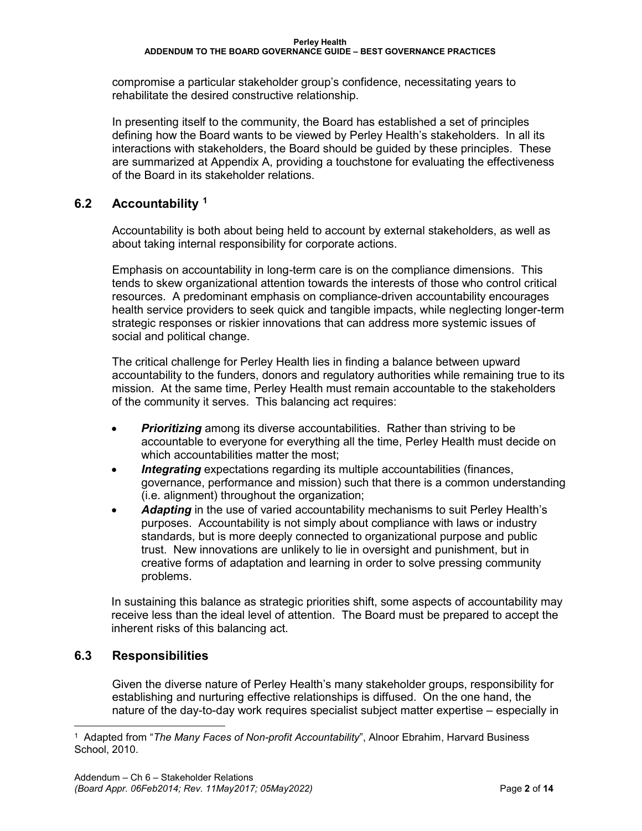compromise a particular stakeholder group's confidence, necessitating years to rehabilitate the desired constructive relationship.

In presenting itself to the community, the Board has established a set of principles defining how the Board wants to be viewed by Perley Health's stakeholders. In all its interactions with stakeholders, the Board should be guided by these principles. These are summarized at Appendix A, providing a touchstone for evaluating the effectiveness of the Board in its stakeholder relations.

## **6.2 Accountability [1](#page-63-0)**

Accountability is both about being held to account by external stakeholders, as well as about taking internal responsibility for corporate actions.

Emphasis on accountability in long-term care is on the compliance dimensions. This tends to skew organizational attention towards the interests of those who control critical resources. A predominant emphasis on compliance-driven accountability encourages health service providers to seek quick and tangible impacts, while neglecting longer-term strategic responses or riskier innovations that can address more systemic issues of social and political change.

The critical challenge for Perley Health lies in finding a balance between upward accountability to the funders, donors and regulatory authorities while remaining true to its mission. At the same time, Perley Health must remain accountable to the stakeholders of the community it serves. This balancing act requires:

- *Prioritizing* among its diverse accountabilities. Rather than striving to be accountable to everyone for everything all the time, Perley Health must decide on which accountabilities matter the most;
- **Integrating** expectations regarding its multiple accountabilities (finances, governance, performance and mission) such that there is a common understanding (i.e. alignment) throughout the organization;
- Adapting in the use of varied accountability mechanisms to suit Perley Health's purposes. Accountability is not simply about compliance with laws or industry standards, but is more deeply connected to organizational purpose and public trust. New innovations are unlikely to lie in oversight and punishment, but in creative forms of adaptation and learning in order to solve pressing community problems.

In sustaining this balance as strategic priorities shift, some aspects of accountability may receive less than the ideal level of attention. The Board must be prepared to accept the inherent risks of this balancing act.

## **6.3 Responsibilities**

Given the diverse nature of Perley Health's many stakeholder groups, responsibility for establishing and nurturing effective relationships is diffused. On the one hand, the nature of the day-to-day work requires specialist subject matter expertise – especially in

<span id="page-63-0"></span> <sup>1</sup> Adapted from "*The Many Faces of Non-profit Accountability*", Alnoor Ebrahim, Harvard Business School, 2010.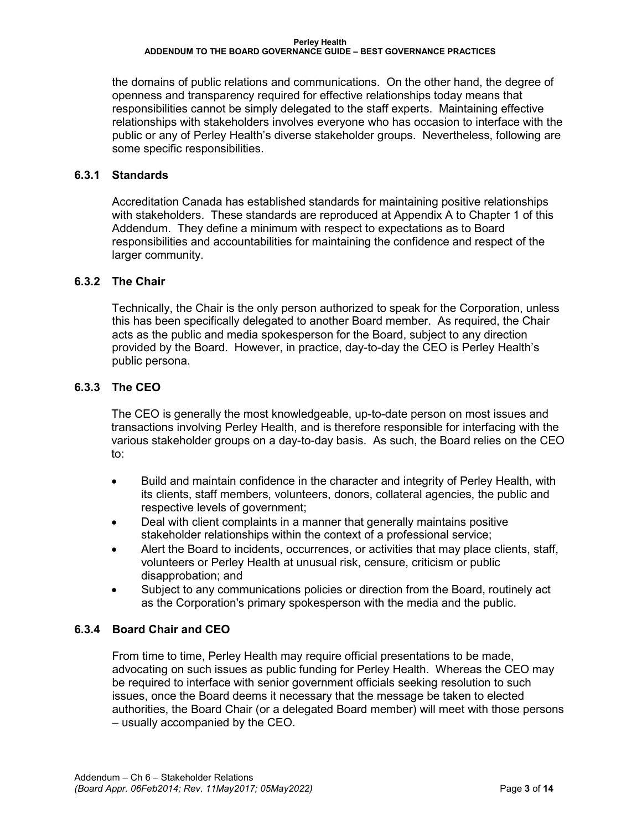#### **Perley Health ADDENDUM TO THE BOARD GOVERNANCE GUIDE – BEST GOVERNANCE PRACTICES**

the domains of public relations and communications. On the other hand, the degree of openness and transparency required for effective relationships today means that responsibilities cannot be simply delegated to the staff experts. Maintaining effective relationships with stakeholders involves everyone who has occasion to interface with the public or any of Perley Health's diverse stakeholder groups. Nevertheless, following are some specific responsibilities.

### **6.3.1 Standards**

Accreditation Canada has established standards for maintaining positive relationships with stakeholders. These standards are reproduced at Appendix A to Chapter 1 of this Addendum. They define a minimum with respect to expectations as to Board responsibilities and accountabilities for maintaining the confidence and respect of the larger community.

### **6.3.2 The Chair**

Technically, the Chair is the only person authorized to speak for the Corporation, unless this has been specifically delegated to another Board member. As required, the Chair acts as the public and media spokesperson for the Board, subject to any direction provided by the Board. However, in practice, day-to-day the CEO is Perley Health's public persona.

### **6.3.3 The CEO**

The CEO is generally the most knowledgeable, up-to-date person on most issues and transactions involving Perley Health, and is therefore responsible for interfacing with the various stakeholder groups on a day-to-day basis. As such, the Board relies on the CEO to:

- Build and maintain confidence in the character and integrity of Perley Health, with its clients, staff members, volunteers, donors, collateral agencies, the public and respective levels of government;
- Deal with client complaints in a manner that generally maintains positive stakeholder relationships within the context of a professional service;
- Alert the Board to incidents, occurrences, or activities that may place clients, staff, volunteers or Perley Health at unusual risk, censure, criticism or public disapprobation; and
- Subject to any communications policies or direction from the Board, routinely act as the Corporation's primary spokesperson with the media and the public.

### **6.3.4 Board Chair and CEO**

From time to time, Perley Health may require official presentations to be made, advocating on such issues as public funding for Perley Health. Whereas the CEO may be required to interface with senior government officials seeking resolution to such issues, once the Board deems it necessary that the message be taken to elected authorities, the Board Chair (or a delegated Board member) will meet with those persons – usually accompanied by the CEO.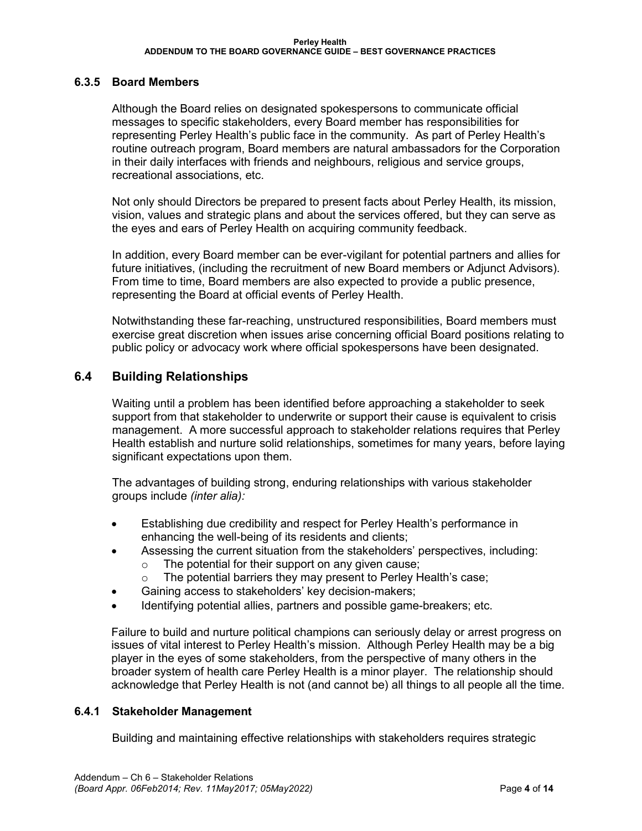### **6.3.5 Board Members**

Although the Board relies on designated spokespersons to communicate official messages to specific stakeholders, every Board member has responsibilities for representing Perley Health's public face in the community. As part of Perley Health's routine outreach program, Board members are natural ambassadors for the Corporation in their daily interfaces with friends and neighbours, religious and service groups, recreational associations, etc.

Not only should Directors be prepared to present facts about Perley Health, its mission, vision, values and strategic plans and about the services offered, but they can serve as the eyes and ears of Perley Health on acquiring community feedback.

In addition, every Board member can be ever-vigilant for potential partners and allies for future initiatives, (including the recruitment of new Board members or Adjunct Advisors). From time to time, Board members are also expected to provide a public presence, representing the Board at official events of Perley Health.

Notwithstanding these far-reaching, unstructured responsibilities, Board members must exercise great discretion when issues arise concerning official Board positions relating to public policy or advocacy work where official spokespersons have been designated.

## **6.4 Building Relationships**

Waiting until a problem has been identified before approaching a stakeholder to seek support from that stakeholder to underwrite or support their cause is equivalent to crisis management. A more successful approach to stakeholder relations requires that Perley Health establish and nurture solid relationships, sometimes for many years, before laying significant expectations upon them.

The advantages of building strong, enduring relationships with various stakeholder groups include *(inter alia):*

- Establishing due credibility and respect for Perley Health's performance in enhancing the well-being of its residents and clients;
- Assessing the current situation from the stakeholders' perspectives, including:
	- o The potential for their support on any given cause;
	- o The potential barriers they may present to Perley Health's case;
- Gaining access to stakeholders' key decision-makers;
- Identifying potential allies, partners and possible game-breakers; etc.

Failure to build and nurture political champions can seriously delay or arrest progress on issues of vital interest to Perley Health's mission. Although Perley Health may be a big player in the eyes of some stakeholders, from the perspective of many others in the broader system of health care Perley Health is a minor player. The relationship should acknowledge that Perley Health is not (and cannot be) all things to all people all the time.

### **6.4.1 Stakeholder Management**

Building and maintaining effective relationships with stakeholders requires strategic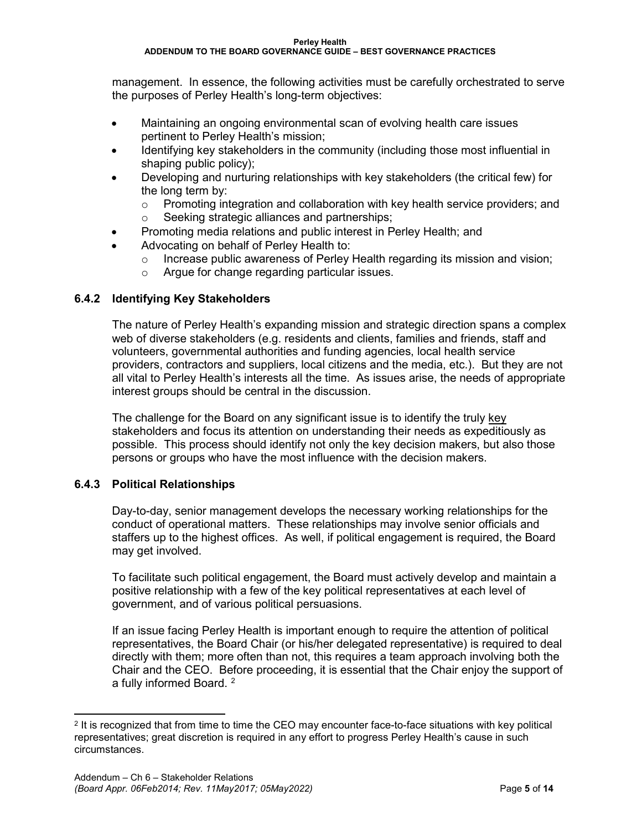### **ADDENDUM TO THE BOARD GOVERNANCE GUIDE – BEST GOVERNANCE PRACTICES**

management. In essence, the following activities must be carefully orchestrated to serve the purposes of Perley Health's long-term objectives:

- Maintaining an ongoing environmental scan of evolving health care issues pertinent to Perley Health's mission;
- Identifying key stakeholders in the community (including those most influential in shaping public policy);
- Developing and nurturing relationships with key stakeholders (the critical few) for the long term by:
	- o Promoting integration and collaboration with key health service providers; and  $\circ$  Seeking strategic alliances and partnerships:
	- Seeking strategic alliances and partnerships;
- Promoting media relations and public interest in Perley Health; and
- Advocating on behalf of Perley Health to:
	- o Increase public awareness of Perley Health regarding its mission and vision;<br>  $\circ$  Argue for change regarding particular issues.
	- Argue for change regarding particular issues.

### **6.4.2 Identifying Key Stakeholders**

The nature of Perley Health's expanding mission and strategic direction spans a complex web of diverse stakeholders (e.g. residents and clients, families and friends, staff and volunteers, governmental authorities and funding agencies, local health service providers, contractors and suppliers, local citizens and the media, etc.). But they are not all vital to Perley Health's interests all the time. As issues arise, the needs of appropriate interest groups should be central in the discussion.

The challenge for the Board on any significant issue is to identify the truly key stakeholders and focus its attention on understanding their needs as expeditiously as possible. This process should identify not only the key decision makers, but also those persons or groups who have the most influence with the decision makers.

### **6.4.3 Political Relationships**

Day-to-day, senior management develops the necessary working relationships for the conduct of operational matters. These relationships may involve senior officials and staffers up to the highest offices. As well, if political engagement is required, the Board may get involved.

To facilitate such political engagement, the Board must actively develop and maintain a positive relationship with a few of the key political representatives at each level of government, and of various political persuasions.

If an issue facing Perley Health is important enough to require the attention of political representatives, the Board Chair (or his/her delegated representative) is required to deal directly with them; more often than not, this requires a team approach involving both the Chair and the CEO. Before proceeding, it is essential that the Chair enjoy the support of a fully informed Board. [2](#page-66-0)

<span id="page-66-0"></span> $\overline{a}$  $2$  It is recognized that from time to time the CEO may encounter face-to-face situations with key political representatives; great discretion is required in any effort to progress Perley Health's cause in such circumstances.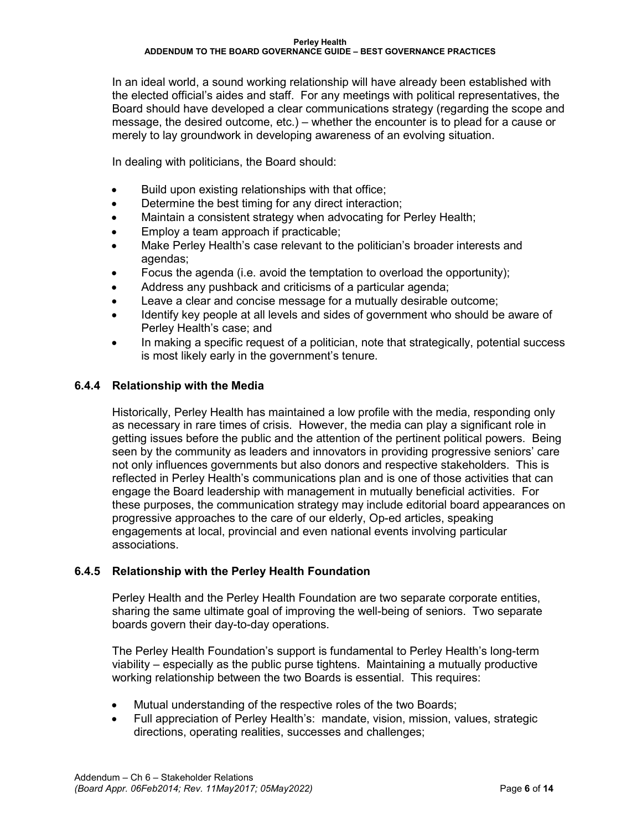In an ideal world, a sound working relationship will have already been established with the elected official's aides and staff. For any meetings with political representatives, the Board should have developed a clear communications strategy (regarding the scope and message, the desired outcome, etc.) – whether the encounter is to plead for a cause or merely to lay groundwork in developing awareness of an evolving situation.

In dealing with politicians, the Board should:

- Build upon existing relationships with that office;
- Determine the best timing for any direct interaction;
- Maintain a consistent strategy when advocating for Perley Health;
- Employ a team approach if practicable;
- Make Perley Health's case relevant to the politician's broader interests and agendas;
- Focus the agenda (i.e. avoid the temptation to overload the opportunity);
- Address any pushback and criticisms of a particular agenda;
- Leave a clear and concise message for a mutually desirable outcome;
- Identify key people at all levels and sides of government who should be aware of Perley Health's case; and
- In making a specific request of a politician, note that strategically, potential success is most likely early in the government's tenure.

### **6.4.4 Relationship with the Media**

Historically, Perley Health has maintained a low profile with the media, responding only as necessary in rare times of crisis. However, the media can play a significant role in getting issues before the public and the attention of the pertinent political powers. Being seen by the community as leaders and innovators in providing progressive seniors' care not only influences governments but also donors and respective stakeholders. This is reflected in Perley Health's communications plan and is one of those activities that can engage the Board leadership with management in mutually beneficial activities. For these purposes, the communication strategy may include editorial board appearances on progressive approaches to the care of our elderly, Op-ed articles, speaking engagements at local, provincial and even national events involving particular associations.

### **6.4.5 Relationship with the Perley Health Foundation**

Perley Health and the Perley Health Foundation are two separate corporate entities, sharing the same ultimate goal of improving the well-being of seniors. Two separate boards govern their day-to-day operations.

The Perley Health Foundation's support is fundamental to Perley Health's long-term viability – especially as the public purse tightens. Maintaining a mutually productive working relationship between the two Boards is essential. This requires:

- Mutual understanding of the respective roles of the two Boards;
- Full appreciation of Perley Health's: mandate, vision, mission, values, strategic directions, operating realities, successes and challenges;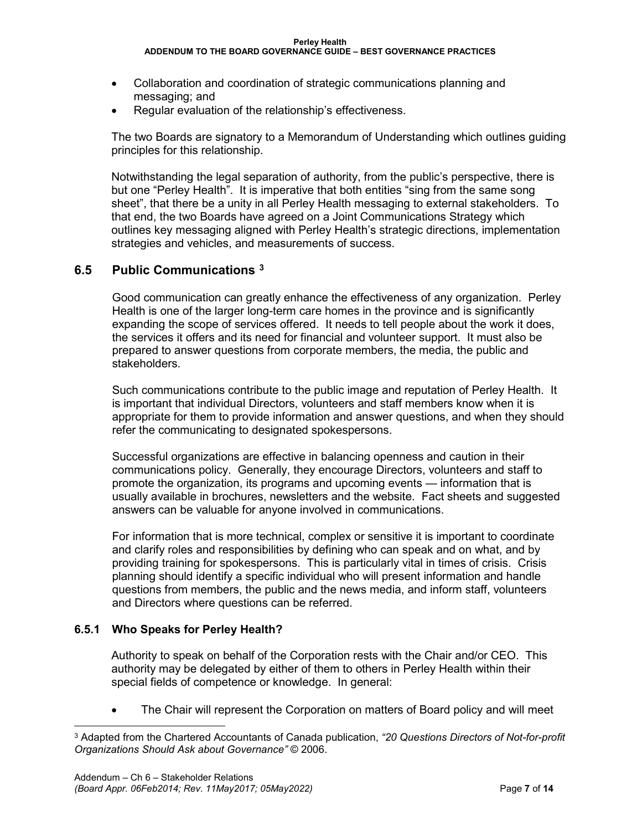- Collaboration and coordination of strategic communications planning and messaging; and
- Regular evaluation of the relationship's effectiveness.

The two Boards are signatory to a Memorandum of Understanding which outlines guiding principles for this relationship.

Notwithstanding the legal separation of authority, from the public's perspective, there is but one "Perley Health". It is imperative that both entities "sing from the same song sheet", that there be a unity in all Perley Health messaging to external stakeholders. To that end, the two Boards have agreed on a Joint Communications Strategy which outlines key messaging aligned with Perley Health's strategic directions, implementation strategies and vehicles, and measurements of success.

## **6.5 Public Communications [3](#page-68-0)**

Good communication can greatly enhance the effectiveness of any organization. Perley Health is one of the larger long-term care homes in the province and is significantly expanding the scope of services offered. It needs to tell people about the work it does, the services it offers and its need for financial and volunteer support. It must also be prepared to answer questions from corporate members, the media, the public and stakeholders.

Such communications contribute to the public image and reputation of Perley Health. It is important that individual Directors, volunteers and staff members know when it is appropriate for them to provide information and answer questions, and when they should refer the communicating to designated spokespersons.

Successful organizations are effective in balancing openness and caution in their communications policy. Generally, they encourage Directors, volunteers and staff to promote the organization, its programs and upcoming events — information that is usually available in brochures, newsletters and the website. Fact sheets and suggested answers can be valuable for anyone involved in communications.

For information that is more technical, complex or sensitive it is important to coordinate and clarify roles and responsibilities by defining who can speak and on what, and by providing training for spokespersons. This is particularly vital in times of crisis. Crisis planning should identify a specific individual who will present information and handle questions from members, the public and the news media, and inform staff, volunteers and Directors where questions can be referred.

### **6.5.1 Who Speaks for Perley Health?**

Authority to speak on behalf of the Corporation rests with the Chair and/or CEO. This authority may be delegated by either of them to others in Perley Health within their special fields of competence or knowledge. In general:

The Chair will represent the Corporation on matters of Board policy and will meet

<span id="page-68-0"></span> <sup>3</sup> Adapted from the Chartered Accountants of Canada publication, *"20 Questions Directors of Not-for-profit Organizations Should Ask about Governance"* © 2006.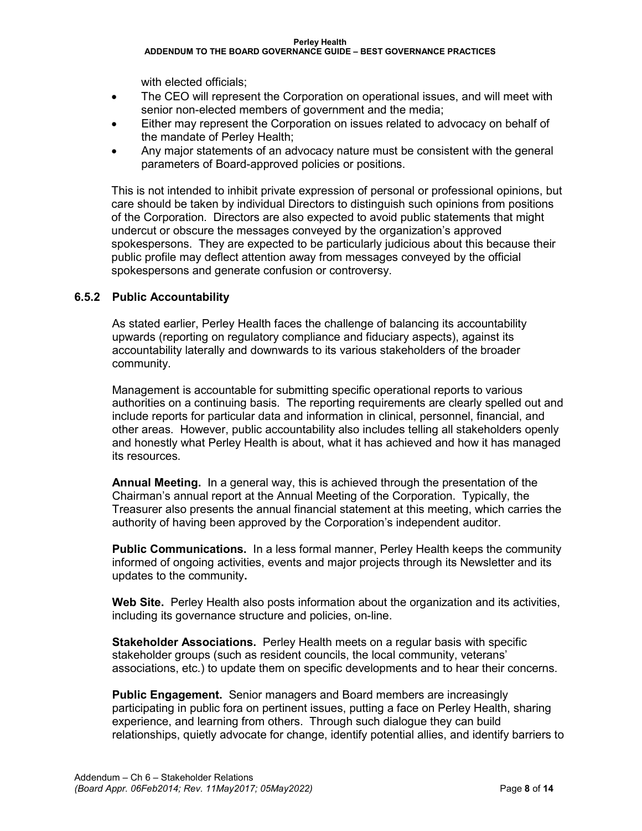#### **ADDENDUM TO THE BOARD GOVERNANCE GUIDE – BEST GOVERNANCE PRACTICES**

with elected officials;

- The CEO will represent the Corporation on operational issues, and will meet with senior non-elected members of government and the media;
- Either may represent the Corporation on issues related to advocacy on behalf of the mandate of Perley Health;
- Any major statements of an advocacy nature must be consistent with the general parameters of Board-approved policies or positions.

This is not intended to inhibit private expression of personal or professional opinions, but care should be taken by individual Directors to distinguish such opinions from positions of the Corporation. Directors are also expected to avoid public statements that might undercut or obscure the messages conveyed by the organization's approved spokespersons. They are expected to be particularly judicious about this because their public profile may deflect attention away from messages conveyed by the official spokespersons and generate confusion or controversy.

### **6.5.2 Public Accountability**

As stated earlier, Perley Health faces the challenge of balancing its accountability upwards (reporting on regulatory compliance and fiduciary aspects), against its accountability laterally and downwards to its various stakeholders of the broader community.

Management is accountable for submitting specific operational reports to various authorities on a continuing basis. The reporting requirements are clearly spelled out and include reports for particular data and information in clinical, personnel, financial, and other areas. However, public accountability also includes telling all stakeholders openly and honestly what Perley Health is about, what it has achieved and how it has managed its resources.

**Annual Meeting.** In a general way, this is achieved through the presentation of the Chairman's annual report at the Annual Meeting of the Corporation. Typically, the Treasurer also presents the annual financial statement at this meeting, which carries the authority of having been approved by the Corporation's independent auditor.

**Public Communications.** In a less formal manner, Perley Health keeps the community informed of ongoing activities, events and major projects through its Newsletter and its updates to the community**.**

**Web Site.** Perley Health also posts information about the organization and its activities, including its governance structure and policies, on-line.

**Stakeholder Associations.** Perley Health meets on a regular basis with specific stakeholder groups (such as resident councils, the local community, veterans' associations, etc.) to update them on specific developments and to hear their concerns.

**Public Engagement.** Senior managers and Board members are increasingly participating in public fora on pertinent issues, putting a face on Perley Health, sharing experience, and learning from others. Through such dialogue they can build relationships, quietly advocate for change, identify potential allies, and identify barriers to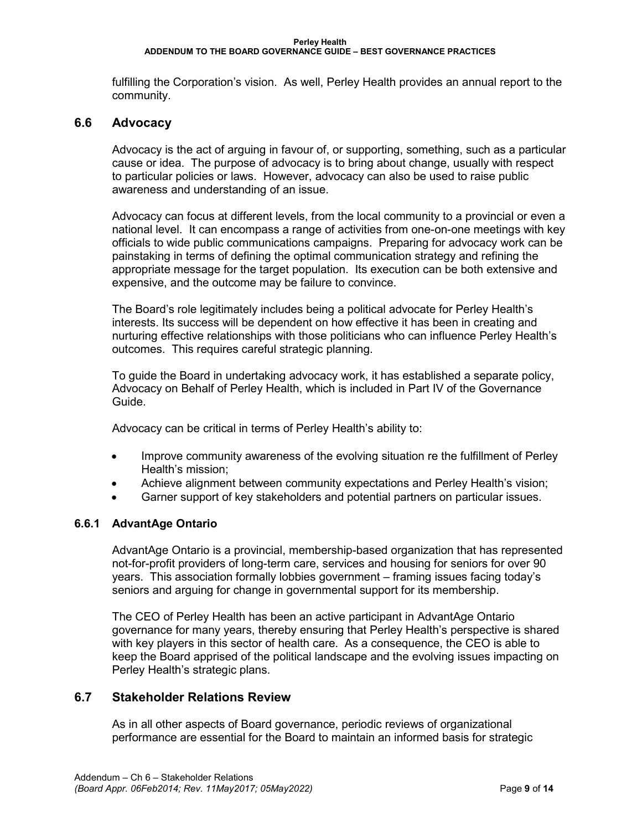fulfilling the Corporation's vision. As well, Perley Health provides an annual report to the community.

### **6.6 Advocacy**

Advocacy is the act of arguing in favour of, or supporting, something, such as a particular cause or idea. The purpose of advocacy is to bring about change, usually with respect to particular policies or laws. However, advocacy can also be used to raise public awareness and understanding of an issue.

Advocacy can focus at different levels, from the local community to a provincial or even a national level. It can encompass a range of activities from one-on-one meetings with key officials to wide public communications campaigns. Preparing for advocacy work can be painstaking in terms of defining the optimal communication strategy and refining the appropriate message for the target population. Its execution can be both extensive and expensive, and the outcome may be failure to convince.

The Board's role legitimately includes being a political advocate for Perley Health's interests. Its success will be dependent on how effective it has been in creating and nurturing effective relationships with those politicians who can influence Perley Health's outcomes. This requires careful strategic planning.

To guide the Board in undertaking advocacy work, it has established a separate policy, Advocacy on Behalf of Perley Health, which is included in Part IV of the Governance Guide.

Advocacy can be critical in terms of Perley Health's ability to:

- Improve community awareness of the evolving situation re the fulfillment of Perley Health's mission;
- Achieve alignment between community expectations and Perley Health's vision;
- Garner support of key stakeholders and potential partners on particular issues.

### **6.6.1 AdvantAge Ontario**

AdvantAge Ontario is a provincial, membership-based organization that has represented not-for-profit providers of long-term care, services and housing for seniors for over 90 years. This association formally lobbies government – framing issues facing today's seniors and arguing for change in governmental support for its membership.

The CEO of Perley Health has been an active participant in AdvantAge Ontario governance for many years, thereby ensuring that Perley Health's perspective is shared with key players in this sector of health care. As a consequence, the CEO is able to keep the Board apprised of the political landscape and the evolving issues impacting on Perley Health's strategic plans.

### **6.7 Stakeholder Relations Review**

As in all other aspects of Board governance, periodic reviews of organizational performance are essential for the Board to maintain an informed basis for strategic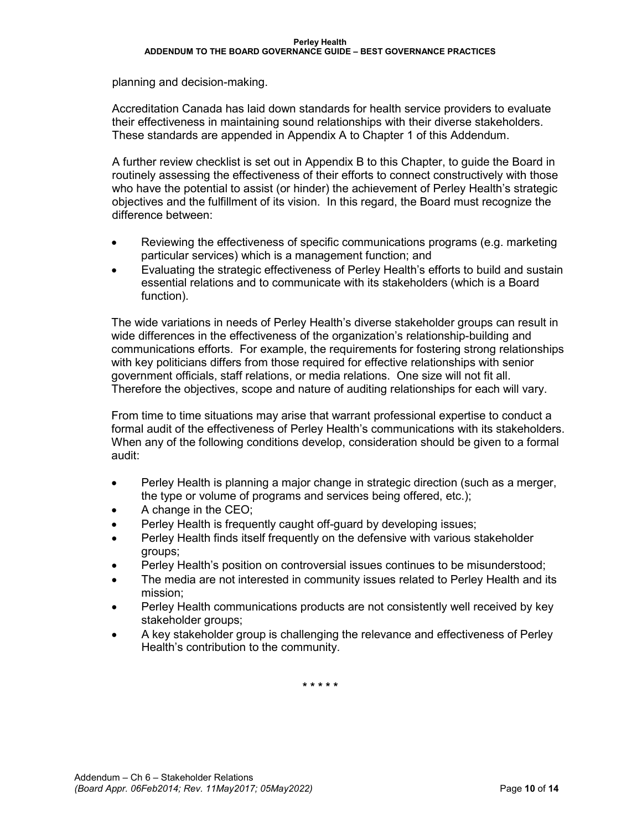planning and decision-making.

Accreditation Canada has laid down standards for health service providers to evaluate their effectiveness in maintaining sound relationships with their diverse stakeholders. These standards are appended in Appendix A to Chapter 1 of this Addendum.

A further review checklist is set out in Appendix B to this Chapter, to guide the Board in routinely assessing the effectiveness of their efforts to connect constructively with those who have the potential to assist (or hinder) the achievement of Perley Health's strategic objectives and the fulfillment of its vision. In this regard, the Board must recognize the difference between:

- Reviewing the effectiveness of specific communications programs (e.g. marketing particular services) which is a management function; and
- Evaluating the strategic effectiveness of Perley Health's efforts to build and sustain essential relations and to communicate with its stakeholders (which is a Board function).

The wide variations in needs of Perley Health's diverse stakeholder groups can result in wide differences in the effectiveness of the organization's relationship-building and communications efforts. For example, the requirements for fostering strong relationships with key politicians differs from those required for effective relationships with senior government officials, staff relations, or media relations. One size will not fit all. Therefore the objectives, scope and nature of auditing relationships for each will vary.

From time to time situations may arise that warrant professional expertise to conduct a formal audit of the effectiveness of Perley Health's communications with its stakeholders. When any of the following conditions develop, consideration should be given to a formal audit:

- Perley Health is planning a major change in strategic direction (such as a merger, the type or volume of programs and services being offered, etc.);
- A change in the CEO;
- Perley Health is frequently caught off-guard by developing issues;
- Perley Health finds itself frequently on the defensive with various stakeholder groups;
- Perley Health's position on controversial issues continues to be misunderstood;
- The media are not interested in community issues related to Perley Health and its mission;
- Perley Health communications products are not consistently well received by key stakeholder groups;
- A key stakeholder group is challenging the relevance and effectiveness of Perley Health's contribution to the community.

**\* \* \* \* \***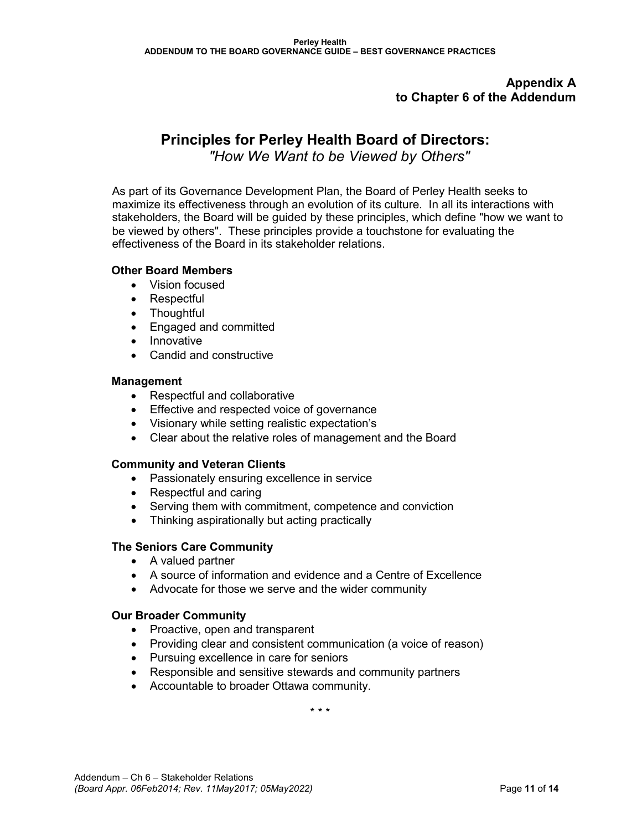### **Appendix A to Chapter 6 of the Addendum**

# **Principles for Perley Health Board of Directors:**

*"How We Want to be Viewed by Others"*

As part of its Governance Development Plan, the Board of Perley Health seeks to maximize its effectiveness through an evolution of its culture. In all its interactions with stakeholders, the Board will be guided by these principles, which define "how we want to be viewed by others". These principles provide a touchstone for evaluating the effectiveness of the Board in its stakeholder relations.

### **Other Board Members**

- Vision focused
- Respectful
- Thoughtful
- Engaged and committed
- Innovative
- Candid and constructive

#### **Management**

- Respectful and collaborative
- Effective and respected voice of governance
- Visionary while setting realistic expectation's
- Clear about the relative roles of management and the Board

#### **Community and Veteran Clients**

- Passionately ensuring excellence in service
- Respectful and caring
- Serving them with commitment, competence and conviction
- Thinking aspirationally but acting practically

#### **The Seniors Care Community**

- A valued partner
- A source of information and evidence and a Centre of Excellence
- Advocate for those we serve and the wider community

#### **Our Broader Community**

- Proactive, open and transparent
- Providing clear and consistent communication (a voice of reason)
- Pursuing excellence in care for seniors
- Responsible and sensitive stewards and community partners
- Accountable to broader Ottawa community.

\* \* \*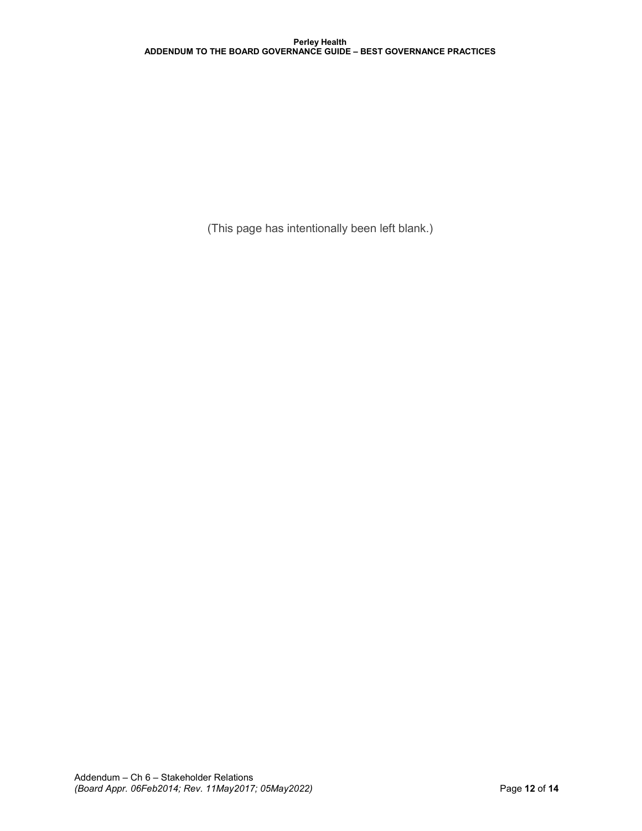(This page has intentionally been left blank.)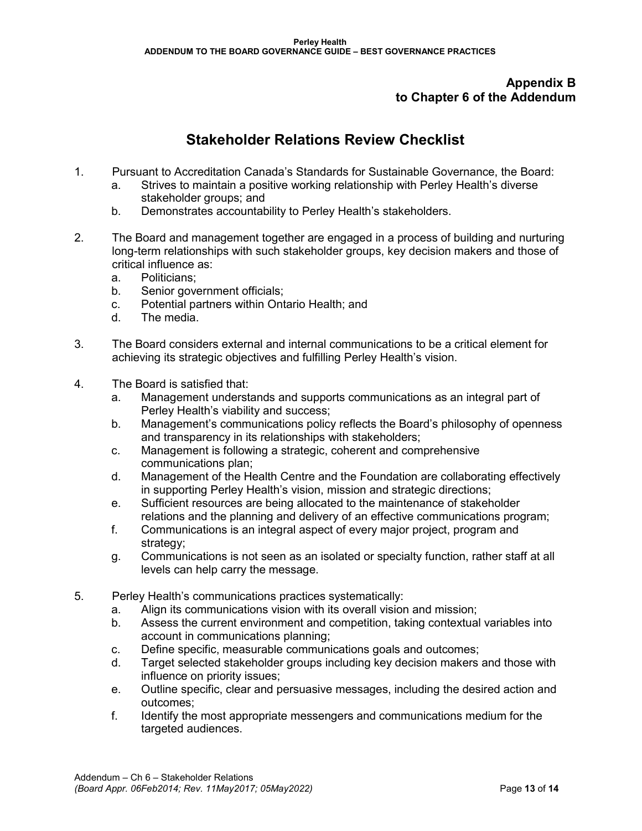### **Appendix B to Chapter 6 of the Addendum**

# **Stakeholder Relations Review Checklist**

- 1. Pursuant to Accreditation Canada's Standards for Sustainable Governance, the Board:
	- a. Strives to maintain a positive working relationship with Perley Health's diverse stakeholder groups; and
	- b. Demonstrates accountability to Perley Health's stakeholders.
- 2. The Board and management together are engaged in a process of building and nurturing long-term relationships with such stakeholder groups, key decision makers and those of critical influence as:
	- a. Politicians;
	- b. Senior government officials;
	- c. Potential partners within Ontario Health; and
	- d. The media.
- 3. The Board considers external and internal communications to be a critical element for achieving its strategic objectives and fulfilling Perley Health's vision.
- 4. The Board is satisfied that:
	- a. Management understands and supports communications as an integral part of Perley Health's viability and success;
	- b. Management's communications policy reflects the Board's philosophy of openness and transparency in its relationships with stakeholders;
	- c. Management is following a strategic, coherent and comprehensive communications plan;
	- d. Management of the Health Centre and the Foundation are collaborating effectively in supporting Perley Health's vision, mission and strategic directions;
	- e. Sufficient resources are being allocated to the maintenance of stakeholder relations and the planning and delivery of an effective communications program;
	- f. Communications is an integral aspect of every major project, program and strategy;
	- g. Communications is not seen as an isolated or specialty function, rather staff at all levels can help carry the message.
- 5. Perley Health's communications practices systematically:
	- a. Align its communications vision with its overall vision and mission;
	- b. Assess the current environment and competition, taking contextual variables into account in communications planning;
	- c. Define specific, measurable communications goals and outcomes;
	- d. Target selected stakeholder groups including key decision makers and those with influence on priority issues;
	- e. Outline specific, clear and persuasive messages, including the desired action and outcomes;
	- f. Identify the most appropriate messengers and communications medium for the targeted audiences.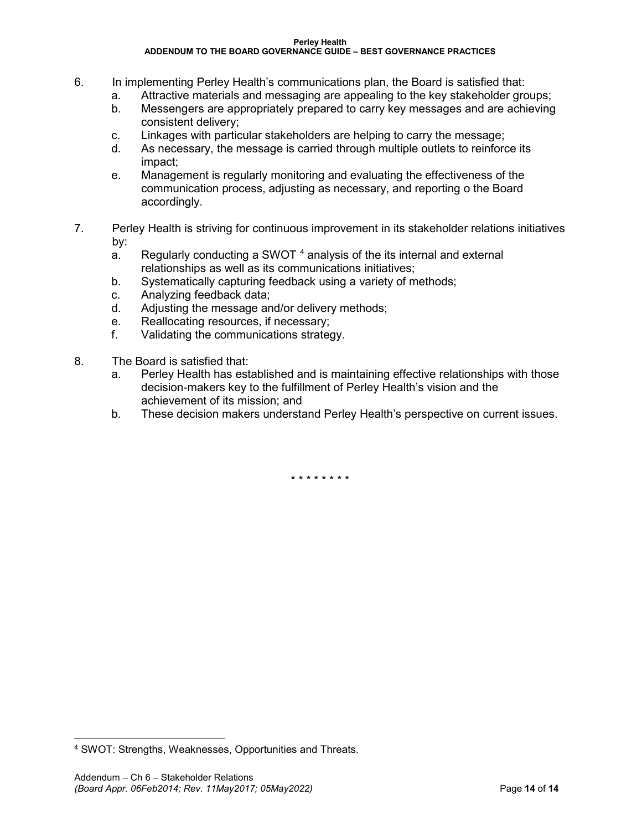- 6. In implementing Perley Health's communications plan, the Board is satisfied that:
	- a. Attractive materials and messaging are appealing to the key stakeholder groups;
	- b. Messengers are appropriately prepared to carry key messages and are achieving consistent delivery;
	- c. Linkages with particular stakeholders are helping to carry the message;
	- d. As necessary, the message is carried through multiple outlets to reinforce its impact;
	- e. Management is regularly monitoring and evaluating the effectiveness of the communication process, adjusting as necessary, and reporting o the Board accordingly.
- 7. Perley Health is striving for continuous improvement in its stakeholder relations initiatives by:
	- a. Regularly conducting a SWOT  $4$  analysis of the its internal and external relationships as well as its communications initiatives;
	- b. Systematically capturing feedback using a variety of methods;
	- c. Analyzing feedback data;
	- d. Adjusting the message and/or delivery methods;
	- e. Reallocating resources, if necessary;
	- f. Validating the communications strategy.
- 8. The Board is satisfied that:
	- a. Perley Health has established and is maintaining effective relationships with those decision-makers key to the fulfillment of Perley Health's vision and the achievement of its mission; and
	- b. These decision makers understand Perley Health's perspective on current issues.

\* \* \* \* \* \* \* \*

<span id="page-75-0"></span> <sup>4</sup> SWOT: Strengths, Weaknesses, Opportunities and Threats.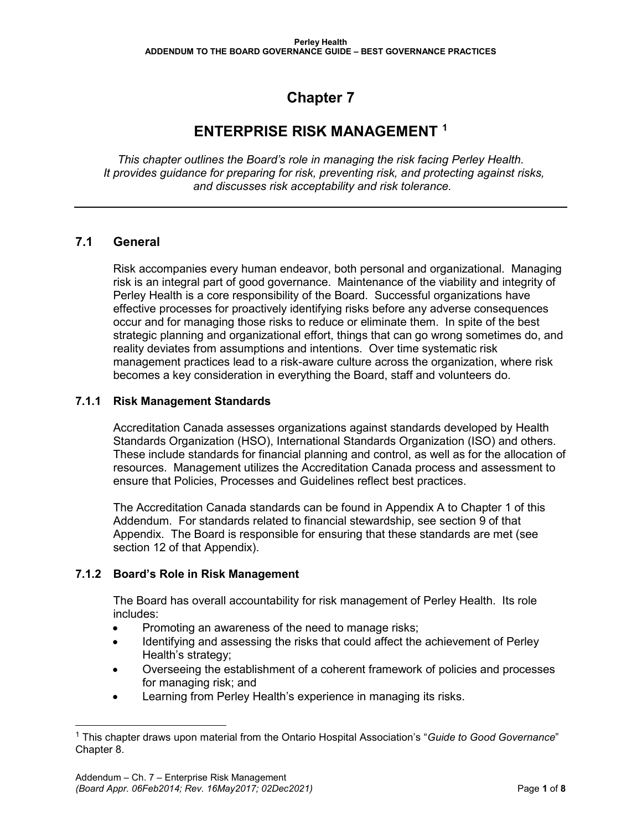# **Chapter 7**

## **ENTERPRISE RISK MANAGEMENT [1](#page-76-0)**

*This chapter outlines the Board's role in managing the risk facing Perley Health. It provides guidance for preparing for risk, preventing risk, and protecting against risks, and discusses risk acceptability and risk tolerance.* 

## **7.1 General**

Risk accompanies every human endeavor, both personal and organizational. Managing risk is an integral part of good governance. Maintenance of the viability and integrity of Perley Health is a core responsibility of the Board. Successful organizations have effective processes for proactively identifying risks before any adverse consequences occur and for managing those risks to reduce or eliminate them. In spite of the best strategic planning and organizational effort, things that can go wrong sometimes do, and reality deviates from assumptions and intentions. Over time systematic risk management practices lead to a risk-aware culture across the organization, where risk becomes a key consideration in everything the Board, staff and volunteers do.

### **7.1.1 Risk Management Standards**

Accreditation Canada assesses organizations against standards developed by Health Standards Organization (HSO), International Standards Organization (ISO) and others. These include standards for financial planning and control, as well as for the allocation of resources. Management utilizes the Accreditation Canada process and assessment to ensure that Policies, Processes and Guidelines reflect best practices.

The Accreditation Canada standards can be found in Appendix A to Chapter 1 of this Addendum. For standards related to financial stewardship, see section 9 of that Appendix. The Board is responsible for ensuring that these standards are met (see section 12 of that Appendix).

### **7.1.2 Board's Role in Risk Management**

The Board has overall accountability for risk management of Perley Health. Its role includes:

- Promoting an awareness of the need to manage risks;
- Identifying and assessing the risks that could affect the achievement of Perley Health's strategy;
- Overseeing the establishment of a coherent framework of policies and processes for managing risk; and
- Learning from Perley Health's experience in managing its risks.

-

<span id="page-76-0"></span><sup>1</sup> This chapter draws upon material from the Ontario Hospital Association's "*Guide to Good Governance*" Chapter 8.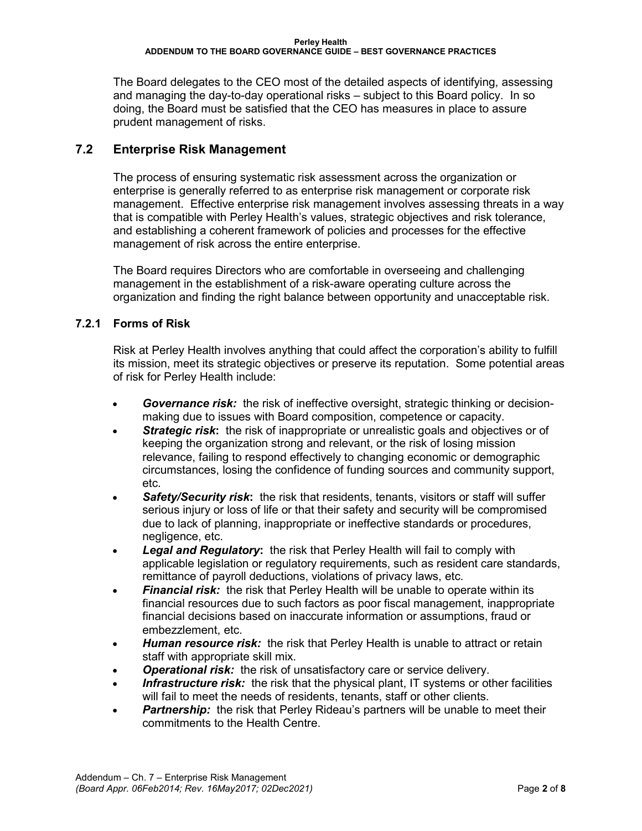The Board delegates to the CEO most of the detailed aspects of identifying, assessing and managing the day-to-day operational risks – subject to this Board policy. In so doing, the Board must be satisfied that the CEO has measures in place to assure prudent management of risks.

## **7.2 Enterprise Risk Management**

The process of ensuring systematic risk assessment across the organization or enterprise is generally referred to as enterprise risk management or corporate risk management. Effective enterprise risk management involves assessing threats in a way that is compatible with Perley Health's values, strategic objectives and risk tolerance, and establishing a coherent framework of policies and processes for the effective management of risk across the entire enterprise.

The Board requires Directors who are comfortable in overseeing and challenging management in the establishment of a risk-aware operating culture across the organization and finding the right balance between opportunity and unacceptable risk.

### **7.2.1 Forms of Risk**

Risk at Perley Health involves anything that could affect the corporation's ability to fulfill its mission, meet its strategic objectives or preserve its reputation. Some potential areas of risk for Perley Health include:

- *Governance risk:* the risk of ineffective oversight, strategic thinking or decisionmaking due to issues with Board composition, competence or capacity.
- **Strategic risk:** the risk of inappropriate or unrealistic goals and objectives or of keeping the organization strong and relevant, or the risk of losing mission relevance, failing to respond effectively to changing economic or demographic circumstances, losing the confidence of funding sources and community support, etc.
- *Safety/Security risk***:** the risk that residents, tenants, visitors or staff will suffer serious injury or loss of life or that their safety and security will be compromised due to lack of planning, inappropriate or ineffective standards or procedures, negligence, etc.
- *Legal and Regulatory***:** the risk that Perley Health will fail to comply with applicable legislation or regulatory requirements, such as resident care standards, remittance of payroll deductions, violations of privacy laws, etc.
- **Financial risk:** the risk that Perley Health will be unable to operate within its financial resources due to such factors as poor fiscal management, inappropriate financial decisions based on inaccurate information or assumptions, fraud or embezzlement, etc.
- *Human resource risk:* the risk that Perley Health is unable to attract or retain staff with appropriate skill mix.
- **Operational risk:** the risk of unsatisfactory care or service delivery.
- **Infrastructure risk:** the risk that the physical plant, IT systems or other facilities will fail to meet the needs of residents, tenants, staff or other clients.
- **Partnership:** the risk that Perley Rideau's partners will be unable to meet their commitments to the Health Centre.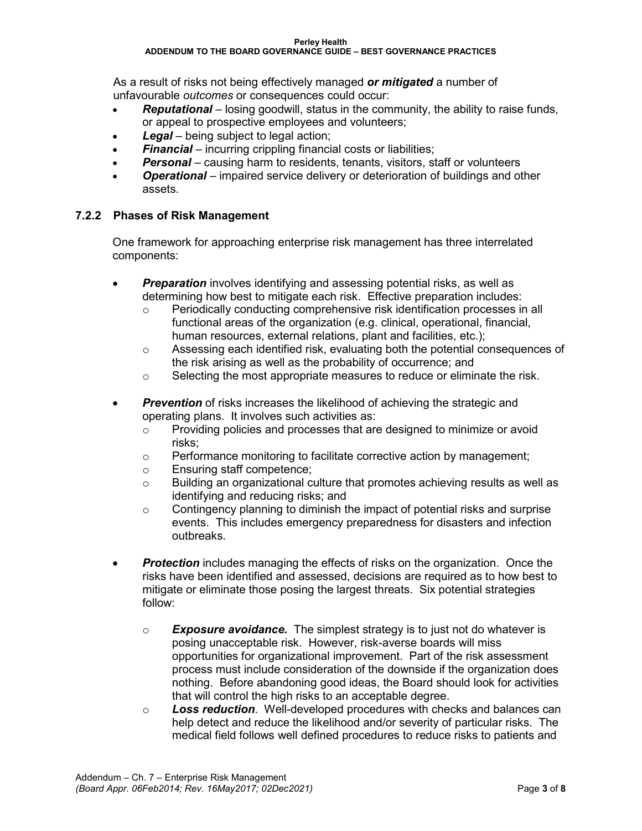As a result of risks not being effectively managed *or mitigated* a number of unfavourable *outcomes* or consequences could occur:

- *Reputational*  losing goodwill, status in the community, the ability to raise funds, or appeal to prospective employees and volunteers;
- Legal being subject to legal action;
- **Financial** incurring crippling financial costs or liabilities;
- **Personal** causing harm to residents, tenants, visitors, staff or volunteers
- *Operational* impaired service delivery or deterioration of buildings and other assets.

#### **7.2.2 Phases of Risk Management**

One framework for approaching enterprise risk management has three interrelated components:

- **Preparation** involves identifying and assessing potential risks, as well as determining how best to mitigate each risk. Effective preparation includes:
	- $\circ$  Periodically conducting comprehensive risk identification processes in all functional areas of the organization (e.g. clinical, operational, financial, human resources, external relations, plant and facilities, etc.);
	- $\circ$  Assessing each identified risk, evaluating both the potential consequences of the risk arising as well as the probability of occurrence; and
	- o Selecting the most appropriate measures to reduce or eliminate the risk.
- *Prevention* of risks increases the likelihood of achieving the strategic and operating plans. It involves such activities as:
	- $\circ$  Providing policies and processes that are designed to minimize or avoid risks;
	- o Performance monitoring to facilitate corrective action by management;
	- o Ensuring staff competence;
	- o Building an organizational culture that promotes achieving results as well as identifying and reducing risks; and
	- $\circ$  Contingency planning to diminish the impact of potential risks and surprise events. This includes emergency preparedness for disasters and infection outbreaks.
- **Protection** includes managing the effects of risks on the organization. Once the risks have been identified and assessed, decisions are required as to how best to mitigate or eliminate those posing the largest threats. Six potential strategies follow:
	- o *Exposure avoidance.* The simplest strategy is to just not do whatever is posing unacceptable risk. However, risk-averse boards will miss opportunities for organizational improvement. Part of the risk assessment process must include consideration of the downside if the organization does nothing. Before abandoning good ideas, the Board should look for activities that will control the high risks to an acceptable degree.
	- o *Loss reduction*. Well-developed procedures with checks and balances can help detect and reduce the likelihood and/or severity of particular risks. The medical field follows well defined procedures to reduce risks to patients and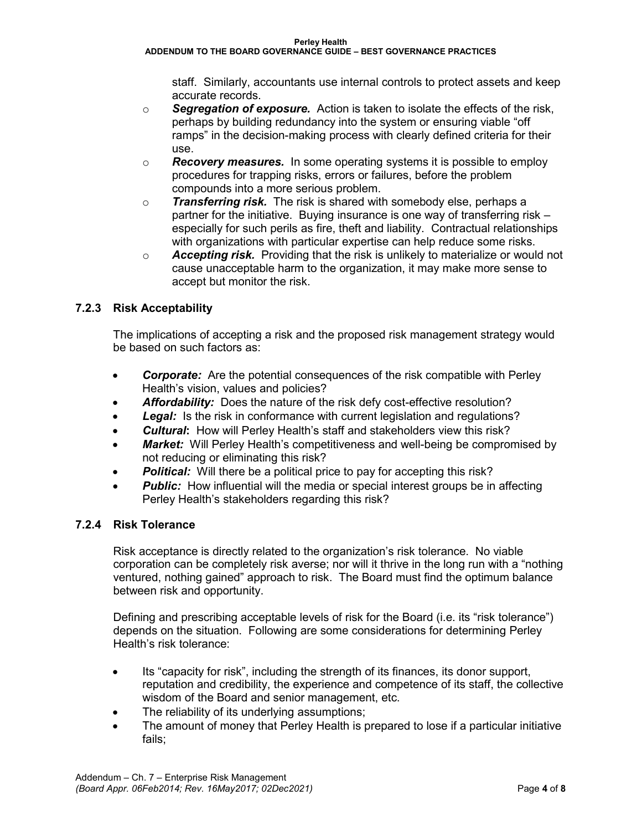staff. Similarly, accountants use internal controls to protect assets and keep accurate records.

- o *Segregation of exposure.* Action is taken to isolate the effects of the risk, perhaps by building redundancy into the system or ensuring viable "off ramps" in the decision-making process with clearly defined criteria for their use.
- o *Recovery measures.* In some operating systems it is possible to employ procedures for trapping risks, errors or failures, before the problem compounds into a more serious problem.
- o *Transferring risk.* The risk is shared with somebody else, perhaps a partner for the initiative. Buying insurance is one way of transferring risk – especially for such perils as fire, theft and liability. Contractual relationships with organizations with particular expertise can help reduce some risks.
- o *Accepting risk.* Providing that the risk is unlikely to materialize or would not cause unacceptable harm to the organization, it may make more sense to accept but monitor the risk.

## **7.2.3 Risk Acceptability**

The implications of accepting a risk and the proposed risk management strategy would be based on such factors as:

- *Corporate:* Are the potential consequences of the risk compatible with Perley Health's vision, values and policies?
- *Affordability:* Does the nature of the risk defy cost-effective resolution?
- **Legal:** Is the risk in conformance with current legislation and regulations?
- *Cultural***:** How will Perley Health's staff and stakeholders view this risk?
- *Market:* Will Perley Health's competitiveness and well-being be compromised by not reducing or eliminating this risk?
- **Political:** Will there be a political price to pay for accepting this risk?
- **Public:** How influential will the media or special interest groups be in affecting Perley Health's stakeholders regarding this risk?

## **7.2.4 Risk Tolerance**

Risk acceptance is directly related to the organization's risk tolerance. No viable corporation can be completely risk averse; nor will it thrive in the long run with a "nothing ventured, nothing gained" approach to risk. The Board must find the optimum balance between risk and opportunity.

Defining and prescribing acceptable levels of risk for the Board (i.e. its "risk tolerance") depends on the situation. Following are some considerations for determining Perley Health's risk tolerance:

- Its "capacity for risk", including the strength of its finances, its donor support, reputation and credibility, the experience and competence of its staff, the collective wisdom of the Board and senior management, etc.
- The reliability of its underlying assumptions;
- The amount of money that Perley Health is prepared to lose if a particular initiative fails;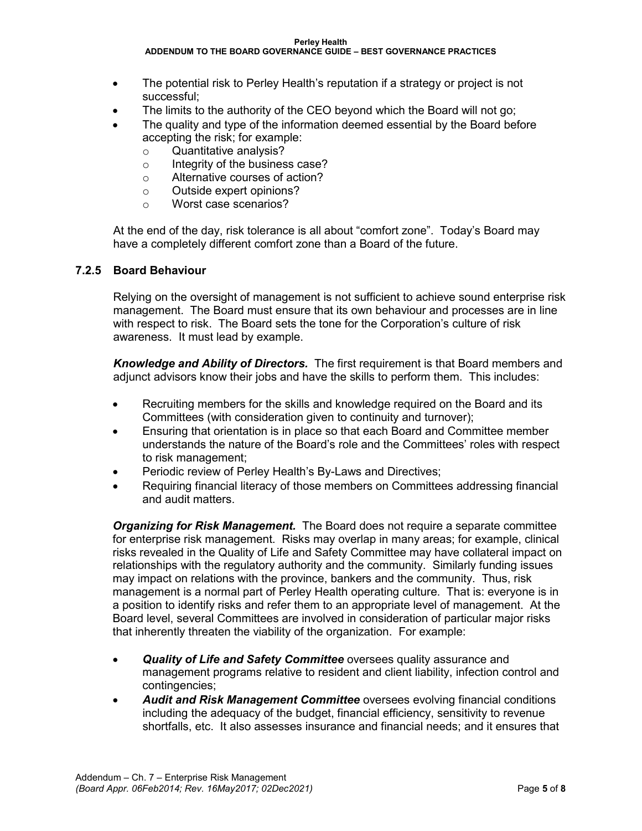**Perley Health**

#### **ADDENDUM TO THE BOARD GOVERNANCE GUIDE – BEST GOVERNANCE PRACTICES**

- The potential risk to Perley Health's reputation if a strategy or project is not successful;
- The limits to the authority of the CEO beyond which the Board will not go;
- The quality and type of the information deemed essential by the Board before accepting the risk; for example:
	- o Quantitative analysis?
	- $\circ$  Integrity of the business case?<br>  $\circ$  Alternative courses of action?
	- Alternative courses of action?
	- o Outside expert opinions?
	- o Worst case scenarios?

At the end of the day, risk tolerance is all about "comfort zone". Today's Board may have a completely different comfort zone than a Board of the future.

#### **7.2.5 Board Behaviour**

Relying on the oversight of management is not sufficient to achieve sound enterprise risk management. The Board must ensure that its own behaviour and processes are in line with respect to risk. The Board sets the tone for the Corporation's culture of risk awareness. It must lead by example.

*Knowledge and Ability of Directors.* The first requirement is that Board members and adjunct advisors know their jobs and have the skills to perform them. This includes:

- Recruiting members for the skills and knowledge required on the Board and its Committees (with consideration given to continuity and turnover);
- Ensuring that orientation is in place so that each Board and Committee member understands the nature of the Board's role and the Committees' roles with respect to risk management;
- Periodic review of Perley Health's By-Laws and Directives;
- Requiring financial literacy of those members on Committees addressing financial and audit matters.

*Organizing for Risk Management.* The Board does not require a separate committee for enterprise risk management. Risks may overlap in many areas; for example, clinical risks revealed in the Quality of Life and Safety Committee may have collateral impact on relationships with the regulatory authority and the community. Similarly funding issues may impact on relations with the province, bankers and the community. Thus, risk management is a normal part of Perley Health operating culture. That is: everyone is in a position to identify risks and refer them to an appropriate level of management. At the Board level, several Committees are involved in consideration of particular major risks that inherently threaten the viability of the organization. For example:

- *Quality of Life and Safety Committee* oversees quality assurance and management programs relative to resident and client liability, infection control and contingencies;
- *Audit and Risk Management Committee* oversees evolving financial conditions including the adequacy of the budget, financial efficiency, sensitivity to revenue shortfalls, etc. It also assesses insurance and financial needs; and it ensures that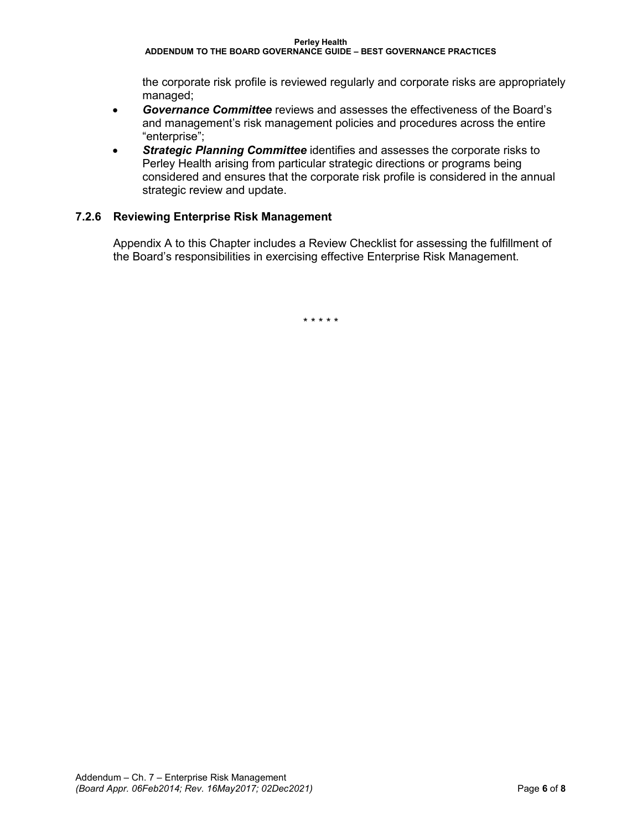the corporate risk profile is reviewed regularly and corporate risks are appropriately managed;

- *Governance Committee* reviews and assesses the effectiveness of the Board's and management's risk management policies and procedures across the entire "enterprise";
- *Strategic Planning Committee* identifies and assesses the corporate risks to Perley Health arising from particular strategic directions or programs being considered and ensures that the corporate risk profile is considered in the annual strategic review and update.

#### **7.2.6 Reviewing Enterprise Risk Management**

Appendix A to this Chapter includes a Review Checklist for assessing the fulfillment of the Board's responsibilities in exercising effective Enterprise Risk Management.

\* \* \* \* \*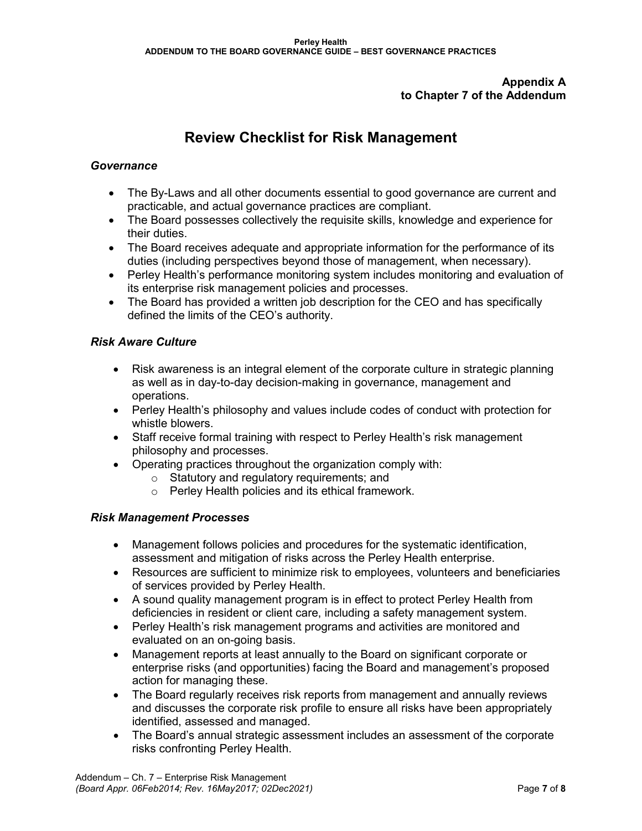#### **Appendix A to Chapter 7 of the Addendum**

# **Review Checklist for Risk Management**

#### *Governance*

- The By-Laws and all other documents essential to good governance are current and practicable, and actual governance practices are compliant.
- The Board possesses collectively the requisite skills, knowledge and experience for their duties.
- The Board receives adequate and appropriate information for the performance of its duties (including perspectives beyond those of management, when necessary).
- Perley Health's performance monitoring system includes monitoring and evaluation of its enterprise risk management policies and processes.
- The Board has provided a written job description for the CEO and has specifically defined the limits of the CEO's authority.

#### *Risk Aware Culture*

- Risk awareness is an integral element of the corporate culture in strategic planning as well as in day-to-day decision-making in governance, management and operations.
- Perley Health's philosophy and values include codes of conduct with protection for whistle blowers.
- Staff receive formal training with respect to Perley Health's risk management philosophy and processes.
- Operating practices throughout the organization comply with:
	- o Statutory and regulatory requirements; and
		- o Perley Health policies and its ethical framework.

#### *Risk Management Processes*

- Management follows policies and procedures for the systematic identification, assessment and mitigation of risks across the Perley Health enterprise.
- Resources are sufficient to minimize risk to employees, volunteers and beneficiaries of services provided by Perley Health.
- A sound quality management program is in effect to protect Perley Health from deficiencies in resident or client care, including a safety management system.
- Perley Health's risk management programs and activities are monitored and evaluated on an on-going basis.
- Management reports at least annually to the Board on significant corporate or enterprise risks (and opportunities) facing the Board and management's proposed action for managing these.
- The Board regularly receives risk reports from management and annually reviews and discusses the corporate risk profile to ensure all risks have been appropriately identified, assessed and managed.
- The Board's annual strategic assessment includes an assessment of the corporate risks confronting Perley Health.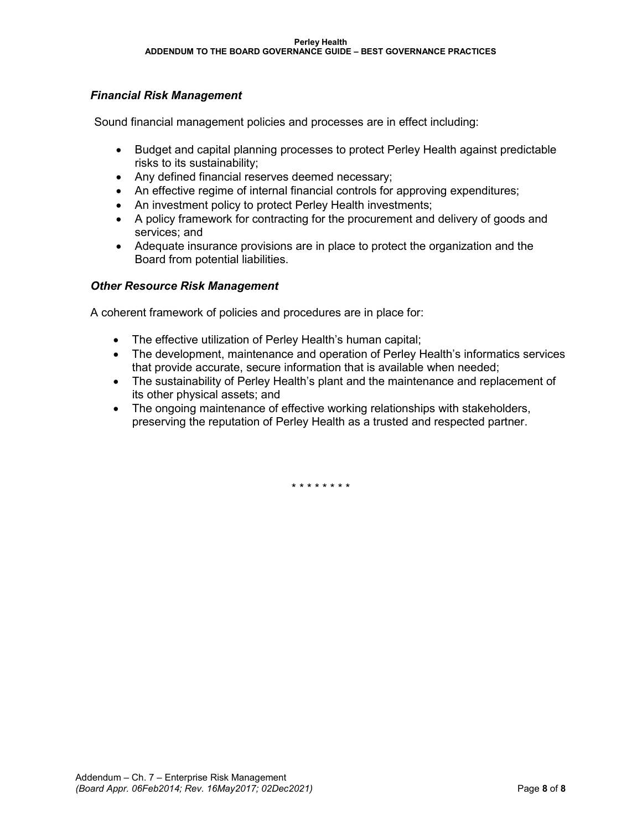### *Financial Risk Management*

Sound financial management policies and processes are in effect including:

- Budget and capital planning processes to protect Perley Health against predictable risks to its sustainability;
- Any defined financial reserves deemed necessary;
- An effective regime of internal financial controls for approving expenditures;
- An investment policy to protect Perley Health investments;
- A policy framework for contracting for the procurement and delivery of goods and services; and
- Adequate insurance provisions are in place to protect the organization and the Board from potential liabilities.

#### *Other Resource Risk Management*

A coherent framework of policies and procedures are in place for:

- The effective utilization of Perley Health's human capital;
- The development, maintenance and operation of Perley Health's informatics services that provide accurate, secure information that is available when needed;
- The sustainability of Perley Health's plant and the maintenance and replacement of its other physical assets; and
- The ongoing maintenance of effective working relationships with stakeholders, preserving the reputation of Perley Health as a trusted and respected partner.

\* \* \* \* \* \* \* \*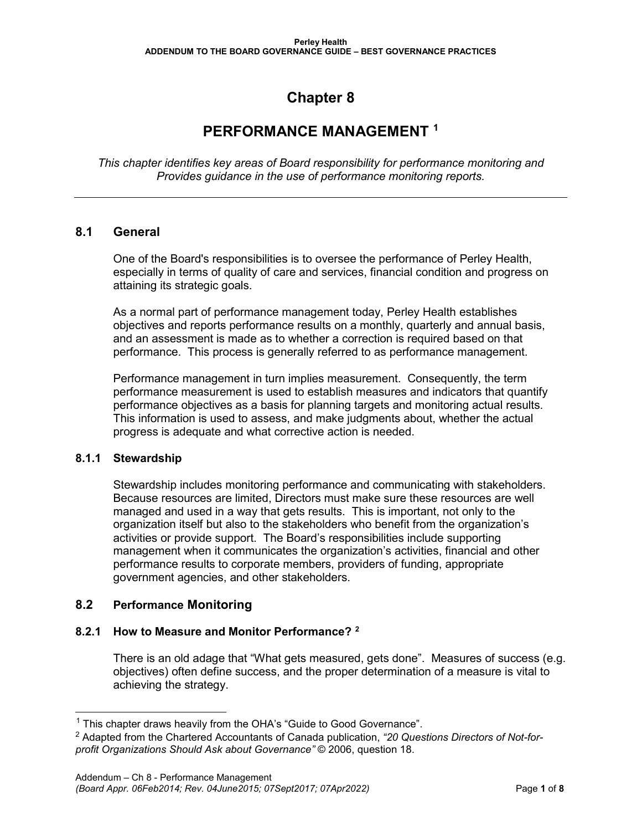# **Chapter 8**

## **PERFORMANCE MANAGEMENT [1](#page-84-0)**

*This chapter identifies key areas of Board responsibility for performance monitoring and Provides guidance in the use of performance monitoring reports.*

### **8.1 General**

One of the Board's responsibilities is to oversee the performance of Perley Health, especially in terms of quality of care and services, financial condition and progress on attaining its strategic goals.

As a normal part of performance management today, Perley Health establishes objectives and reports performance results on a monthly, quarterly and annual basis, and an assessment is made as to whether a correction is required based on that performance. This process is generally referred to as performance management.

Performance management in turn implies measurement. Consequently, the term performance measurement is used to establish measures and indicators that quantify performance objectives as a basis for planning targets and monitoring actual results. This information is used to assess, and make judgments about, whether the actual progress is adequate and what corrective action is needed.

#### **8.1.1 Stewardship**

-

Stewardship includes monitoring performance and communicating with stakeholders. Because resources are limited, Directors must make sure these resources are well managed and used in a way that gets results. This is important, not only to the organization itself but also to the stakeholders who benefit from the organization's activities or provide support. The Board's responsibilities include supporting management when it communicates the organization's activities, financial and other performance results to corporate members, providers of funding, appropriate government agencies, and other stakeholders.

#### **8.2 Performance Monitoring**

#### **8.2.1 How to Measure and Monitor Performance? [2](#page-84-1)**

There is an old adage that "What gets measured, gets done". Measures of success (e.g. objectives) often define success, and the proper determination of a measure is vital to achieving the strategy.

<span id="page-84-0"></span><sup>&</sup>lt;sup>1</sup> This chapter draws heavily from the OHA's "Guide to Good Governance".

<span id="page-84-1"></span><sup>2</sup> Adapted from the Chartered Accountants of Canada publication, *"20 Questions Directors of Not-forprofit Organizations Should Ask about Governance"* © 2006, question 18.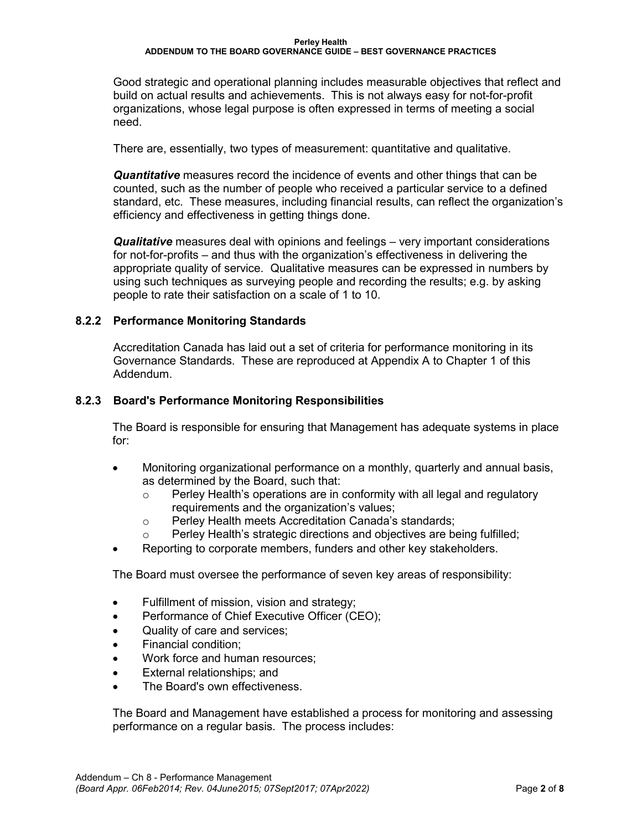Good strategic and operational planning includes measurable objectives that reflect and build on actual results and achievements. This is not always easy for not-for-profit organizations, whose legal purpose is often expressed in terms of meeting a social need.

There are, essentially, two types of measurement: quantitative and qualitative.

*Quantitative* measures record the incidence of events and other things that can be counted, such as the number of people who received a particular service to a defined standard, etc. These measures, including financial results, can reflect the organization's efficiency and effectiveness in getting things done.

*Qualitative* measures deal with opinions and feelings – very important considerations for not-for-profits – and thus with the organization's effectiveness in delivering the appropriate quality of service. Qualitative measures can be expressed in numbers by using such techniques as surveying people and recording the results; e.g. by asking people to rate their satisfaction on a scale of 1 to 10.

#### **8.2.2 Performance Monitoring Standards**

Accreditation Canada has laid out a set of criteria for performance monitoring in its Governance Standards. These are reproduced at Appendix A to Chapter 1 of this Addendum.

#### **8.2.3 Board's Performance Monitoring Responsibilities**

The Board is responsible for ensuring that Management has adequate systems in place for:

- Monitoring organizational performance on a monthly, quarterly and annual basis, as determined by the Board, such that:
	- o Perley Health's operations are in conformity with all legal and regulatory requirements and the organization's values;
	- o Perley Health meets Accreditation Canada's standards;<br> **Our Perley Health's strategic directions and objectives are be**
	- Perley Health's strategic directions and objectives are being fulfilled;
- Reporting to corporate members, funders and other key stakeholders.

The Board must oversee the performance of seven key areas of responsibility:

- Fulfillment of mission, vision and strategy;
- Performance of Chief Executive Officer (CEO);
- Quality of care and services;
- Financial condition;
- Work force and human resources;
- External relationships; and
- The Board's own effectiveness.

The Board and Management have established a process for monitoring and assessing performance on a regular basis. The process includes: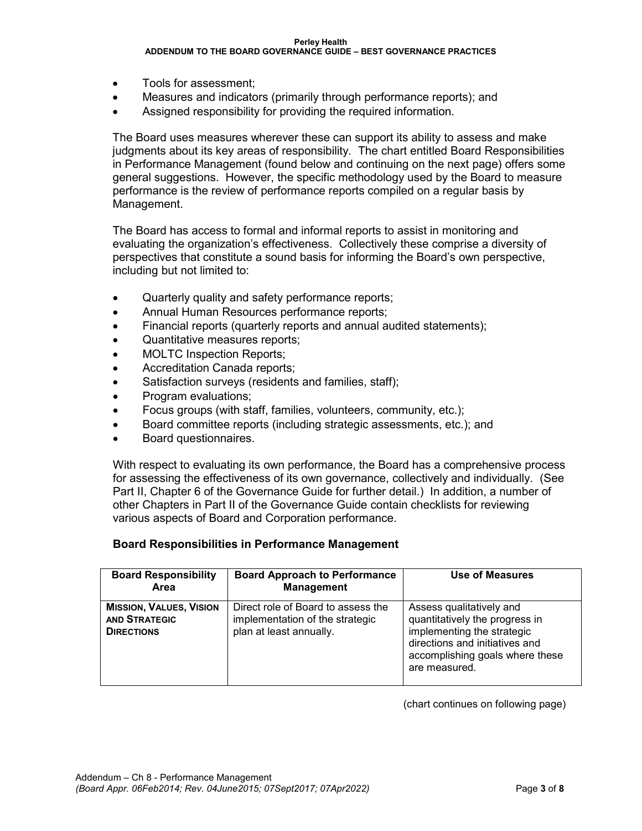- Tools for assessment;
- Measures and indicators (primarily through performance reports); and
- Assigned responsibility for providing the required information.

The Board uses measures wherever these can support its ability to assess and make judgments about its key areas of responsibility*.* The chart entitled Board Responsibilities in Performance Management (found below and continuing on the next page) offers some general suggestions. However, the specific methodology used by the Board to measure performance is the review of performance reports compiled on a regular basis by Management.

The Board has access to formal and informal reports to assist in monitoring and evaluating the organization's effectiveness. Collectively these comprise a diversity of perspectives that constitute a sound basis for informing the Board's own perspective, including but not limited to:

- Quarterly quality and safety performance reports;
- Annual Human Resources performance reports;
- Financial reports (quarterly reports and annual audited statements);
- Quantitative measures reports;
- MOLTC Inspection Reports;
- Accreditation Canada reports;
- Satisfaction surveys (residents and families, staff);
- Program evaluations;
- Focus groups (with staff, families, volunteers, community, etc.);
- Board committee reports (including strategic assessments, etc.); and
- Board questionnaires.

With respect to evaluating its own performance, the Board has a comprehensive process for assessing the effectiveness of its own governance, collectively and individually. (See Part II, Chapter 6 of the Governance Guide for further detail.) In addition, a number of other Chapters in Part II of the Governance Guide contain checklists for reviewing various aspects of Board and Corporation performance.

#### **Board Responsibilities in Performance Management**

| <b>Board Responsibility</b><br>Area                                         | <b>Board Approach to Performance</b><br><b>Management</b>                                        | <b>Use of Measures</b>                                                                                                                                                         |
|-----------------------------------------------------------------------------|--------------------------------------------------------------------------------------------------|--------------------------------------------------------------------------------------------------------------------------------------------------------------------------------|
| <b>MISSION, VALUES, VISION</b><br><b>AND STRATEGIC</b><br><b>DIRECTIONS</b> | Direct role of Board to assess the<br>implementation of the strategic<br>plan at least annually. | Assess qualitatively and<br>quantitatively the progress in<br>implementing the strategic<br>directions and initiatives and<br>accomplishing goals where these<br>are measured. |

(chart continues on following page)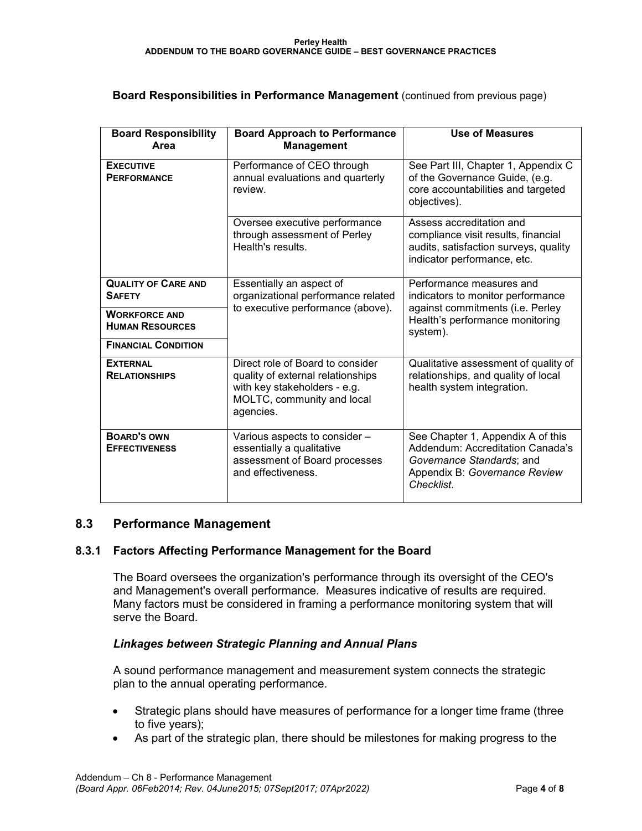#### **Board Responsibilities in Performance Management** (continued from previous page)

| <b>Board Responsibility</b><br>Area            | <b>Board Approach to Performance</b><br><b>Management</b>                                                                                        | <b>Use of Measures</b>                                                                                                                            |
|------------------------------------------------|--------------------------------------------------------------------------------------------------------------------------------------------------|---------------------------------------------------------------------------------------------------------------------------------------------------|
| <b>EXECUTIVE</b><br><b>PERFORMANCE</b>         | Performance of CEO through<br>annual evaluations and quarterly<br>review.                                                                        | See Part III, Chapter 1, Appendix C<br>of the Governance Guide, (e.g.<br>core accountabilities and targeted<br>objectives).                       |
|                                                | Oversee executive performance<br>through assessment of Perley<br>Health's results                                                                | Assess accreditation and<br>compliance visit results, financial<br>audits, satisfaction surveys, quality<br>indicator performance, etc.           |
| <b>QUALITY OF CARE AND</b><br><b>SAFETY</b>    | Essentially an aspect of<br>organizational performance related<br>to executive performance (above).                                              | Performance measures and<br>indicators to monitor performance<br>against commitments (i.e. Perley<br>Health's performance monitoring<br>system).  |
| <b>WORKFORCE AND</b><br><b>HUMAN RESOURCES</b> |                                                                                                                                                  |                                                                                                                                                   |
| <b>FINANCIAL CONDITION</b>                     |                                                                                                                                                  |                                                                                                                                                   |
| <b>EXTERNAL</b><br><b>RELATIONSHIPS</b>        | Direct role of Board to consider<br>quality of external relationships<br>with key stakeholders - e.g.<br>MOLTC, community and local<br>agencies. | Qualitative assessment of quality of<br>relationships, and quality of local<br>health system integration.                                         |
| <b>BOARD'S OWN</b><br><b>EFFECTIVENESS</b>     | Various aspects to consider -<br>essentially a qualitative<br>assessment of Board processes<br>and effectiveness.                                | See Chapter 1, Appendix A of this<br>Addendum: Accreditation Canada's<br>Governance Standards; and<br>Appendix B: Governance Review<br>Checklist. |

#### **8.3 Performance Management**

#### **8.3.1 Factors Affecting Performance Management for the Board**

The Board oversees the organization's performance through its oversight of the CEO's and Management's overall performance. Measures indicative of results are required. Many factors must be considered in framing a performance monitoring system that will serve the Board.

#### *Linkages between Strategic Planning and Annual Plans*

A sound performance management and measurement system connects the strategic plan to the annual operating performance.

- Strategic plans should have measures of performance for a longer time frame (three to five years);
- As part of the strategic plan, there should be milestones for making progress to the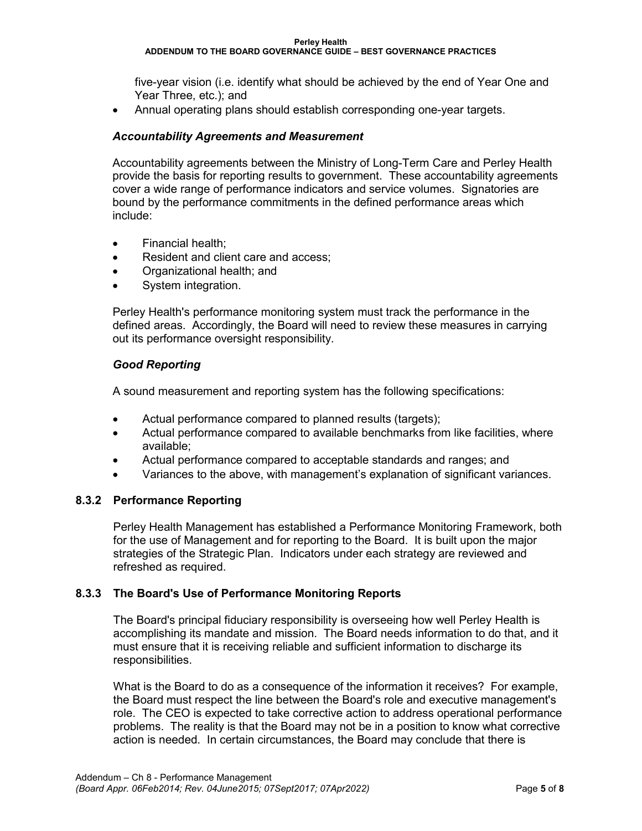five-year vision (i.e. identify what should be achieved by the end of Year One and Year Three, etc.); and

• Annual operating plans should establish corresponding one-year targets.

#### *Accountability Agreements and Measurement*

Accountability agreements between the Ministry of Long-Term Care and Perley Health provide the basis for reporting results to government. These accountability agreements cover a wide range of performance indicators and service volumes. Signatories are bound by the performance commitments in the defined performance areas which include:

- Financial health;
- Resident and client care and access;
- Organizational health; and
- System integration.

Perley Health's performance monitoring system must track the performance in the defined areas. Accordingly, the Board will need to review these measures in carrying out its performance oversight responsibility.

#### *Good Reporting*

A sound measurement and reporting system has the following specifications:

- Actual performance compared to planned results (targets);
- Actual performance compared to available benchmarks from like facilities, where available;
- Actual performance compared to acceptable standards and ranges; and
- Variances to the above, with management's explanation of significant variances.

#### **8.3.2 Performance Reporting**

Perley Health Management has established a Performance Monitoring Framework, both for the use of Management and for reporting to the Board. It is built upon the major strategies of the Strategic Plan. Indicators under each strategy are reviewed and refreshed as required.

#### **8.3.3 The Board's Use of Performance Monitoring Reports**

The Board's principal fiduciary responsibility is overseeing how well Perley Health is accomplishing its mandate and mission. The Board needs information to do that, and it must ensure that it is receiving reliable and sufficient information to discharge its responsibilities.

What is the Board to do as a consequence of the information it receives? For example, the Board must respect the line between the Board's role and executive management's role. The CEO is expected to take corrective action to address operational performance problems. The reality is that the Board may not be in a position to know what corrective action is needed. In certain circumstances, the Board may conclude that there is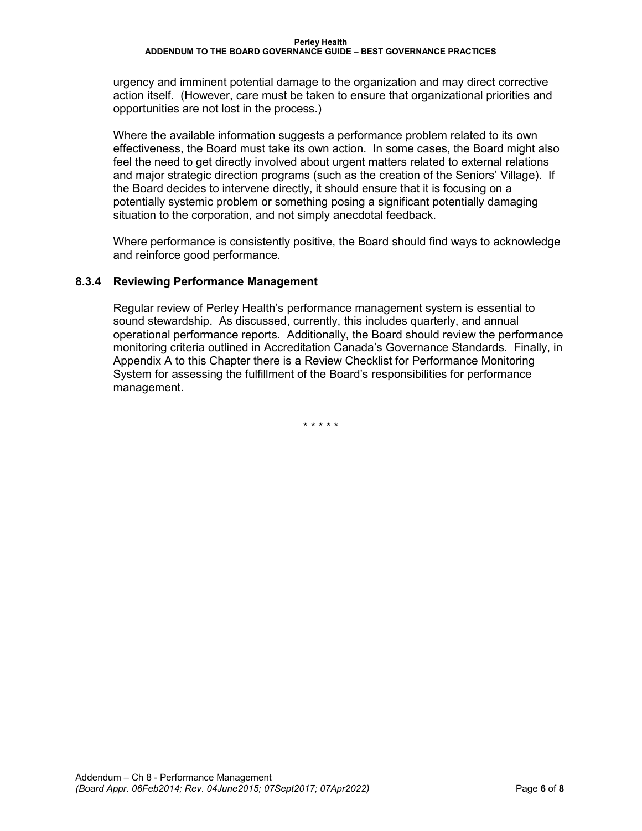urgency and imminent potential damage to the organization and may direct corrective action itself. (However, care must be taken to ensure that organizational priorities and opportunities are not lost in the process.)

Where the available information suggests a performance problem related to its own effectiveness, the Board must take its own action. In some cases, the Board might also feel the need to get directly involved about urgent matters related to external relations and major strategic direction programs (such as the creation of the Seniors' Village). If the Board decides to intervene directly, it should ensure that it is focusing on a potentially systemic problem or something posing a significant potentially damaging situation to the corporation, and not simply anecdotal feedback.

Where performance is consistently positive, the Board should find ways to acknowledge and reinforce good performance.

#### **8.3.4 Reviewing Performance Management**

Regular review of Perley Health's performance management system is essential to sound stewardship. As discussed, currently, this includes quarterly, and annual operational performance reports. Additionally, the Board should review the performance monitoring criteria outlined in Accreditation Canada's Governance Standards*.* Finally, in Appendix A to this Chapter there is a Review Checklist for Performance Monitoring System for assessing the fulfillment of the Board's responsibilities for performance management.

\* \* \* \* \*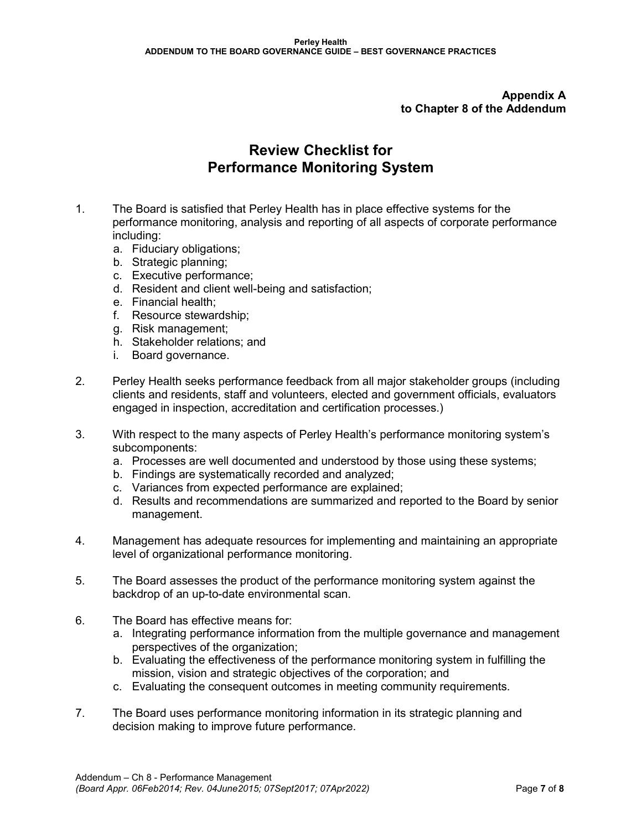**Appendix A to Chapter 8 of the Addendum**

## **Review Checklist for Performance Monitoring System**

- 1. The Board is satisfied that Perley Health has in place effective systems for the performance monitoring, analysis and reporting of all aspects of corporate performance including:
	- a. Fiduciary obligations;
	- b. Strategic planning;
	- c. Executive performance;
	- d. Resident and client well-being and satisfaction;
	- e. Financial health;
	- f. Resource stewardship;
	- g. Risk management;
	- h. Stakeholder relations; and
	- i. Board governance.
- 2. Perley Health seeks performance feedback from all major stakeholder groups (including clients and residents, staff and volunteers, elected and government officials, evaluators engaged in inspection, accreditation and certification processes.)
- 3. With respect to the many aspects of Perley Health's performance monitoring system's subcomponents:
	- a. Processes are well documented and understood by those using these systems;
	- b. Findings are systematically recorded and analyzed;
	- c. Variances from expected performance are explained;
	- d. Results and recommendations are summarized and reported to the Board by senior management.
- 4. Management has adequate resources for implementing and maintaining an appropriate level of organizational performance monitoring.
- 5. The Board assesses the product of the performance monitoring system against the backdrop of an up-to-date environmental scan.
- 6. The Board has effective means for:
	- a. Integrating performance information from the multiple governance and management perspectives of the organization;
	- b. Evaluating the effectiveness of the performance monitoring system in fulfilling the mission, vision and strategic objectives of the corporation; and
	- c. Evaluating the consequent outcomes in meeting community requirements.
- 7. The Board uses performance monitoring information in its strategic planning and decision making to improve future performance.